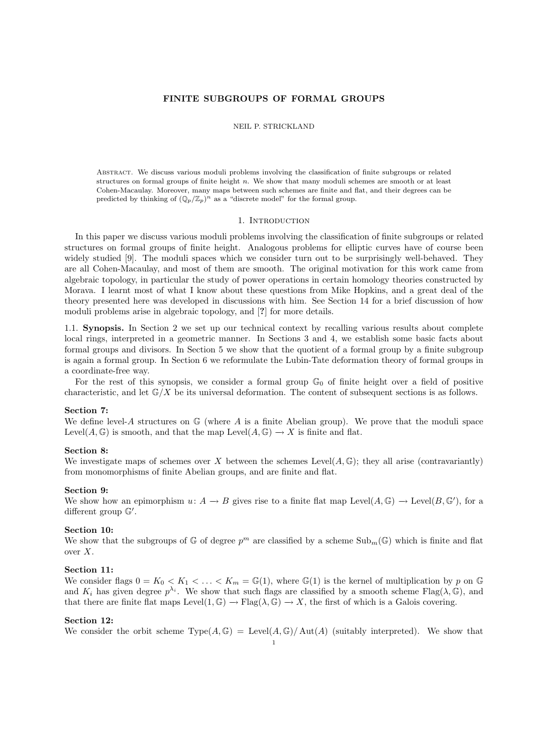# FINITE SUBGROUPS OF FORMAL GROUPS

### NEIL P. STRICKLAND

Abstract. We discuss various moduli problems involving the classification of finite subgroups or related structures on formal groups of finite height  $n$ . We show that many moduli schemes are smooth or at least Cohen-Macaulay. Moreover, many maps between such schemes are finite and flat, and their degrees can be predicted by thinking of  $(\mathbb{Q}_p/\mathbb{Z}_p)^n$  as a "discrete model" for the formal group.

### 1. INTRODUCTION

In this paper we discuss various moduli problems involving the classification of finite subgroups or related structures on formal groups of finite height. Analogous problems for elliptic curves have of course been widely studied [9]. The moduli spaces which we consider turn out to be surprisingly well-behaved. They are all Cohen-Macaulay, and most of them are smooth. The original motivation for this work came from algebraic topology, in particular the study of power operations in certain homology theories constructed by Morava. I learnt most of what I know about these questions from Mike Hopkins, and a great deal of the theory presented here was developed in discussions with him. See Section 14 for a brief discussion of how moduli problems arise in algebraic topology, and [?] for more details.

1.1. Synopsis. In Section 2 we set up our technical context by recalling various results about complete local rings, interpreted in a geometric manner. In Sections 3 and 4, we establish some basic facts about formal groups and divisors. In Section 5 we show that the quotient of a formal group by a finite subgroup is again a formal group. In Section 6 we reformulate the Lubin-Tate deformation theory of formal groups in a coordinate-free way.

For the rest of this synopsis, we consider a formal group  $\mathbb{G}_0$  of finite height over a field of positive characteristic, and let  $\mathbb{G}/X$  be its universal deformation. The content of subsequent sections is as follows.

# Section 7:

We define level-A structures on  $\mathbb{G}$  (where A is a finite Abelian group). We prove that the moduli space Level(A, G) is smooth, and that the map Level( $A, \mathbb{G}$ )  $\rightarrow X$  is finite and flat.

## Section 8:

We investigate maps of schemes over X between the schemes Level $(A, \mathbb{G})$ ; they all arise (contravariantly) from monomorphisms of finite Abelian groups, and are finite and flat.

# Section 9:

We show how an epimorphism  $u: A \to B$  gives rise to a finite flat map Level $(A, \mathbb{G}) \to \text{Level}(B, \mathbb{G}')$ , for a different group  $\mathbb{G}'$ .

## Section 10:

We show that the subgroups of  $\mathbb G$  of degree  $p^m$  are classified by a scheme  $\text{Sub}_m(\mathbb{G})$  which is finite and flat over X.

### Section 11:

We consider flags  $0 = K_0 < K_1 < \ldots < K_m = \mathbb{G}(1)$ , where  $\mathbb{G}(1)$  is the kernel of multiplication by p on G and  $K_i$  has given degree  $p^{\lambda_i}$ . We show that such flags are classified by a smooth scheme Flag( $\lambda$ ,  $\mathbb{G}$ ), and that there are finite flat maps Level(1,  $\mathbb{G}$ )  $\rightarrow$  Flag( $\lambda$ ,  $\mathbb{G}$ )  $\rightarrow$  X, the first of which is a Galois covering.

### Section 12:

We consider the orbit scheme  $Type(A, \mathbb{G}) = Level(A, \mathbb{G})/Aut(A)$  (suitably interpreted). We show that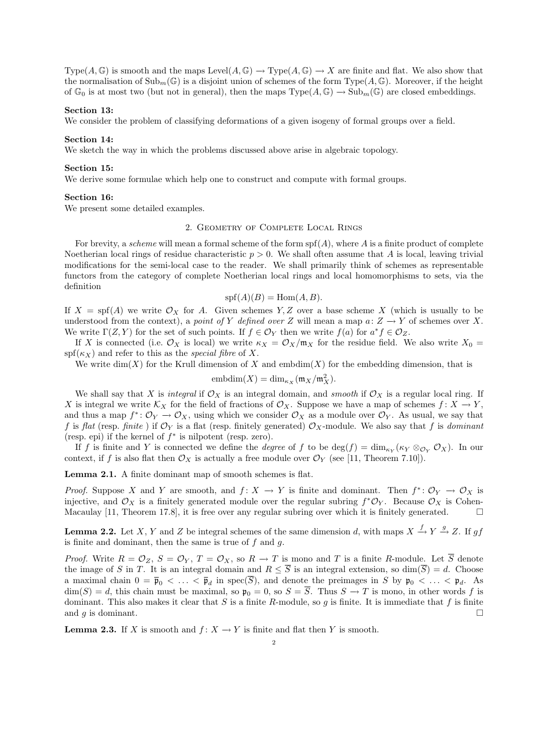Type( $A, \mathbb{G}$ ) is smooth and the maps Level( $A, \mathbb{G}$ )  $\rightarrow$  Type( $A, \mathbb{G}$ )  $\rightarrow$  X are finite and flat. We also show that the normalisation of  $\text{Sub}_m(\mathbb{G})$  is a disjoint union of schemes of the form Type( $A, \mathbb{G}$ ). Moreover, if the height of  $\mathbb{G}_0$  is at most two (but not in general), then the maps Type $(A, \mathbb{G}) \to \text{Sub}_m(\mathbb{G})$  are closed embeddings.

## Section 13:

We consider the problem of classifying deformations of a given isogeny of formal groups over a field.

#### Section 14:

We sketch the way in which the problems discussed above arise in algebraic topology.

### Section 15:

We derive some formulae which help one to construct and compute with formal groups.

### Section 16:

We present some detailed examples.

#### 2. Geometry of Complete Local Rings

For brevity, a scheme will mean a formal scheme of the form  $\text{spf}(A)$ , where A is a finite product of complete Noetherian local rings of residue characteristic  $p > 0$ . We shall often assume that A is local, leaving trivial modifications for the semi-local case to the reader. We shall primarily think of schemes as representable functors from the category of complete Noetherian local rings and local homomorphisms to sets, via the definition

$$
\text{spf}(A)(B) = \text{Hom}(A, B).
$$

If  $X = \text{spf}(A)$  we write  $\mathcal{O}_X$  for A. Given schemes Y, Z over a base scheme X (which is usually to be understood from the context), a point of Y defined over Z will mean a map  $a: Z \to Y$  of schemes over X. We write  $\Gamma(Z, Y)$  for the set of such points. If  $f \in \mathcal{O}_Y$  then we write  $f(a)$  for  $a^* f \in \mathcal{O}_Z$ .

If X is connected (i.e.  $\mathcal{O}_X$  is local) we write  $\kappa_X = \mathcal{O}_X/\mathfrak{m}_X$  for the residue field. We also write  $X_0 =$  $\text{spf}(\kappa_X)$  and refer to this as the *special fibre* of X.

We write  $\dim(X)$  for the Krull dimension of X and embdim(X) for the embedding dimension, that is

$$
\text{embdim}(X) = \dim_{\kappa_X}(\mathfrak{m}_X/\mathfrak{m}_X^2).
$$

We shall say that X is integral if  $\mathcal{O}_X$  is an integral domain, and smooth if  $\mathcal{O}_X$  is a regular local ring. If X is integral we write  $\mathcal{K}_X$  for the field of fractions of  $\mathcal{O}_X$ . Suppose we have a map of schemes  $f: X \to Y$ , and thus a map  $f^* \colon \mathcal{O}_Y \to \mathcal{O}_X$ , using which we consider  $\mathcal{O}_X$  as a module over  $\mathcal{O}_Y$ . As usual, we say that f is flat (resp. finite) if  $\mathcal{O}_Y$  is a flat (resp. finitely generated)  $\mathcal{O}_X$ -module. We also say that f is dominant (resp. epi) if the kernel of  $f^*$  is nilpotent (resp. zero).

If f is finite and Y is connected we define the *degree* of f to be  $\deg(f) = \dim_{\kappa_Y} (\kappa_Y \otimes_{\mathcal{O}_Y} \mathcal{O}_X)$ . In our context, if f is also flat then  $\mathcal{O}_X$  is actually a free module over  $\mathcal{O}_Y$  (see [11, Theorem 7.10]).

Lemma 2.1. A finite dominant map of smooth schemes is flat.

*Proof.* Suppose X and Y are smooth, and  $f: X \to Y$  is finite and dominant. Then  $f^*: \mathcal{O}_Y \to \mathcal{O}_X$  is injective, and  $\mathcal{O}_X$  is a finitely generated module over the regular subring  $f^*\mathcal{O}_Y$ . Because  $\mathcal{O}_X$  is Cohen-Macaulay [11, Theorem 17.8], it is free over any regular subring over which it is finitely generated.

**Lemma 2.2.** Let X, Y and Z be integral schemes of the same dimension d, with maps  $X \xrightarrow{f} Y \xrightarrow{g} Z$ . If gf is finite and dominant, then the same is true of  $f$  and  $q$ .

*Proof.* Write  $R = \mathcal{O}_Z$ ,  $S = \mathcal{O}_Y$ ,  $T = \mathcal{O}_X$ , so  $R \to T$  is mono and T is a finite R-module. Let  $\overline{S}$  denote the image of S in T. It is an integral domain and  $R \leq \overline{S}$  is an integral extension, so dim( $\overline{S}$ ) = d. Choose a maximal chain  $0 = \bar{\mathfrak{p}}_0 < \ldots < \bar{\mathfrak{p}}_d$  in  $spec(\bar{S})$ , and denote the preimages in S by  $\mathfrak{p}_0 < \ldots < \mathfrak{p}_d$ . As  $\dim(S) = d$ , this chain must be maximal, so  $\mathfrak{p}_0 = 0$ , so  $S = \overline{S}$ . Thus  $S \to T$  is mono, in other words f is dominant. This also makes it clear that S is a finite R-module, so g is finite. It is immediate that f is finite and q is dominant.

**Lemma 2.3.** If X is smooth and  $f: X \to Y$  is finite and flat then Y is smooth.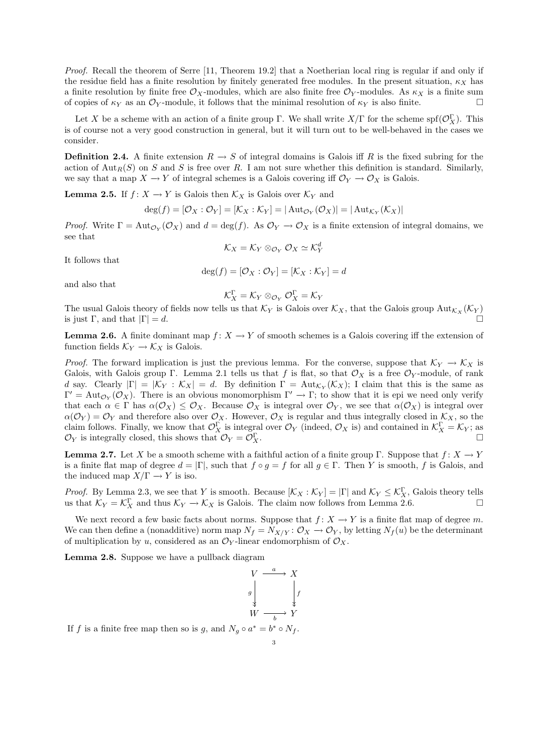Proof. Recall the theorem of Serre [11, Theorem 19.2] that a Noetherian local ring is regular if and only if the residue field has a finite resolution by finitely generated free modules. In the present situation,  $\kappa_X$  has a finite resolution by finite free  $\mathcal{O}_X$ -modules, which are also finite free  $\mathcal{O}_Y$ -modules. As  $\kappa_X$  is a finite sum of copies of  $\kappa_Y$  as an  $\mathcal{O}_Y$ -module, it follows that the minimal resolution of  $\kappa_Y$  is also finite.

Let X be a scheme with an action of a finite group  $\Gamma$ . We shall write  $X/\Gamma$  for the scheme spf $(\mathcal{O}_X^{\Gamma})$ . This is of course not a very good construction in general, but it will turn out to be well-behaved in the cases we consider.

**Definition 2.4.** A finite extension  $R \to S$  of integral domains is Galois iff R is the fixed subring for the action of  $\text{Aut}_R(S)$  on S and S is free over R. I am not sure whether this definition is standard. Similarly, we say that a map  $X \to Y$  of integral schemes is a Galois covering iff  $\mathcal{O}_Y \to \mathcal{O}_X$  is Galois.

**Lemma 2.5.** If  $f: X \to Y$  is Galois then  $\mathcal{K}_X$  is Galois over  $\mathcal{K}_Y$  and

$$
\deg(f) = [\mathcal{O}_X : \mathcal{O}_Y] = [\mathcal{K}_X : \mathcal{K}_Y] = |\operatorname{Aut}_{\mathcal{O}_Y}(\mathcal{O}_X)| = |\operatorname{Aut}_{\mathcal{K}_Y}(\mathcal{K}_X)|
$$

*Proof.* Write  $\Gamma = \text{Aut}_{\mathcal{O}_Y}(\mathcal{O}_X)$  and  $d = \text{deg}(f)$ . As  $\mathcal{O}_Y \to \mathcal{O}_X$  is a finite extension of integral domains, we see that

 $\mathcal{K}_X = \mathcal{K}_Y \otimes_{\mathcal{O}_Y} \mathcal{O}_X \simeq \mathcal{K}_Y^d$ 

It follows that

$$
\deg(f) = [\mathcal{O}_X : \mathcal{O}_Y] = [\mathcal{K}_X : \mathcal{K}_Y] = d
$$

and also that

 $\mathcal{K}^{\Gamma}_X = \mathcal{K}_Y \otimes_{\mathcal{O}_Y} \mathcal{O}_X^{\Gamma} = \mathcal{K}_Y$ 

The usual Galois theory of fields now tells us that  $\mathcal{K}_Y$  is Galois over  $\mathcal{K}_X$ , that the Galois group  $\text{Aut}_{\mathcal{K}_X}(\mathcal{K}_Y)$ is just Γ, and that  $|\Gamma| = d$ .

**Lemma 2.6.** A finite dominant map  $f: X \to Y$  of smooth schemes is a Galois covering iff the extension of function fields  $\mathcal{K}_Y \to \mathcal{K}_X$  is Galois.

*Proof.* The forward implication is just the previous lemma. For the converse, suppose that  $K_Y \to K_X$  is Galois, with Galois group Γ. Lemma 2.1 tells us that f is flat, so that  $\mathcal{O}_X$  is a free  $\mathcal{O}_Y$ -module, of rank d say. Clearly  $|\Gamma| = |\mathcal{K}_Y : \mathcal{K}_X| = d$ . By definition  $\Gamma = \text{Aut}_{\mathcal{K}_Y}(\mathcal{K}_X)$ ; I claim that this is the same as  $\Gamma' = \text{Aut}_{\mathcal{O}_Y}(\mathcal{O}_X)$ . There is an obvious monomorphism  $\Gamma' \to \Gamma$ ; to show that it is epi we need only verify that each  $\alpha \in \Gamma$  has  $\alpha(\mathcal{O}_X) \leq \mathcal{O}_X$ . Because  $\mathcal{O}_X$  is integral over  $\mathcal{O}_Y$ , we see that  $\alpha(\mathcal{O}_X)$  is integral over  $\alpha(\mathcal{O}_Y) = \mathcal{O}_Y$  and therefore also over  $\mathcal{O}_X$ . However,  $\mathcal{O}_X$  is regular and thus integrally closed in  $\mathcal{K}_X$ , so the claim follows. Finally, we know that  $\mathcal{O}_X^{\Gamma}$  is integral over  $\mathcal{O}_Y$  (indeed,  $\mathcal{O}_X$  is) and contained in  $\mathcal{K}_X^{\Gamma} = \mathcal{K}_Y$ ; as  $\mathcal{O}_Y$  is integrally closed, this shows that  $\mathcal{O}_Y = \mathcal{O}_X^{\Gamma}$ .  $\Gamma$   $X$ .

**Lemma 2.7.** Let X be a smooth scheme with a faithful action of a finite group Γ. Suppose that  $f: X \to Y$ is a finite flat map of degree  $d = |\Gamma|$ , such that  $f \circ g = f$  for all  $g \in \Gamma$ . Then Y is smooth, f is Galois, and the induced map  $X/\Gamma \rightarrow Y$  is iso.

*Proof.* By Lemma 2.3, we see that Y is smooth. Because  $[K_X : K_Y] = |\Gamma|$  and  $K_Y \leq K_X^{\Gamma}$ , Galois theory tells us that  $\mathcal{K}_Y = \mathcal{K}_X^{\Gamma}$  and thus  $\mathcal{K}_Y \to \mathcal{K}_X$  is Galois. The claim now follows from Lemma 2.6.

We next record a few basic facts about norms. Suppose that  $f: X \to Y$  is a finite flat map of degree m. We can then define a (nonadditive) norm map  $N_f = N_{X/Y}$ :  $\mathcal{O}_X \to \mathcal{O}_Y$ , by letting  $N_f(u)$  be the determinant of multiplication by u, considered as an  $\mathcal{O}_Y$ -linear endomorphism of  $\mathcal{O}_X$ .

Lemma 2.8. Suppose we have a pullback diagram

$$
V \xrightarrow{a} X
$$
\n
$$
g \downarrow \qquad \qquad \downarrow f
$$
\n
$$
W \xrightarrow{b} Y
$$
\nIf  $f$  is a finite free map then so is  $g$ , and  $N_g \circ a^* = b^* \circ N_f$ .

$$
3 \\
$$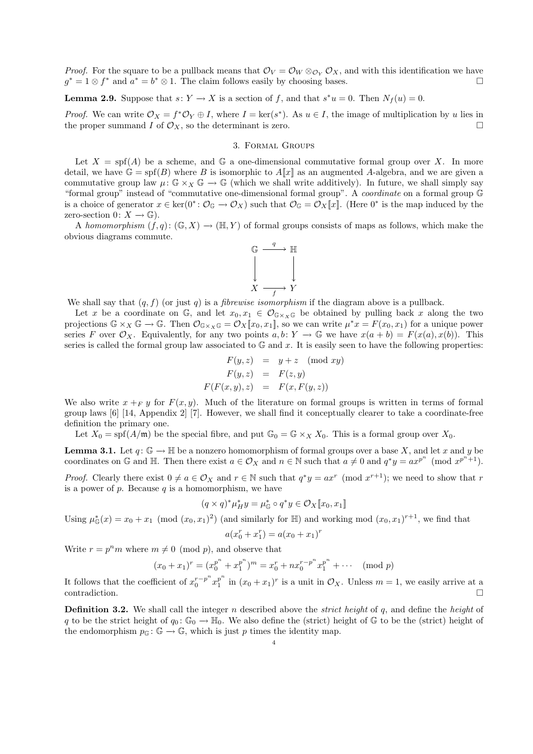*Proof.* For the square to be a pullback means that  $\mathcal{O}_V = \mathcal{O}_W \otimes_{\mathcal{O}_Y} \mathcal{O}_X$ , and with this identification we have  $g^* = 1 \otimes f^*$  and  $a^* = b^* \otimes 1$ . The claim follows easily by choosing bases.

**Lemma 2.9.** Suppose that  $s: Y \to X$  is a section of f, and that  $s^*u = 0$ . Then  $N_f(u) = 0$ .

*Proof.* We can write  $\mathcal{O}_X = f^* \mathcal{O}_Y \oplus I$ , where  $I = \text{ker}(s^*)$ . As  $u \in I$ , the image of multiplication by u lies in the proper summand I of  $\mathcal{O}_X$ , so the determinant is zero.

### 3. Formal Groups

Let  $X = \text{spf}(A)$  be a scheme, and  $\mathbb{G}$  a one-dimensional commutative formal group over X. In more detail, we have  $\mathbb{G} = \text{spf}(B)$  where B is isomorphic to  $A[\![x]\!]$  as an augmented A-algebra, and we are given a commutative group law  $\mu: \mathbb{G} \times_X \mathbb{G} \to \mathbb{G}$  (which we shall write additively). In future, we shall simply say "formal group" instead of "commutative one-dimensional formal group". A coordinate on a formal group G is a choice of generator  $x \in \text{ker}(0^* : \mathcal{O}_{\mathbb{G}} \to \mathcal{O}_X)$  such that  $\mathcal{O}_{\mathbb{G}} = \mathcal{O}_X[\![x]\!]$ . (Here  $0^*$  is the map induced by the zero-section  $0: X \to \mathbb{G}$ ).

A homomorphism  $(f, q): (\mathbb{G}, X) \to (\mathbb{H}, Y)$  of formal groups consists of maps as follows, which make the obvious diagrams commute.



We shall say that  $(q, f)$  (or just q) is a *fibrewise isomorphism* if the diagram above is a pullback.

Let x be a coordinate on G, and let  $x_0, x_1 \in \mathcal{O}_{\mathbb{G}\times_X\mathbb{G}}$  be obtained by pulling back x along the two projections  $\mathbb{G} \times_X \mathbb{G} \to \mathbb{G}$ . Then  $\mathcal{O}_{\mathbb{G} \times_X \mathbb{G}} = \mathcal{O}_X[[x_0, x_1]]$ , so we can write  $\mu^*x = F(x_0, x_1)$  for a unique power series F over  $\mathcal{O}_X$ . Equivalently, for any two points  $a, b \colon Y \to \mathbb{G}$  we have  $x(a + b) = F(x(a), x(b))$ . This series is called the formal group law associated to  $\mathbb{G}$  and x. It is easily seen to have the following properties:

$$
F(y, z) = y + z \pmod{xy}
$$
  
\n
$$
F(y, z) = F(z, y)
$$
  
\n
$$
F(F(x, y), z) = F(x, F(y, z))
$$

We also write  $x +_{F} y$  for  $F(x, y)$ . Much of the literature on formal groups is written in terms of formal group laws [6] [14, Appendix 2] [7]. However, we shall find it conceptually clearer to take a coordinate-free definition the primary one.

Let  $X_0 = \text{spf}(A/\mathfrak{m})$  be the special fibre, and put  $\mathbb{G}_0 = \mathbb{G} \times_X X_0$ . This is a formal group over  $X_0$ .

**Lemma 3.1.** Let  $q: \mathbb{G} \to \mathbb{H}$  be a nonzero homomorphism of formal groups over a base X, and let x and y be coordinates on G and H. Then there exist  $a \in \mathcal{O}_X$  and  $n \in \mathbb{N}$  such that  $a \neq 0$  and  $q^*y = ax^{p^n} \pmod{x^{p^n+1}}$ .

*Proof.* Clearly there exist  $0 \neq a \in \mathcal{O}_X$  and  $r \in \mathbb{N}$  such that  $q^*y = ax^r \pmod{x^{r+1}}$ ; we need to show that r is a power of  $p$ . Because  $q$  is a homomorphism, we have

$$
(q \times q)^* \mu_H^* y = \mu_{\mathbb{G}}^* \circ q^* y \in \mathcal{O}_X[\![x_0, x_1]\!]
$$

Using  $\mu_{\mathbb{G}}^*(x) = x_0 + x_1 \pmod{(x_0, x_1)^2}$  (and similarly for  $\mathbb{H}$ ) and working mod  $(x_0, x_1)^{r+1}$ , we find that

$$
a(x_0^r + x_1^r) = a(x_0 + x_1)^r
$$

Write  $r = p^n m$  where  $m \neq 0 \pmod{p}$ , and observe that

$$
(x_0 + x_1)^r = (x_0^{p^n} + x_1^{p^n})^m = x_0^r + nx_0^{r-p^n}x_1^{p^n} + \cdots \pmod{p}
$$

It follows that the coefficient of  $x_0^{r-p^n}x_1^{p^n}$  $\int_{1}^{p^{n}}$  in  $(x_0 + x_1)^r$  is a unit in  $\mathcal{O}_X$ . Unless  $m = 1$ , we easily arrive at a  $\Box$ contradiction.

**Definition 3.2.** We shall call the integer n described above the *strict height* of  $q$ , and define the *height* of q to be the strict height of  $q_0: \mathbb{G}_0 \to \mathbb{H}_0$ . We also define the (strict) height of  $\mathbb{G}$  to be the (strict) height of the endomorphism  $p_{\mathbb{G}}: \mathbb{G} \to \mathbb{G}$ , which is just p times the identity map.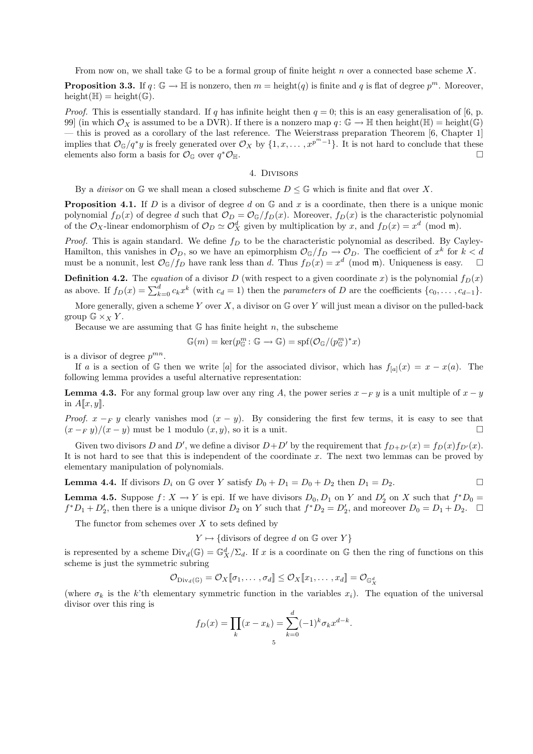From now on, we shall take  $\mathbb G$  to be a formal group of finite height n over a connected base scheme X.

**Proposition 3.3.** If  $q: \mathbb{G} \to \mathbb{H}$  is nonzero, then  $m = \text{height}(q)$  is finite and q is flat of degree  $p^m$ . Moreover,  $height(\mathbb{H}) = height(\mathbb{G}).$ 

*Proof.* This is essentially standard. If q has infinite height then  $q = 0$ ; this is an easy generalisation of [6, p. 99] (in which  $\mathcal{O}_X$  is assumed to be a DVR). If there is a nonzero map  $q: \mathbb{G} \to \mathbb{H}$  then height( $\mathbb{H}$ ) = height( $\mathbb{G}$ ) — this is proved as a corollary of the last reference. The Weierstrass preparation Theorem [6, Chapter 1] implies that  $\mathcal{O}_{\mathbb{G}}/q^*y$  is freely generated over  $\mathcal{O}_X$  by  $\{1, x, \ldots, x^{p^m-1}\}\$ . It is not hard to conclude that these elements also form a basis for  $\mathcal{O}_{\mathbb{G}}$  over  $q^*\mathcal{O}_{\mathbb{H}}$ .  $^*{\mathcal O}_{\mathbb H}.$ 

### 4. Divisors

By a *divisor* on  $\mathbb{G}$  we shall mean a closed subscheme  $D \leq \mathbb{G}$  which is finite and flat over X.

**Proposition 4.1.** If D is a divisor of degree d on  $\mathbb{G}$  and x is a coordinate, then there is a unique monic polynomial  $f_D(x)$  of degree d such that  $\mathcal{O}_D = \mathcal{O}_{\mathbb{G}}/f_D(x)$ . Moreover,  $f_D(x)$  is the characteristic polynomial of the  $\mathcal{O}_X$ -linear endomorphism of  $\mathcal{O}_D \simeq \mathcal{O}_X^d$  given by multiplication by x, and  $f_D(x) = x^d \pmod{\mathfrak{m}}$ .

*Proof.* This is again standard. We define  $f_D$  to be the characteristic polynomial as described. By Cayley-Hamilton, this vanishes in  $\mathcal{O}_D$ , so we have an epimorphism  $\mathcal{O}_{\mathbb{G}}/f_D \to \mathcal{O}_D$ . The coefficient of  $x^k$  for  $k < d$ must be a nonunit, lest  $\mathcal{O}_{\mathbb{G}}/f_D$  have rank less than d. Thus  $f_D(x) = x^d \pmod{m}$ . Uniqueness is easy.

**Definition 4.2.** The equation of a divisor D (with respect to a given coordinate x) is the polynomial  $f_D(x)$ as above. If  $f_D(x) = \sum_{k=0}^d c_k x^k$  (with  $c_d = 1$ ) then the parameters of D are the coefficients  $\{c_0, \ldots, c_{d-1}\}.$ 

More generally, given a scheme Y over X, a divisor on  $\mathbb G$  over Y will just mean a divisor on the pulled-back group  $\mathbb{G} \times_X Y$ .

Because we are assuming that  $G$  has finite height n, the subscheme

$$
\mathbb{G}(m) = \ker(p_{\mathbb{G}}^{m} : \mathbb{G} \to \mathbb{G}) = \mathrm{spf}(\mathcal{O}_{\mathbb{G}}/(p_{\mathbb{G}}^{m})^{*} x)
$$

is a divisor of degree  $p^{mn}$ .

If a is a section of G then we write [a] for the associated divisor, which has  $f_{[a]}(x) = x - x(a)$ . The following lemma provides a useful alternative representation:

**Lemma 4.3.** For any formal group law over any ring A, the power series  $x - F y$  is a unit multiple of  $x - y$ in  $A[x, y]$ .

*Proof.*  $x - F y$  clearly vanishes mod  $(x - y)$ . By considering the first few terms, it is easy to see that  $(x - F y)/(x - y)$  must be 1 modulo  $(x, y)$ , so it is a unit.

Given two divisors D and D', we define a divisor  $D+D'$  by the requirement that  $f_{D+D'}(x) = f_D(x)f_{D'}(x)$ . It is not hard to see that this is independent of the coordinate  $x$ . The next two lemmas can be proved by elementary manipulation of polynomials.

**Lemma 4.4.** If divisors 
$$
D_i
$$
 on  $\mathbb{G}$  over Y satisfy  $D_0 + D_1 = D_0 + D_2$  then  $D_1 = D_2$ .

**Lemma 4.5.** Suppose  $f: X \to Y$  is epi. If we have divisors  $D_0, D_1$  on Y and  $D'_2$  on X such that  $f^*D_0 =$  $f^*D_1 + D'_2$ , then there is a unique divisor  $D_2$  on Y such that  $f^*D_2 = D'_2$ , and moreover  $D_0 = D_1 + D_2$ .  $\Box$ 

The functor from schemes over  $X$  to sets defined by

 $Y \mapsto \{divisors \text{ of degree } d \text{ on } \mathbb{G} \text{ over } Y \}$ 

is represented by a scheme  $Div_d(\mathbb{G}) = \mathbb{G}_X^d / \Sigma_d$ . If x is a coordinate on  $\mathbb{G}$  then the ring of functions on this scheme is just the symmetric subring

$$
\mathcal{O}_{\mathrm{Div}_d(\mathbb{G})} = \mathcal{O}_X[\![\sigma_1, \ldots, \sigma_d]\!] \leq \mathcal{O}_X[\![x_1, \ldots, x_d]\!] = \mathcal{O}_{\mathbb{G}_X^d}
$$

(where  $\sigma_k$  is the k'th elementary symmetric function in the variables  $x_i$ ). The equation of the universal divisor over this ring is

$$
f_D(x) = \prod_k (x - x_k) = \sum_{k=0}^d (-1)^k \sigma_k x^{d-k}.
$$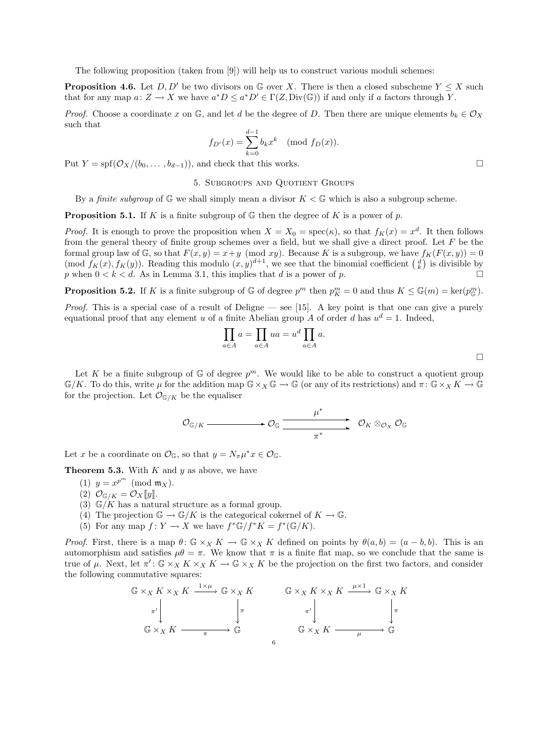The following proposition (taken from [9]) will help us to construct various moduli schemes:

**Proposition 4.6.** Let  $D, D'$  be two divisors on G over X. There is then a closed subscheme  $Y \leq X$  such that for any map  $a: Z \to X$  we have  $a^*D \le a^*D' \in \Gamma(Z, \text{Div}(\mathbb{G}))$  if and only if a factors through Y.

*Proof.* Choose a coordinate x on  $\mathbb{G}$ , and let d be the degree of D. Then there are unique elements  $b_k \in \mathcal{O}_X$ such that

$$
f_{D'}(x) = \sum_{k=0}^{d-1} b_k x^k \pmod{f_D(x)}
$$
.

Put  $Y = spf(\mathcal{O}_X/(b_0, \ldots, b_{d-1}))$ , and check that this works.

## 5. Subgroups and Quotient Groups

By a *finite subgroup* of  $\mathbb{G}$  we shall simply mean a divisor  $K < \mathbb{G}$  which is also a subgroup scheme.

**Proposition 5.1.** If K is a finite subgroup of  $\mathbb{G}$  then the degree of K is a power of p.

*Proof.* It is enough to prove the proposition when  $X = X_0 = \text{spec}(\kappa)$ , so that  $f_K(x) = x^d$ . It then follows from the general theory of finite group schemes over a field, but we shall give a direct proof. Let  $F$  be the formal group law of G, so that  $F(x, y) = x + y \pmod{xy}$ . Because K is a subgroup, we have  $f_K(F(x, y)) = 0$ (mod  $f_K(x)$ ,  $f_K(y)$ ). Reading this modulo  $(x, y)^{d+1}$ , we see that the binomial coefficient  $\begin{pmatrix} d \\ k \end{pmatrix}$  is divisible by p when  $0 < k < d$ . As in Lemma 3.1, this implies that d is a power of p.

**Proposition 5.2.** If K is a finite subgroup of G of degree  $p^m$  then  $p_K^m = 0$  and thus  $K \leq \mathbb{G}(m) = \ker(p_{\mathbb{G}}^m)$ .

*Proof.* This is a special case of a result of Deligne — see [15]. A key point is that one can give a purely equational proof that any element u of a finite Abelian group A of order d has  $u^d = 1$ . Indeed,

$$
\prod_{a \in A} a = \prod_{a \in A} ua = u^d \prod_{a \in A} a.
$$

Let K be a finite subgroup of  $\mathbb{G}$  of degree  $p^m$ . We would like to be able to construct a quotient group  $\mathbb{G}/K$ . To do this, write  $\mu$  for the addition map  $\mathbb{G} \times_X \mathbb{G} \to \mathbb{G}$  (or any of its restrictions) and  $\pi: \mathbb{G} \times_X K \to \mathbb{G}$ for the projection. Let  $\mathcal{O}_{\mathbb{G}/K}$  be the equaliser

$$
\mathcal{O}_{\mathbb{G}/K} \xrightarrow{\mu^*} \mathcal{O}_K \xrightarrow{\mu^*} \mathcal{O}_K \otimes_{\mathcal{O}_X} \mathcal{O}_\mathbb{G}
$$

Let x be a coordinate on  $\mathcal{O}_{\mathbb{G}}$ , so that  $y = N_{\pi}\mu^*x \in \mathcal{O}_{\mathbb{G}}$ .

**Theorem 5.3.** With  $K$  and  $y$  as above, we have

- (1)  $y = x^{p^m} \pmod{\mathfrak{m}_X}$ .
- (2)  $\mathcal{O}_{\mathbb{G}/K} = \mathcal{O}_X[y]$ .
- (3)  $\mathbb{G}/K$  has a natural structure as a formal group.
- (4) The projection  $\mathbb{G} \to \mathbb{G}/K$  is the categorical cokernel of  $K \to \mathbb{G}$ .
- (5) For any map  $f: Y \to X$  we have  $f^* \mathbb{G}/f^* K = f^* (\mathbb{G}/K)$ .

*Proof.* First, there is a map  $\theta: \mathbb{G} \times_X K \to \mathbb{G} \times_X K$  defined on points by  $\theta(a, b) = (a - b, b)$ . This is an automorphism and satisfies  $\mu\theta = \pi$ . We know that  $\pi$  is a finite flat map, so we conclude that the same is true of  $\mu$ . Next, let  $\pi'$ :  $\mathbb{G} \times_X K \times_X K \to \mathbb{G} \times_X K$  be the projection on the first two factors, and consider the following commutative squares:

$$
\begin{array}{ccc}\n\mathbb{G} \times_{X} K \times_{X} K & \xrightarrow{1 \times \mu} \mathbb{G} \times_{X} K & \mathbb{G} \times_{X} K \times_{X} K & \xrightarrow{\mu \times 1} \mathbb{G} \times_{X} K \\
\pi' & \downarrow & \downarrow & \pi' & \downarrow \\
\mathbb{G} \times_{X} K & \xrightarrow{\pi} \mathbb{G} & \mathbb{G} \times_{X} K & \xrightarrow{\mu \times 1} \mathbb{G} \\
\end{array}
$$

 $\Box$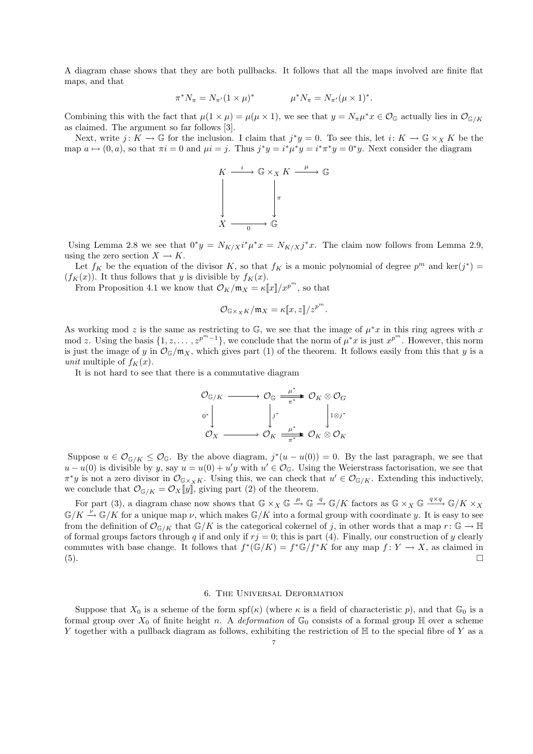A diagram chase shows that they are both pullbacks. It follows that all the maps involved are finite flat maps, and that

$$
\pi^* N_{\pi} = N_{\pi'} (1 \times \mu)^* \qquad \mu^* N_{\pi} = N_{\pi'} (\mu \times 1)^*.
$$

Combining this with the fact that  $\mu(1 \times \mu) = \mu(\mu \times 1)$ , we see that  $y = N_{\pi}\mu^*x \in \mathcal{O}_{\mathbb{G}}$  actually lies in  $\mathcal{O}_{\mathbb{G}/K}$ as claimed. The argument so far follows [3].

Next, write  $j: K \to \mathbb{G}$  for the inclusion. I claim that  $j^*y = 0$ . To see this, let  $i: K \to \mathbb{G} \times_X K$  be the map  $a \mapsto (0, a)$ , so that  $\pi i = 0$  and  $\mu i = j$ . Thus  $j^*y = i^*\mu^*y = i^*\pi^*y = 0^*y$ . Next consider the diagram



Using Lemma 2.8 we see that  $0^*y = N_{K/X} i^* \mu^* x = N_{K/X} j^* x$ . The claim now follows from Lemma 2.9, using the zero section  $X \to K$ .

Let  $f_K$  be the equation of the divisor K, so that  $f_K$  is a monic polynomial of degree  $p^m$  and  $\ker(j^*)$  $(f_K(x))$ . It thus follows that y is divisible by  $f_K(x)$ .

From Proposition 4.1 we know that  $\mathcal{O}_K/\mathfrak{m}_X = \kappa[\![x]\!]/x^{p^m}$ , so that

$$
\mathcal{O}_{\mathbb{G}\times_X K}/\mathfrak{m}_X = \kappa[\![x,z]\!]/z^{p^m}.
$$

As working mod z is the same as restricting to  $\mathbb{G}$ , we see that the image of  $\mu^*x$  in this ring agrees with x mod z. Using the basis  $\{1, z, \ldots, z^{p^m-1}\}$ , we conclude that the norm of  $\mu^*x$  is just  $x^{p^m}$ . However, this norm is just the image of y in  $\mathcal{O}_\mathbb{G}/\mathfrak{m}_X$ , which gives part (1) of the theorem. It follows easily from this that y is a unit multiple of  $f_K(x)$ .

It is not hard to see that there is a commutative diagram

$$
\begin{array}{ccc}\n\mathcal{O}_{\mathbb{G}/K} & \xrightarrow{\hspace{1cm} \mu^*} & \mathcal{O}_K \otimes \mathcal{O}_G \\
\downarrow^{0^*} & & \downarrow^{0^*} \\
\mathcal{O}_X & \xrightarrow{\hspace{1cm} \mu^*} & \mathcal{O}_K \otimes \mathcal{O}_K \\
\end{array}
$$

Suppose  $u \in \mathcal{O}_{\mathbb{G}/K} \leq \mathcal{O}_{\mathbb{G}}$ . By the above diagram,  $j^*(u - u(0)) = 0$ . By the last paragraph, we see that  $u-u(0)$  is divisible by y, say  $u=u(0)+u'y$  with  $u' \in \mathcal{O}_{\mathbb{G}}$ . Using the Weierstrass factorisation, we see that  $\pi^*y$  is not a zero divisor in  $\mathcal{O}_{\mathbb{G}\times_X K}$ . Using this, we can check that  $u' \in \mathcal{O}_{\mathbb{G}/K}$ . Extending this inductively, we conclude that  $\mathcal{O}_{\mathbb{G}/K} = \mathcal{O}_X[\![y]\!]$ , giving part (2) of the theorem.

For part (3), a diagram chase now shows that  $\mathbb{G} \times_X \mathbb{G} \stackrel{\mu}{\to} \mathbb{G} \stackrel{q}{\to} \mathbb{G}/K$  factors as  $\mathbb{G} \times_X \mathbb{G} \stackrel{q \times q}{\to} \mathbb{G}/K \times_X$  $\mathbb{G}/K \stackrel{\nu}{\to} \mathbb{G}/K$  for a unique map  $\nu$ , which makes  $\mathbb{G}/K$  into a formal group with coordinate y. It is easy to see from the definition of  $\mathcal{O}_{\mathbb{G}/K}$  that  $\mathbb{G}/K$  is the categorical cokernel of j, in other words that a map  $r: \mathbb{G} \to \mathbb{H}$ of formal groups factors through q if and only if  $rj = 0$ ; this is part (4). Finally, our construction of y clearly commutes with base change. It follows that  $f^*(\mathbb{G}/K) = f^*\mathbb{G}/f^*K$  for any map  $f: Y \to X$ , as claimed in (5).

# 6. The Universal Deformation

Suppose that  $X_0$  is a scheme of the form spf( $\kappa$ ) (where  $\kappa$  is a field of characteristic p), and that  $\mathbb{G}_0$  is a formal group over  $X_0$  of finite height n. A deformation of  $\mathbb{G}_0$  consists of a formal group  $\mathbb H$  over a scheme Y together with a pullback diagram as follows, exhibiting the restriction of  $H$  to the special fibre of Y as a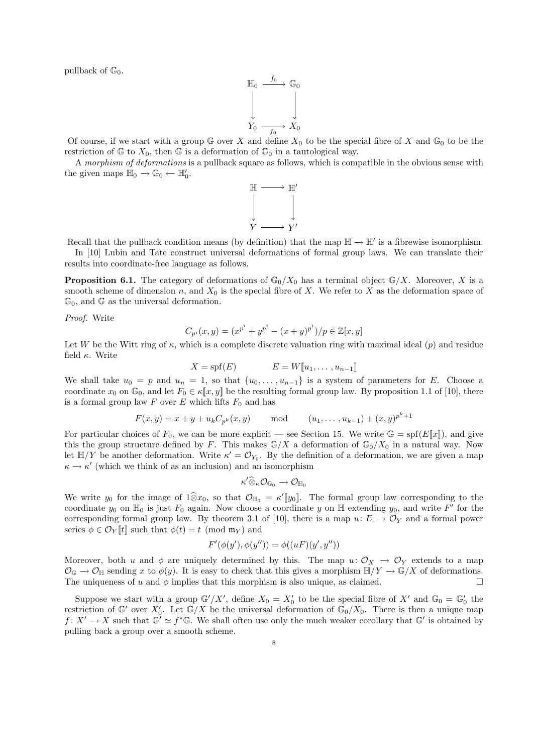pullback of  $\mathbb{G}_0$ .

$$
\mathbb{H}_0 \xrightarrow{\tilde{f}_0} \mathbb{G}_0
$$
\n
$$
\downarrow \qquad \qquad \downarrow
$$
\n
$$
Y_0 \xrightarrow{f_0} X_0
$$

Of course, if we start with a group  $\mathbb G$  over X and define  $X_0$  to be the special fibre of X and  $\mathbb G_0$  to be the restriction of  $\mathbb{G}$  to  $X_0$ , then  $\mathbb{G}$  is a deformation of  $\mathbb{G}_0$  in a tautological way.

A morphism of deformations is a pullback square as follows, which is compatible in the obvious sense with the given maps  $\mathbb{H}_0 \to \mathbb{G}_0 \leftarrow \mathbb{H}'_0$ .



Recall that the pullback condition means (by definition) that the map  $\mathbb{H} \to \mathbb{H}'$  is a fibrewise isomorphism. In [10] Lubin and Tate construct universal deformations of formal group laws. We can translate their

results into coordinate-free language as follows.

**Proposition 6.1.** The category of deformations of  $\mathbb{G}_0/X_0$  has a terminal object  $\mathbb{G}/X$ . Moreover, X is a smooth scheme of dimension n, and  $X_0$  is the special fibre of X. We refer to X as the deformation space of  $\mathbb{G}_0$ , and  $\mathbb{G}$  as the universal deformation.

Proof. Write

$$
C_{p^{i}}(x,y) = (x^{p^{i}} + y^{p^{i}} - (x+y)^{p^{i}})/p \in \mathbb{Z}[x,y]
$$

Let W be the Witt ring of  $\kappa$ , which is a complete discrete valuation ring with maximal ideal  $(p)$  and residue field  $\kappa$ . Write

$$
X = \text{spf}(E) \qquad E = W[\![u_1, \dots, u_{n-1}]\!]
$$

We shall take  $u_0 = p$  and  $u_n = 1$ , so that  $\{u_0, \ldots, u_{n-1}\}$  is a system of parameters for E. Choose a coordinate  $x_0$  on  $\mathbb{G}_0$ , and let  $F_0 \in \kappa[\![x, y]\!]$  be the resulting formal group law. By proposition 1.1 of [10], there is a formal group law  $F$  over  $E$  which lifts  $F_0$  and has

$$
F(x, y) = x + y + u_k C_{p^k}(x, y)
$$
 mod  $(u_1, \ldots, u_{k-1}) + (x, y)^{p^k+1}$ 

For particular choices of  $F_0$ , we can be more explicit — see Section 15. We write  $\mathbb{G} = \text{spf}(E[\![x]\!])$ , and give this the group structure defined by F. This makes  $\mathbb{G}/X$  a deformation of  $\mathbb{G}_0/X_0$  in a natural way. Now let  $\mathbb{H}/Y$  be another deformation. Write  $\kappa' = \mathcal{O}_{Y_0}$ . By the definition of a deformation, we are given a map  $\kappa \to \kappa'$  (which we think of as an inclusion) and an isomorphism

$$
\kappa' \widehat{\otimes}_{\kappa} \mathcal{O}_{\mathbb{G}_0} \to \mathcal{O}_{\mathbb{H}_0}
$$

We write  $y_0$  for the image of  $1\widehat{\otimes} x_0$ , so that  $\mathcal{O}_{\mathbb{H}_0} = \kappa'[y_0]$ . The formal group law corresponding to the coordinate  $y_0$  on  $\mathbb{H}_0$  is just  $F_0$  again. Now choose a coordinate y on  $\mathbb{H}$  extending  $y_0$ , and write  $F'$  for the corresponding formal group law. By theorem 3.1 of [10], there is a map  $u: E \to \mathcal{O}_Y$  and a formal power series  $\phi \in \mathcal{O}_Y[[t]]$  such that  $\phi(t) = t \pmod{\mathfrak{m}_Y}$  and

$$
F'(\phi(y'), \phi(y'')) = \phi((uF)(y', y''))
$$

Moreover, both u and  $\phi$  are uniquely determined by this. The map  $u: \mathcal{O}_X \to \mathcal{O}_Y$  extends to a map  $\mathcal{O}_{\mathbb{G}} \to \mathcal{O}_{\mathbb{H}}$  sending x to  $\phi(y)$ . It is easy to check that this gives a morphism  $\mathbb{H}/Y \to \mathbb{G}/X$  of deformations. The uniqueness of u and  $\phi$  implies that this morphism is also unique, as claimed.

Suppose we start with a group  $\mathbb{G}'/X'$ , define  $X_0 = X'_0$  to be the special fibre of  $X'$  and  $\mathbb{G}_0 = \mathbb{G}'_0$  the restriction of  $\mathbb{G}'$  over  $X'_0$ . Let  $\mathbb{G}/X$  be the universal deformation of  $\mathbb{G}_0/X_0$ . There is then a unique map  $f: X' \to X$  such that  $\mathbb{G}' \simeq f^* \mathbb{G}$ . We shall often use only the much weaker corollary that  $\mathbb{G}'$  is obtained by pulling back a group over a smooth scheme.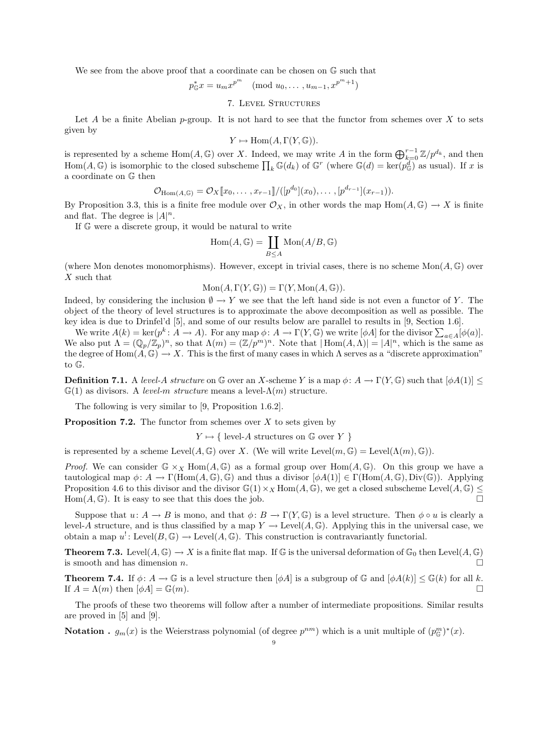We see from the above proof that a coordinate can be chosen on  $\mathbb G$  such that

$$
p_{\mathbb{G}}^* x = u_m x^{p^m} \pmod{u_0, \dots, u_{m-1}, x^{p^m+1}}
$$

7. Level Structures

Let A be a finite Abelian p-group. It is not hard to see that the functor from schemes over X to sets given by

$$
Y \mapsto \text{Hom}(A, \Gamma(Y, \mathbb{G})).
$$

is represented by a scheme  $\text{Hom}(A,\mathbb{G})$  over X. Indeed, we may write A in the form  $\bigoplus_{k=0}^{r-1} \mathbb{Z}/p^{d_k}$ , and then Hom $(A, \mathbb{G})$  is isomorphic to the closed subscheme  $\prod_k \mathbb{G}(d_k)$  of  $\mathbb{G}^r$  (where  $\mathbb{G}(d) = \text{ker}(p_{\mathbb{G}}^d)$  as usual). If x is a coordinate on G then

$$
\mathcal{O}_{\text{Hom}(A,\mathbb{G})} = \mathcal{O}_X[\![x_0,\ldots,x_{r-1}]\!]/([p^{d_0}](x_0),\ldots,[p^{d_{r-1}}](x_{r-1})).
$$

By Proposition 3.3, this is a finite free module over  $\mathcal{O}_X$ , in other words the map Hom $(A, \mathbb{G}) \to X$  is finite and flat. The degree is  $|A|^n$ .

If G were a discrete group, it would be natural to write

$$
\operatorname{Hom}(A,\mathbb{G})=\coprod_{B\leq A}\operatorname{Mon}(A/B,\mathbb{G})
$$

(where Mon denotes monomorphisms). However, except in trivial cases, there is no scheme  $Mon(A, \mathbb{G})$  over X such that

$$
\text{Mon}(A, \Gamma(Y, \mathbb{G})) = \Gamma(Y, \text{Mon}(A, \mathbb{G})).
$$

Indeed, by considering the inclusion  $\emptyset \to Y$  we see that the left hand side is not even a functor of Y. The object of the theory of level structures is to approximate the above decomposition as well as possible. The key idea is due to Drinfel'd [5], and some of our results below are parallel to results in [9, Section 1.6].

We write  $A(k) = \ker(p^k \colon A \to A)$ . For any map  $\phi \colon A \to \Gamma(Y, \mathbb{G})$  we write  $[\phi A]$  for the divisor  $\sum_{a \in A} [\phi(a)].$ We also put  $\Lambda = (\mathbb{Q}_p/\mathbb{Z}_p)^n$ , so that  $\Lambda(m) = (\mathbb{Z}/p^m)^n$ . Note that  $|\text{Hom}(A,\Lambda)| = |A|^n$ , which is the same as the degree of  $\text{Hom}(A, \mathbb{G}) \to X$ . This is the first of many cases in which  $\Lambda$  serves as a "discrete approximation" to G.

**Definition 7.1.** A level-A structure on G over an X-scheme Y is a map  $\phi: A \to \Gamma(Y, \mathbb{G})$  such that  $[\phi A(1)] \leq$  $\mathbb{G}(1)$  as divisors. A level-m structure means a level- $\Lambda(m)$  structure.

The following is very similar to [9, Proposition 1.6.2].

**Proposition 7.2.** The functor from schemes over  $X$  to sets given by

 $Y \mapsto \{\text{ level-}A \text{ structures on } \mathbb{G} \text{ over } Y \}$ 

is represented by a scheme  $Level(A, \mathbb{G})$  over X. (We will write  $Level(m, \mathbb{G}) = Level(\Lambda(m), \mathbb{G})$ ).

*Proof.* We can consider  $\mathbb{G} \times_X \text{Hom}(A, \mathbb{G})$  as a formal group over Hom $(A, \mathbb{G})$ . On this group we have a tautological map  $\phi \colon A \to \Gamma(\text{Hom}(A,\mathbb{G}),\mathbb{G})$  and thus a divisor  $[\phi A(1)] \in \Gamma(\text{Hom}(A,\mathbb{G}),\text{Div}(\mathbb{G}))$ . Applying Proposition 4.6 to this divisor and the divisor  $\mathbb{G}(1)\times \mathbb{X}$  Hom $(A,\mathbb{G})$ , we get a closed subscheme Level $(A,\mathbb{G})\leq$  $\text{Hom}(A,\mathbb{G})$ . It is easy to see that this does the job.

Suppose that  $u: A \to B$  is mono, and that  $\phi: B \to \Gamma(Y, \mathbb{G})$  is a level structure. Then  $\phi \circ u$  is clearly a level-A structure, and is thus classified by a map  $Y \to \text{Level}(A, \mathbb{G})$ . Applying this in the universal case, we obtain a map  $u^!: \text{Level}(B, \mathbb{G}) \to \text{Level}(A, \mathbb{G})$ . This construction is contravariantly functorial.

**Theorem 7.3.** Level $(A, \mathbb{G}) \to X$  is a finite flat map. If  $\mathbb{G}$  is the universal deformation of  $\mathbb{G}_0$  then Level $(A, \mathbb{G})$ is smooth and has dimension  $n$ .

**Theorem 7.4.** If  $\phi: A \to \mathbb{G}$  is a level structure then  $[\phi A]$  is a subgroup of  $\mathbb{G}$  and  $[\phi A(k)] \leq \mathbb{G}(k)$  for all k. If  $A = \Lambda(m)$  then  $[\phi A] = \mathbb{G}(m)$ .

The proofs of these two theorems will follow after a number of intermediate propositions. Similar results are proved in [5] and [9].

**Notation** .  $g_m(x)$  is the Weierstrass polynomial (of degree  $p^{nm}$ ) which is a unit multiple of  $(p_{\mathbb{G}}^m)^*(x)$ .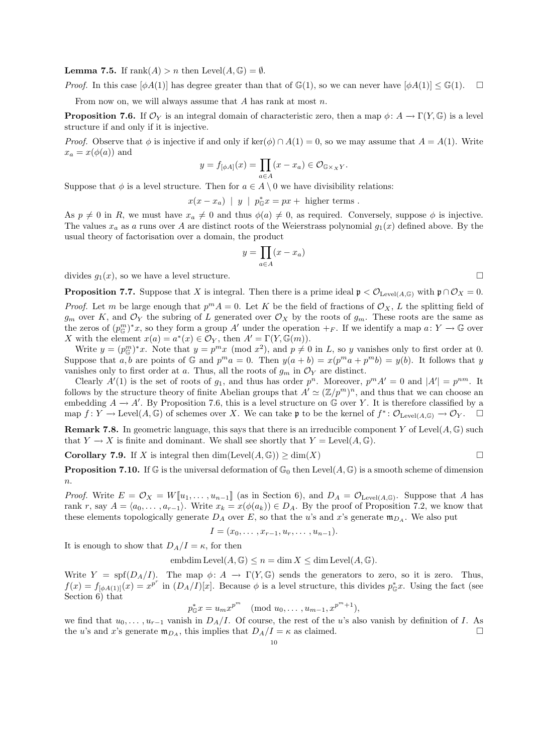**Lemma 7.5.** If  $\text{rank}(A) > n$  then  $\text{Level}(A, \mathbb{G}) = \emptyset$ .

*Proof.* In this case  $[\phi A(1)]$  has degree greater than that of  $\mathbb{G}(1)$ , so we can never have  $[\phi A(1)] \leq \mathbb{G}(1)$ .

From now on, we will always assume that  $A$  has rank at most  $n$ .

**Proposition 7.6.** If  $\mathcal{O}_Y$  is an integral domain of characteristic zero, then a map  $\phi: A \to \Gamma(Y, \mathbb{G})$  is a level structure if and only if it is injective.

*Proof.* Observe that  $\phi$  is injective if and only if ker( $\phi$ ) ∩ A(1) = 0, so we may assume that  $A = A(1)$ . Write  $x_a = x(\phi(a))$  and

$$
y = f_{\left[\phi A\right]}(x) = \prod_{a \in A} (x - x_a) \in \mathcal{O}_{\mathbb{G} \times_X Y}.
$$

Suppose that  $\phi$  is a level structure. Then for  $a \in A \setminus 0$  we have divisibility relations:

 $x(x - x_a)$  | y |  $p_{\mathbb{G}}^* x = px + \text{ higher terms}.$ 

As  $p \neq 0$  in R, we must have  $x_a \neq 0$  and thus  $\phi(a) \neq 0$ , as required. Conversely, suppose  $\phi$  is injective. The values  $x_a$  as a runs over A are distinct roots of the Weierstrass polynomial  $g_1(x)$  defined above. By the usual theory of factorisation over a domain, the product

$$
y = \prod_{a \in A} (x - x_a)
$$

divides  $g_1(x)$ , so we have a level structure.

**Proposition 7.7.** Suppose that X is integral. Then there is a prime ideal  $\mathfrak{p} < \mathcal{O}_{\mathrm{Level}(A,\mathbb{G})}$  with  $\mathfrak{p} \cap \mathcal{O}_X = 0$ .

*Proof.* Let m be large enough that  $p^{m} A = 0$ . Let K be the field of fractions of  $\mathcal{O}_X$ , L the splitting field of  $g_m$  over K, and  $\mathcal{O}_Y$  the subring of L generated over  $\mathcal{O}_X$  by the roots of  $g_m$ . These roots are the same as the zeros of  $(p_{\mathbb{G}}^m)^*x$ , so they form a group A' under the operation  $+_F$ . If we identify a map  $a: Y \to \mathbb{G}$  over X with the element  $x(a) = a^*(x) \in \mathcal{O}_Y$ , then  $A' = \Gamma(Y, \mathbb{G}(m))$ .

Write  $y = (p_{\mathbb{G}}^m)^*x$ . Note that  $y = p^mx \pmod{x^2}$ , and  $p \neq 0$  in L, so y vanishes only to first order at 0. Suppose that a, b are points of G and  $p^m a = 0$ . Then  $y(a + b) = x(p^m a + p^m b) = y(b)$ . It follows that y vanishes only to first order at a. Thus, all the roots of  $g_m$  in  $\mathcal{O}_Y$  are distinct.

Clearly  $A'(1)$  is the set of roots of  $g_1$ , and thus has order  $p^n$ . Moreover,  $p^m A' = 0$  and  $|A'| = p^{nm}$ . It follows by the structure theory of finite Abelian groups that  $A' \simeq (\mathbb{Z}/p^m)^n$ , and thus that we can choose an embedding  $A \to A'$ . By Proposition 7.6, this is a level structure on  $\mathbb G$  over Y. It is therefore classified by a map  $f: Y \to \text{Level}(A, \mathbb{G})$  of schemes over X. We can take p to be the kernel of  $f^* \colon \mathcal{O}_{\text{Level}(A, \mathbb{G})} \to \mathcal{O}_Y$ .

**Remark 7.8.** In geometric language, this says that there is an irreducible component Y of Level $(A, \mathbb{G})$  such that  $Y \to X$  is finite and dominant. We shall see shortly that  $Y = \text{Level}(A, \mathbb{G})$ .

**Corollary 7.9.** If X is integral then  $\dim(\text{Level}(A, \mathbb{G})) \ge \dim(X)$ 

**Proposition 7.10.** If G is the universal deformation of  $\mathbb{G}_0$  then Level $(A, \mathbb{G})$  is a smooth scheme of dimension  $\boldsymbol{n}$ .

*Proof.* Write  $E = \mathcal{O}_X = W[\![u_1, \ldots, u_{n-1}]\!]$  (as in Section 6), and  $D_A = \mathcal{O}_{\text{Level}(A, \mathbb{G})}$ . Suppose that A has rank r, say  $A = \langle a_0, \ldots, a_{r-1} \rangle$ . Write  $x_k = x(\phi(a_k)) \in D_A$ . By the proof of Proposition 7.2, we know that these elements topologically generate  $D_A$  over E, so that the u's and x's generate  $m_{D_A}$ . We also put

 $I = (x_0, \ldots, x_{r-1}, u_r, \ldots, u_{n-1}).$ 

It is enough to show that  $D_A/I = \kappa$ , for then

embdim Level $(A, \mathbb{G}) \leq n = \dim X \leq \dim \text{Level}(A, \mathbb{G}).$ 

Write  $Y = \text{spf}(D_A/I)$ . The map  $\phi: A \to \Gamma(Y, \mathbb{G})$  sends the generators to zero, so it is zero. Thus,  $f(x) = f_{\lbrack \phi A(1) \rbrack}(x) = x^{p^r}$  in  $(D_A/I)[x]$ . Because  $\phi$  is a level structure, this divides  $p_{\mathbb{G}}^*x$ . Using the fact (see Section 6) that

 $p_{\mathbb{G}}^* x = u_m x^{p^m} \pmod{u_0, \ldots, u_{m-1}, x^{p^m+1}},$ 

we find that  $u_0, \ldots, u_{r-1}$  vanish in  $D_A/I$ . Of course, the rest of the u's also vanish by definition of I. As the u's and x's generate  $\mathfrak{m}_{D_A}$ , this implies that  $D_A/I = \kappa$  as claimed.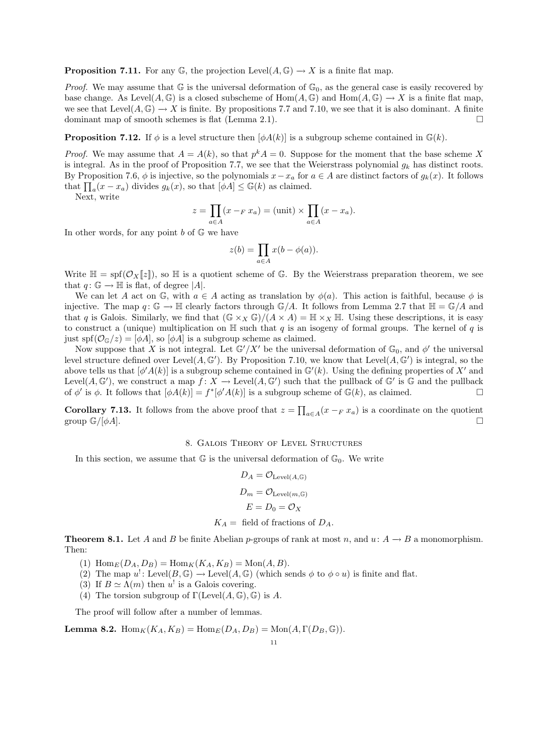**Proposition 7.11.** For any  $\mathbb{G}$ , the projection Level( $A, \mathbb{G}$ )  $\rightarrow X$  is a finite flat map.

*Proof.* We may assume that  $\mathbb{G}$  is the universal deformation of  $\mathbb{G}_0$ , as the general case is easily recovered by base change. As Level(A, G) is a closed subscheme of  $Hom(A, \mathbb{G})$  and  $Hom(A, \mathbb{G}) \to X$  is a finite flat map, we see that Level( $A, \mathbb{G}$ )  $\rightarrow X$  is finite. By propositions 7.7 and 7.10, we see that it is also dominant. A finite dominant map of smooth schemes is flat (Lemma 2.1).  $\Box$ 

**Proposition 7.12.** If  $\phi$  is a level structure then  $[\phi A(k)]$  is a subgroup scheme contained in  $\mathbb{G}(k)$ .

*Proof.* We may assume that  $A = A(k)$ , so that  $p^k A = 0$ . Suppose for the moment that the base scheme X is integral. As in the proof of Proposition 7.7, we see that the Weierstrass polynomial  $g_k$  has distinct roots. By Proposition 7.6,  $\phi$  is injective, so the polynomials  $x-x_a$  for  $a \in A$  are distinct factors of  $g_k(x)$ . It follows that  $\prod_a(x - x_a)$  divides  $g_k(x)$ , so that  $[\overline{\phi}A] \leq \mathbb{G}(k)$  as claimed.

Next, write

$$
z = \prod_{a \in A} (x - F x_a) = (\text{unit}) \times \prod_{a \in A} (x - x_a).
$$

In other words, for any point  $b$  of  $\mathbb{G}$  we have

$$
z(b) = \prod_{a \in A} x(b - \phi(a)).
$$

Write  $\mathbb{H} = \text{spf}(\mathcal{O}_X[\![z]\!])$ , so  $\mathbb H$  is a quotient scheme of G. By the Weierstrass preparation theorem, we see that  $q: \mathbb{G} \to \mathbb{H}$  is flat, of degree |A|.

We can let A act on G, with  $a \in A$  acting as translation by  $\phi(a)$ . This action is faithful, because  $\phi$  is injective. The map  $q: \mathbb{G} \to \mathbb{H}$  clearly factors through  $\mathbb{G}/A$ . It follows from Lemma 2.7 that  $\mathbb{H} = \mathbb{G}/A$  and that q is Galois. Similarly, we find that  $(\mathbb{G} \times_X \mathbb{G})/(A \times A) = \mathbb{H} \times_X \mathbb{H}$ . Using these descriptions, it is easy to construct a (unique) multiplication on  $\mathbb H$  such that q is an isogeny of formal groups. The kernel of q is just spf $(\mathcal{O}_\mathbb{G}/z) = [\phi A]$ , so  $[\phi A]$  is a subgroup scheme as claimed.

Now suppose that X is not integral. Let  $\mathbb{G}'/X'$  be the universal deformation of  $\mathbb{G}_0$ , and  $\phi'$  the universal level structure defined over Level $(A, \mathbb{G}')$ . By Proposition 7.10, we know that Level $(A, \mathbb{G}')$  is integral, so the above tells us that  $[\phi' A(k)]$  is a subgroup scheme contained in  $\mathbb{G}'(k)$ . Using the defining properties of X' and Level $(A, \mathbb{G}')$ , we construct a map  $f: X \to \text{Level}(A, \mathbb{G}')$  such that the pullback of  $\mathbb{G}'$  is  $\mathbb{G}$  and the pullback of  $\phi'$  is  $\phi$ . It follows that  $[\phi A(k)] = f^*[\phi' A(k)]$  is a subgroup scheme of  $\mathbb{G}(k)$ , as claimed.

**Corollary 7.13.** It follows from the above proof that  $z = \prod_{a \in A} (x - F x_a)$  is a coordinate on the quotient group  $\mathbb{G}/[\phi A]$ .

## 8. Galois Theory of Level Structures

In this section, we assume that  $\mathbb G$  is the universal deformation of  $\mathbb G_0$ . We write

$$
D_A = \mathcal{O}_{\text{Level}(A, \mathbb{G})}
$$

$$
D_m = \mathcal{O}_{\text{Level}(m, \mathbb{G})}
$$

$$
E = D_0 = \mathcal{O}_X
$$

$$
K_A = \text{ field of fractions of } D_A.
$$

**Theorem 8.1.** Let A and B be finite Abelian p-groups of rank at most n, and  $u: A \to B$  a monomorphism. Then:

(1)  $\text{Hom}_{E}(D_{A}, D_{B}) = \text{Hom}_{K}(K_{A}, K_{B}) = \text{Mon}(A, B).$ 

- (2) The map  $u^! \colon \text{Level}(B, \mathbb{G}) \to \text{Level}(A, \mathbb{G})$  (which sends  $\phi$  to  $\phi \circ u$ ) is finite and flat.
- (3) If  $B \simeq \Lambda(m)$  then u<sup>!</sup> is a Galois covering.
- (4) The torsion subgroup of  $\Gamma(\text{Level}(A, \mathbb{G}), \mathbb{G})$  is A.

The proof will follow after a number of lemmas.

**Lemma 8.2.**  $\text{Hom}_K(K_A, K_B) = \text{Hom}_E(D_A, D_B) = \text{Mon}(A, \Gamma(D_B, \mathbb{G}))$ .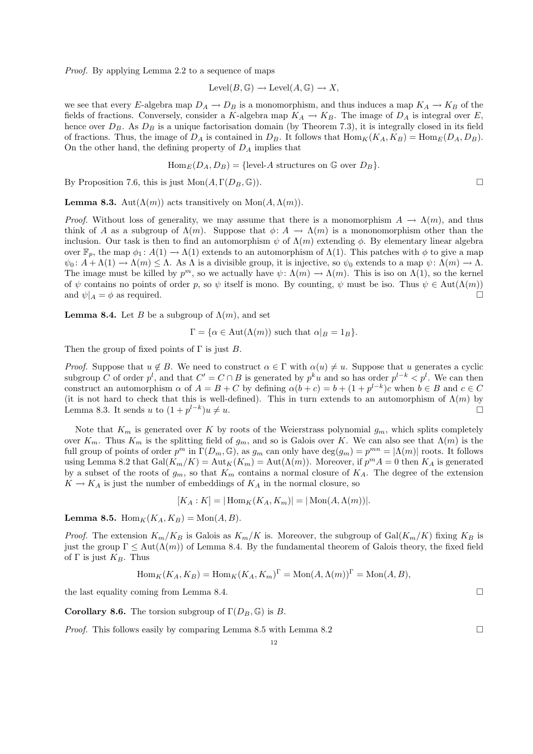Proof. By applying Lemma 2.2 to a sequence of maps

$$
Level(B, \mathbb{G}) \longrightarrow Level(A, \mathbb{G}) \longrightarrow X,
$$

we see that every E-algebra map  $D_A \to D_B$  is a monomorphism, and thus induces a map  $K_A \to K_B$  of the fields of fractions. Conversely, consider a K-algebra map  $K_A \to K_B$ . The image of  $D_A$  is integral over E, hence over  $D_B$ . As  $D_B$  is a unique factorisation domain (by Theorem 7.3), it is integrally closed in its field of fractions. Thus, the image of  $D_A$  is contained in  $D_B$ . It follows that  $\text{Hom}_K(K_A, K_B) = \text{Hom}_E(D_A, D_B)$ . On the other hand, the defining property of  $D_A$  implies that

$$
\text{Hom}_E(D_A, D_B) = \{ \text{level-}A \text{ structures on } \mathbb{G} \text{ over } D_B \}.
$$

By Proposition 7.6, this is just  $Mon(A, \Gamma(D_B, \mathbb{G}))$ .

**Lemma 8.3.** Aut $(\Lambda(m))$  acts transitively on Mon $(A, \Lambda(m))$ .

*Proof.* Without loss of generality, we may assume that there is a monomorphism  $A \to \Lambda(m)$ , and thus think of A as a subgroup of  $\Lambda(m)$ . Suppose that  $\phi: A \to \Lambda(m)$  is a mononomorphism other than the inclusion. Our task is then to find an automorphism  $\psi$  of  $\Lambda(m)$  extending  $\phi$ . By elementary linear algebra over  $\mathbb{F}_p$ , the map  $\phi_1: A(1) \to \Lambda(1)$  extends to an automorphism of  $\Lambda(1)$ . This patches with  $\phi$  to give a map  $\psi_0: A + \Lambda(1) \to \Lambda(m) \leq \Lambda$ . As  $\Lambda$  is a divisible group, it is injective, so  $\psi_0$  extends to a map  $\psi: \Lambda(m) \to \Lambda$ . The image must be killed by  $p^m$ , so we actually have  $\psi: \Lambda(m) \to \Lambda(m)$ . This is iso on  $\Lambda(1)$ , so the kernel of  $\psi$  contains no points of order p, so  $\psi$  itself is mono. By counting,  $\psi$  must be iso. Thus  $\psi \in \text{Aut}(\Lambda(m))$ and  $\psi|_A = \phi$  as required.

**Lemma 8.4.** Let B be a subgroup of  $\Lambda(m)$ , and set

$$
\Gamma = \{ \alpha \in \text{Aut}(\Lambda(m)) \text{ such that } \alpha|_B = 1_B \}.
$$

Then the group of fixed points of  $\Gamma$  is just  $B$ .

*Proof.* Suppose that  $u \notin B$ . We need to construct  $\alpha \in \Gamma$  with  $\alpha(u) \neq u$ . Suppose that u generates a cyclic subgroup C of order  $p^l$ , and that  $C' = C \cap B$  is generated by  $p^k u$  and so has order  $p^{l-k} < p^l$ . We can then construct an automorphism  $\alpha$  of  $A = B + C$  by defining  $\alpha(b + c) = b + (1 + p^{l-k})c$  when  $b \in B$  and  $c \in C$ (it is not hard to check that this is well-defined). This in turn extends to an automorphism of  $\Lambda(m)$  by Lemma 8.3. It sends u to  $(1+p^{l-k})$  $\omega \neq u.$ 

Note that  $K_m$  is generated over K by roots of the Weierstrass polynomial  $g_m$ , which splits completely over  $K_m$ . Thus  $K_m$  is the splitting field of  $g_m$ , and so is Galois over K. We can also see that  $\Lambda(m)$  is the full group of points of order  $p^m$  in  $\Gamma(D_m, \mathbb{G})$ , as  $g_m$  can only have  $\deg(g_m) = p^{mn} = |\Lambda(m)|$  roots. It follows using Lemma 8.2 that  $Gal(K_m/K) = Aut_K(K_m) = Aut(\Lambda(m))$ . Moreover, if  $p^m A = 0$  then  $K_A$  is generated by a subset of the roots of  $g_m$ , so that  $K_m$  contains a normal closure of  $K_A$ . The degree of the extension  $K \to K_A$  is just the number of embeddings of  $K_A$  in the normal closure, so

$$
[K_A : K] = | \operatorname{Hom}_K(K_A, K_m) | = | \operatorname{Mon}(A, \Lambda(m)) |.
$$

**Lemma 8.5.** Hom<sub>K</sub> $(K_A, K_B) = \text{Mon}(A, B)$ .

*Proof.* The extension  $K_m/K_B$  is Galois as  $K_m/K$  is. Moreover, the subgroup of Gal $(K_m/K)$  fixing  $K_B$  is just the group  $\Gamma \leq \text{Aut}(\Lambda(m))$  of Lemma 8.4. By the fundamental theorem of Galois theory, the fixed field of  $\Gamma$  is just  $K_B$ . Thus

$$
\operatorname{Hom}_K(K_A, K_B) = \operatorname{Hom}_K(K_A, K_m)^{\Gamma} = \operatorname{Mon}(A, \Lambda(m))^{\Gamma} = \operatorname{Mon}(A, B),
$$

the last equality coming from Lemma 8.4.

**Corollary 8.6.** The torsion subgroup of  $\Gamma(D_B, \mathbb{G})$  is B.

*Proof.* This follows easily by comparing Lemma 8.5 with Lemma 8.2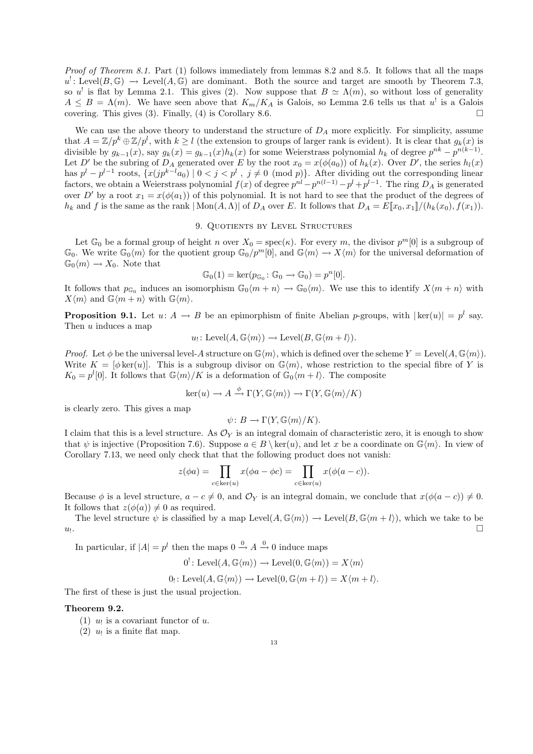Proof of Theorem 8.1. Part (1) follows immediately from lemmas 8.2 and 8.5. It follows that all the maps  $u'$ : Level $(B, \mathbb{G}) \to \text{Level}(A, \mathbb{G})$  are dominant. Both the source and target are smooth by Theorem 7.3, so u' is flat by Lemma 2.1. This gives (2). Now suppose that  $B \simeq \Lambda(m)$ , so without loss of generality  $A \leq B = \Lambda(m)$ . We have seen above that  $K_m/K_A$  is Galois, so Lemma 2.6 tells us that u' is a Galois covering. This gives (3). Finally, (4) is Corollary 8.6.

We can use the above theory to understand the structure of  $D_A$  more explicitly. For simplicity, assume that  $A = \mathbb{Z}/p^k \oplus \mathbb{Z}/p^l$ , with  $k \geq l$  (the extension to groups of larger rank is evident). It is clear that  $g_k(x)$  is divisible by  $g_{k-1}(x)$ , say  $g_k(x) = g_{k-1}(x)h_k(x)$  for some Weierstrass polynomial  $h_k$  of degree  $p^{nk} - p^{n(k-1)}$ . Let D' be the subring of  $D_A$  generated over E by the root  $x_0 = x(\phi(a_0))$  of  $h_k(x)$ . Over D', the series  $h_l(x)$ has  $p^{l} - p^{l-1}$  roots,  $\{x(jp^{k-l}a_0) \mid 0 < j < p^{l} \text{, } j \neq 0 \pmod{p}\}\$ . After dividing out the corresponding linear factors, we obtain a Weierstrass polynomial  $f(x)$  of degree  $p^{nl} - p^{n(l-1)} - p^l + p^{l-1}$ . The ring  $D_A$  is generated over D' by a root  $x_1 = x(\phi(a_1))$  of this polynomial. It is not hard to see that the product of the degrees of  $h_k$  and f is the same as the rank  $|\text{Mon}(A,\Lambda)|$  of  $D_A$  over E. It follows that  $D_A = E[x_0, x_1]/(h_k(x_0), f(x_1)).$ 

### 9. Quotients by Level Structures

Let  $\mathbb{G}_0$  be a formal group of height n over  $X_0 = \text{spec}(\kappa)$ . For every m, the divisor  $p^m[0]$  is a subgroup of  $\mathbb{G}_0$ . We write  $\mathbb{G}_0\langle m\rangle$  for the quotient group  $\mathbb{G}_0/p^m[0]$ , and  $\mathbb{G}\langle m\rangle \to X\langle m\rangle$  for the universal deformation of  $\mathbb{G}_0\langle m\rangle \to X_0$ . Note that

$$
\mathbb{G}_0(1) = \ker(p_{\mathbb{G}_0} : \mathbb{G}_0 \to \mathbb{G}_0) = p^n[0].
$$

It follows that  $p_{\mathbb{G}_0}$  induces an isomorphism  $\mathbb{G}_0\langle m+n\rangle \to \mathbb{G}_0\langle m\rangle$ . We use this to identify  $X\langle m+n\rangle$  with  $X\langle m\rangle$  and  $\mathbb{G}\langle m + n\rangle$  with  $\mathbb{G}\langle m\rangle$ .

**Proposition 9.1.** Let  $u: A \to B$  be an epimorphism of finite Abelian p-groups, with  $|\ker(u)| = p^l$  say. Then u induces a map

$$
u_!
$$
: Level $(A, \mathbb{G}\langle m \rangle) \rightarrow$  Level $(B, \mathbb{G}\langle m+l \rangle)$ .

*Proof.* Let  $\phi$  be the universal level-A structure on  $\mathbb{G}\langle m \rangle$ , which is defined over the scheme  $Y = \text{Level}(A, \mathbb{G}\langle m \rangle)$ . Write  $K = [\phi \text{ker}(u)]$ . This is a subgroup divisor on  $\mathbb{G}\langle m \rangle$ , whose restriction to the special fibre of Y is  $K_0 = p^l[0]$ . It follows that  $\mathbb{G}\langle m \rangle/K$  is a deformation of  $\mathbb{G}_0\langle m+l \rangle$ . The composite

$$
\ker(u) \to A \xrightarrow{\phi} \Gamma(Y, \mathbb{G}\langle m \rangle) \to \Gamma(Y, \mathbb{G}\langle m \rangle/K)
$$

is clearly zero. This gives a map

$$
\psi\colon B\longrightarrow \Gamma(Y,\mathbb{G}\langle m\rangle/K).
$$

I claim that this is a level structure. As  $\mathcal{O}_Y$  is an integral domain of characteristic zero, it is enough to show that  $\psi$  is injective (Proposition 7.6). Suppose  $a \in B \ \ker(u)$ , and let x be a coordinate on  $\mathbb{G}\langle m \rangle$ . In view of Corollary 7.13, we need only check that that the following product does not vanish:

$$
z(\phi a) = \prod_{c \in \ker(u)} x(\phi a - \phi c) = \prod_{c \in \ker(u)} x(\phi(a - c)).
$$

Because  $\phi$  is a level structure,  $a - c \neq 0$ , and  $\mathcal{O}_Y$  is an integral domain, we conclude that  $x(\phi(a - c)) \neq 0$ . It follows that  $z(\phi(a)) \neq 0$  as required.

The level structure  $\psi$  is classified by a map Level $(A, \mathbb{G}\langle m \rangle) \to \text{Level}(B, \mathbb{G}\langle m + l \rangle)$ , which we take to be  $u_!$ . . In the control of the control of the control of the control of the control of the control of the control of the<br>International control of the control of the control of the control of the control of the control of the con

In particular, if  $|A| = p^l$  then the maps  $0 \stackrel{0}{\rightarrow} A \stackrel{0}{\rightarrow} 0$  induce maps

$$
0^! : \mathrm{Level}(A, \mathbb{G}\langle m \rangle) \to \mathrm{Level}(0, \mathbb{G}\langle m \rangle) = X \langle m \rangle
$$

 $0_! \colon \mathrm{Level}(A, \mathbb{G}\langle m \rangle) \to \mathrm{Level}(0, \mathbb{G}\langle m+l \rangle) = X\langle m+l \rangle.$ 

The first of these is just the usual projection.

### Theorem 9.2.

- (1)  $u_!$  is a covariant functor of  $u$ .
- (2)  $u_!$  is a finite flat map.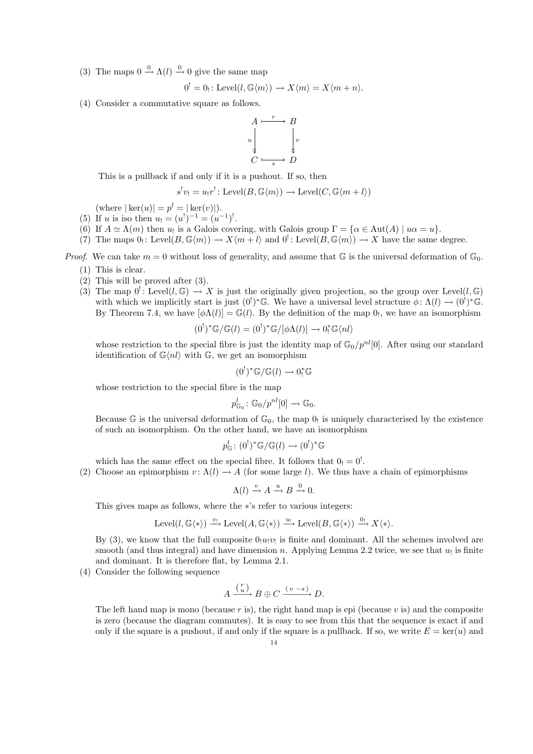(3) The maps  $0 \xrightarrow{0} \Lambda(l) \xrightarrow{0} 0$  give the same map

$$
0^! = 0_! : \text{Level}(l, \mathbb{G}\langle m \rangle) \longrightarrow X\langle m \rangle = X\langle m + n \rangle.
$$

(4) Consider a commutative square as follows.



This is a pullback if and only if it is a pushout. If so, then

$$
s^{!}v_{!} = u_{!}r^{!} \colon \text{Level}(B, \mathbb{G}\langle m\rangle) \to \text{Level}(C, \mathbb{G}\langle m+l\rangle)
$$

(where  $|\ker(u)| = p^l = |\ker(v)|$ ).

- (5) If u is iso then  $u_! = (u^!)^{-1} = (u^{-1})^!$ .
- (6) If  $A \simeq \Lambda(m)$  then  $u_!$  is a Galois covering, with Galois group  $\Gamma = {\alpha \in Aut(A) \mid u\alpha = u}.$
- (7) The maps  $0_! \colon \mathrm{Level}(B, \mathbb{G}\langle m\rangle) \to X\langle m+l\rangle$  and  $0^! \colon \mathrm{Level}(B, \mathbb{G}\langle m\rangle) \to X$  have the same degree.

*Proof.* We can take  $m = 0$  without loss of generality, and assume that  $\mathbb{G}$  is the universal deformation of  $\mathbb{G}_0$ .

- (1) This is clear.
- (2) This will be proved after (3).
- (3) The map  $0^! \colon \text{Level}(l, \mathbb{G}) \to X$  is just the originally given projection, so the group over Level $(l, \mathbb{G})$ with which we implicitly start is just  $(0^!)^* \mathbb{G}$ . We have a universal level structure  $\phi \colon \Lambda(l) \to (0^!)^* \mathbb{G}$ . By Theorem 7.4, we have  $[\phi \Lambda(l)] = \mathbb{G}(l)$ . By the definition of the map  $0<sub>l</sub>$ , we have an isomorphism

$$
(0^!)^* \mathbb{G}/\mathbb{G}(l) = (0^!)^* \mathbb{G}/[\phi \Lambda(l)] \to 0^*_{!} \mathbb{G}\langle nl \rangle
$$

whose restriction to the special fibre is just the identity map of  $\mathbb{G}_0/p^{nl}[0]$ . After using our standard identification of  $\mathbb{G}\langle nl \rangle$  with  $\mathbb{G}$ , we get an isomorphism

$$
(0^!)^* \mathbb{G}/\mathbb{G}(l) \longrightarrow 0^*_!\mathbb{G}
$$

whose restriction to the special fibre is the map

$$
p_{\mathbb{G}_0}^l \colon \mathbb{G}_0/p^{nl}[0] \to \mathbb{G}_0.
$$

Because  $\mathbb G$  is the universal deformation of  $\mathbb G_0$ , the map  $0_!$  is uniquely characterised by the existence of such an isomorphism. On the other hand, we have an isomorphism

$$
p_{\mathbb{G}}^l \colon (0^!)^* \mathbb{G}/\mathbb{G}(l) \to (0^!)^* \mathbb{G}
$$

which has the same effect on the special fibre. It follows that  $0_! = 0^!$ . (2) Choose an epimorphism  $v: \Lambda(l) \to A$  (for some large l). We thus have a chain of epimorphisms

$$
\Lambda(l) \xrightarrow{v} A \xrightarrow{u} B \xrightarrow{0} 0.
$$

This gives maps as follows, where the ∗'s refer to various integers:

$$
Level(l, \mathbb{G}\langle * \rangle) \stackrel{v_!}{\longrightarrow} Level(A, \mathbb{G}\langle * \rangle) \stackrel{u_!}{\longrightarrow} Level(B, \mathbb{G}\langle * \rangle) \stackrel{0_!}{\longrightarrow} X\langle * \rangle.
$$

By  $(3)$ , we know that the full composite  $0 \le u \le v$  is finite and dominant. All the schemes involved are smooth (and thus integral) and have dimension n. Applying Lemma 2.2 twice, we see that  $u_!$  is finite and dominant. It is therefore flat, by Lemma 2.1.

(4) Consider the following sequence

$$
A \xrightarrow{\binom{r}{u}} B \oplus C \xrightarrow{(v-s)} D.
$$

The left hand map is mono (because  $r$  is), the right hand map is epi (because  $v$  is) and the composite is zero (because the diagram commutes). It is easy to see from this that the sequence is exact if and only if the square is a pushout, if and only if the square is a pullback. If so, we write  $E = \text{ker}(u)$  and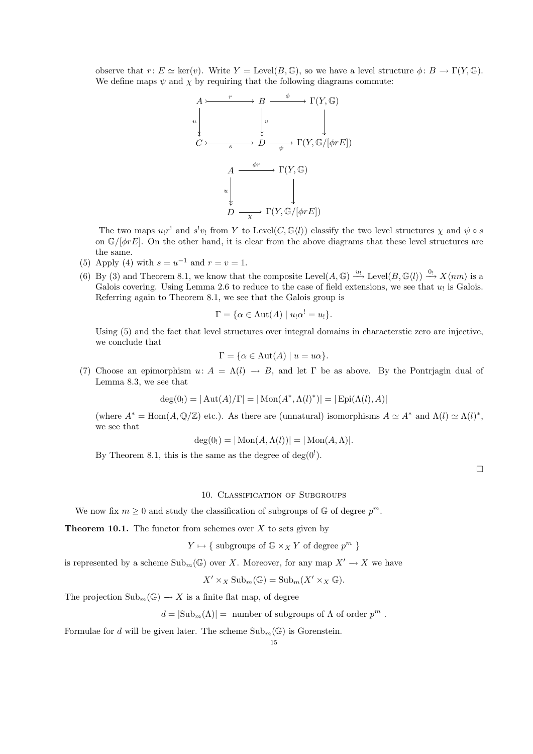observe that  $r: E \simeq \text{ker}(v)$ . Write  $Y = \text{Level}(B, \mathbb{G})$ , so we have a level structure  $\phi: B \to \Gamma(Y, \mathbb{G})$ . We define maps  $\psi$  and  $\chi$  by requiring that the following diagrams commute:

$$
A \rightarrow B \rightarrow \Gamma(Y, \mathbb{G})
$$
\n
$$
u \downarrow \qquad \qquad v \qquad \qquad \downarrow \qquad \qquad \downarrow
$$
\n
$$
C \rightarrow \qquad \rightarrow D \rightarrow \Gamma(Y, \mathbb{G}/[\phi r E])
$$
\n
$$
A \xrightarrow{\phi r} \Gamma(Y, \mathbb{G})
$$
\n
$$
u \downarrow \qquad \qquad \downarrow
$$
\n
$$
D \xrightarrow{\chi} \Gamma(Y, \mathbb{G}/[\phi r E])
$$

The two maps  $u_!r^!$  and  $s^!v_!$  from Y to Level(C,  $\mathbb{G}\langle l \rangle$ ) classify the two level structures  $\chi$  and  $\psi \circ s$ on  $\mathbb{G}/[\phi rE]$ . On the other hand, it is clear from the above diagrams that these level structures are the same.

- (5) Apply (4) with  $s = u^{-1}$  and  $r = v = 1$ .
- (6) By (3) and Theorem 8.1, we know that the composite Level $(A, \mathbb{G}) \stackrel{u_1}{\longrightarrow} \text{Level}(B, \mathbb{G}\langle l \rangle) \stackrel{0_1}{\longrightarrow} X\langle nm \rangle$  is a Galois covering. Using Lemma 2.6 to reduce to the case of field extensions, we see that  $u_!$  is Galois. Referring again to Theorem 8.1, we see that the Galois group is

$$
\Gamma = \{ \alpha \in \text{Aut}(A) \mid u_! \alpha^! = u_! \}.
$$

Using  $(5)$  and the fact that level structures over integral domains in characterstic zero are injective, we conclude that

$$
\Gamma = \{ \alpha \in \text{Aut}(A) \mid u = u\alpha \}.
$$

(7) Choose an epimorphism  $u: A = \Lambda(l) \to B$ , and let  $\Gamma$  be as above. By the Pontrjagin dual of Lemma 8.3, we see that

$$
deg(0_!) = | Aut(A)/\Gamma | = | Mon(A^*, \Lambda(l)^*)| = | Epi(\Lambda(l), A)|
$$

(where  $A^* = \text{Hom}(A, \mathbb{Q}/\mathbb{Z})$  etc.). As there are (unnatural) isomorphisms  $A \simeq A^*$  and  $\Lambda(l) \simeq \Lambda(l)^*$ , we see that

$$
deg(0_!) = |\operatorname{Mon}(A, \Lambda(l))| = |\operatorname{Mon}(A, \Lambda)|.
$$

By Theorem 8.1, this is the same as the degree of  $deg(0^!)$ .

 $\Box$ 

### 10. Classification of Subgroups

We now fix  $m \geq 0$  and study the classification of subgroups of  $\mathbb{G}$  of degree  $p^m$ .

**Theorem 10.1.** The functor from schemes over  $X$  to sets given by

$$
Y \mapsto \{ \text{ subgroups of } \mathbb{G} \times_X Y \text{ of degree } p^m \}
$$

is represented by a scheme  $\text{Sub}_m(\mathbb{G})$  over X. Moreover, for any map  $X' \to X$  we have

 $X' \times_X \mathrm{Sub}_m(\mathbb{G}) = \mathrm{Sub}_m(X' \times_X \mathbb{G}).$ 

The projection  $\text{Sub}_m(\mathbb{G}) \to X$  is a finite flat map, of degree

 $d = |\text{Sub}_m(\Lambda)| = \text{ number of subgroups of } \Lambda \text{ of order } p^m.$ 

Formulae for d will be given later. The scheme  $\text{Sub}_{m}(\mathbb{G})$  is Gorenstein.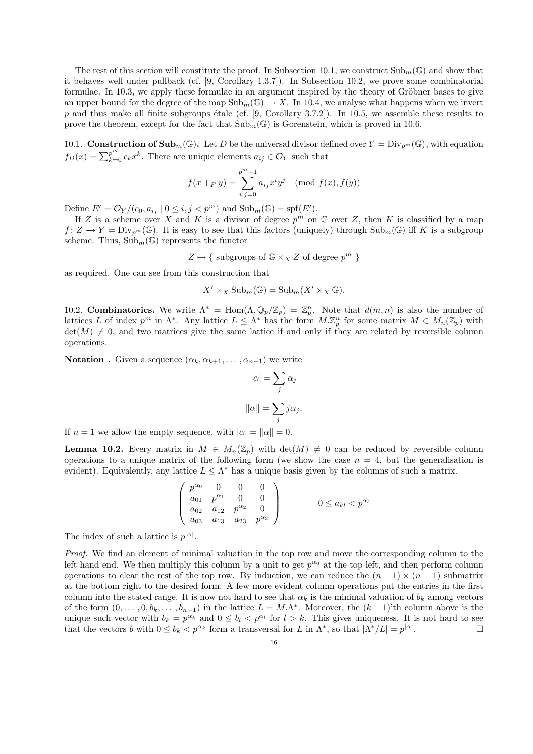The rest of this section will constitute the proof. In Subsection 10.1, we construct  $\text{Sub}_{m}(\mathbb{G})$  and show that it behaves well under pullback (cf. [9, Corollary 1.3.7]). In Subsection 10.2, we prove some combinatorial formulae. In 10.3, we apply these formulae in an argument inspired by the theory of Gröbner bases to give an upper bound for the degree of the map  $\text{Sub}_m(\mathbb{G}) \to X$ . In 10.4, we analyse what happens when we invert  $p$  and thus make all finite subgroups étale (cf. [9, Corollary 3.7.2]). In 10.5, we assemble these results to prove the theorem, except for the fact that  $\text{Sub}_m(\mathbb{G})$  is Gorenstein, which is proved in 10.6.

10.1. **Construction of Sub**<sub>m</sub>(G). Let D be the universal divisor defined over  $Y = Div_{p^m}(\mathbb{G})$ , with equation  $f_D(x) = \sum_{k=0}^{p^m} c_k x^k$ . There are unique elements  $a_{ij} \in \mathcal{O}_Y$  such that

$$
f(x +_{F} y) = \sum_{i,j=0}^{p^{m}-1} a_{ij} x^{i} y^{j} \pmod{f(x), f(y)}
$$

Define  $E' = \mathcal{O}_Y/(c_0, a_{ij} | 0 \leq i, j < p^m)$  and  $\text{Sub}_m(\mathbb{G}) = \text{spf}(E').$ 

If Z is a scheme over X and K is a divisor of degree  $p^m$  on G over Z, then K is classified by a map  $f: Z \to Y = Div_{p^m}(\mathbb{G})$ . It is easy to see that this factors (uniquely) through  $Sub_m(\mathbb{G})$  iff K is a subgroup scheme. Thus,  $\text{Sub}_m(\mathbb{G})$  represents the functor

 $Z \mapsto \{$  subgroups of  $\mathbb{G} \times_X Z$  of degree  $p^m$  }

as required. One can see from this construction that

$$
X' \times_X \mathrm{Sub}_m(\mathbb{G}) = \mathrm{Sub}_m(X' \times_X \mathbb{G}).
$$

10.2. **Combinatorics.** We write  $\Lambda^* = \text{Hom}(\Lambda, \mathbb{Q}_p/\mathbb{Z}_p) = \mathbb{Z}_p^n$ . Note that  $d(m, n)$  is also the number of lattices L of index  $p^m$  in  $\Lambda^*$ . Any lattice  $L \leq \Lambda^*$  has the form  $M.\mathbb{Z}_p^n$  for some matrix  $M \in M_n(\mathbb{Z}_p)$  with  $\det(M) \neq 0$ , and two matrices give the same lattice if and only if they are related by reversible column operations.

**Notation** . Given a sequence  $(\alpha_k, \alpha_{k+1}, \ldots, \alpha_{n-1})$  we write

$$
|\alpha| = \sum_{j} \alpha_j
$$

$$
\|\alpha\| = \sum_{j} j \alpha_j.
$$

If  $n = 1$  we allow the empty sequence, with  $|\alpha| = ||\alpha|| = 0$ .

**Lemma 10.2.** Every matrix in  $M \in M_n(\mathbb{Z}_p)$  with  $\det(M) \neq 0$  can be reduced by reversible column operations to a unique matrix of the following form (we show the case  $n = 4$ , but the generalisation is evident). Equivalently, any lattice  $L \leq \Lambda^*$  has a unique basis given by the columns of such a matrix.

$$
\begin{pmatrix} p^{\alpha_0} & 0 & 0 & 0 \ a_{01} & p^{\alpha_1} & 0 & 0 \ a_{02} & a_{12} & p^{\alpha_2} & 0 \ a_{03} & a_{13} & a_{23} & p^{\alpha_3} \end{pmatrix} \qquad 0 \le a_{kl} < p^{\alpha_l}
$$

The index of such a lattice is  $p^{|\alpha|}$ .

Proof. We find an element of minimal valuation in the top row and move the corresponding column to the left hand end. We then multiply this column by a unit to get  $p^{\alpha_0}$  at the top left, and then perform column operations to clear the rest of the top row. By induction, we can reduce the  $(n - 1) \times (n - 1)$  submatrix at the bottom right to the desired form. A few more evident column operations put the entries in the first column into the stated range. It is now not hard to see that  $\alpha_k$  is the minimal valuation of  $b_k$  among vectors of the form  $(0, \ldots, 0, b_k, \ldots, b_{n-1})$  in the lattice  $L = M.\Lambda^*$ . Moreover, the  $(k+1)$ 'th column above is the unique such vector with  $b_k = p^{\alpha_k}$  and  $0 \leq b_l < p^{\alpha_l}$  for  $l > k$ . This gives uniqueness. It is not hard to see that the vectors  $\underline{b}$  with  $0 \leq b_k < p^{\alpha_k}$  form a transversal for L in  $\Lambda^*$ , so that  $|\Lambda^*/L| = p^{|\alpha|}$ . — Первый проста в серверном проста в серверном стандартии с производительно с принципка и с принципка и с пр<br>В серверном серверном серверном серверном серверном серверном серверном серверном серверном серверном серверно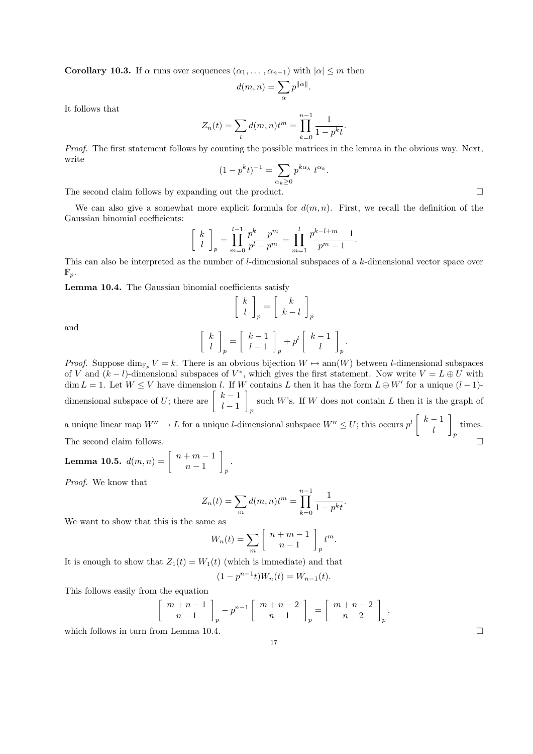**Corollary 10.3.** If  $\alpha$  runs over sequences  $(\alpha_1, \ldots, \alpha_{n-1})$  with  $|\alpha| \leq m$  then

$$
d(m,n)=\sum_{\alpha}p^{\|\alpha\|}.
$$

It follows that

$$
Z_n(t) = \sum_l d(m,n)t^m = \prod_{k=0}^{n-1} \frac{1}{1 - p^k t}.
$$

Proof. The first statement follows by counting the possible matrices in the lemma in the obvious way. Next, write

$$
(1 - pkt)^{-1} = \sum_{\alpha_k \ge 0} p^{k\alpha_k} t^{\alpha_k}.
$$

The second claim follows by expanding out the product.  $\Box$ 

We can also give a somewhat more explicit formula for  $d(m, n)$ . First, we recall the definition of the Gaussian binomial coefficients:

$$
\begin{bmatrix} k \\ l \end{bmatrix}_p = \prod_{m=0}^{l-1} \frac{p^k - p^m}{p^l - p^m} = \prod_{m=1}^l \frac{p^{k-l+m} - 1}{p^m - 1}.
$$

This can also be interpreted as the number of l-dimensional subspaces of a k-dimensional vector space over  $\mathbb{F}_p$ .

Lemma 10.4. The Gaussian binomial coefficients satisfy

$$
\begin{bmatrix} k \\ l \end{bmatrix}_p = \begin{bmatrix} k \\ k-l \end{bmatrix}_p
$$

$$
\begin{bmatrix} k-1 \\ l \end{bmatrix}_{k-l} \begin{bmatrix} k-1 \\ l \end{bmatrix}_{k-l}
$$

and

$$
\left[ \begin{array}{c} k \\ l \end{array} \right]_p = \left[ \begin{array}{c} k-1 \\ l-1 \end{array} \right]_p + p^l \left[ \begin{array}{c} k-1 \\ l \end{array} \right]_p.
$$

*Proof.* Suppose dim<sub>F<sub>p</sub></sub>  $V = k$ . There is an obvious bijection  $W \mapsto \text{ann}(W)$  between l-dimensional subspaces of V and  $(k-l)$ -dimensional subspaces of  $V^*$ , which gives the first statement. Now write  $V = L \oplus U$  with  $\dim L = 1$ . Let  $W \leq V$  have dimension l. If W contains L then it has the form  $L \oplus W'$  for a unique  $(l-1)$ dimensional subspace of U; there are  $\begin{bmatrix} k-1 \\ 1 \end{bmatrix}$  $l-1$ such W's. If W does not contain L then it is the graph of p 1

a unique linear map  $W'' \to L$  for a unique l-dimensional subspace  $W'' \leq U$ ; this occurs  $p^l \begin{bmatrix} k-1 \\ 1 \end{bmatrix}$ l  $\overline{p}$ times. The second claim follows.  $\square$ 

**Lemma 10.5.** 
$$
d(m, n) = \left[ \begin{array}{c} n+m-1 \\ n-1 \end{array} \right]_p.
$$

Proof. We know that

$$
Z_n(t) = \sum_{m} d(m, n) t^m = \prod_{k=0}^{n-1} \frac{1}{1 - p^k t}.
$$

We want to show that this is the same as

$$
W_n(t) = \sum_{m} \left[ \begin{array}{c} n+m-1 \\ n-1 \end{array} \right]_p t^m.
$$

It is enough to show that  $Z_1(t) = W_1(t)$  (which is immediate) and that  $n-1$ 

$$
(1 - p^{n-1}t)W_n(t) = W_{n-1}(t).
$$

This follows easily from the equation

$$
\begin{bmatrix} m+n-1 \ n-1 \end{bmatrix}_p - p^{n-1} \begin{bmatrix} m+n-2 \ n-1 \end{bmatrix}_p = \begin{bmatrix} m+n-2 \ n-2 \end{bmatrix}_p,
$$

which follows in turn from Lemma 10.4.  $\Box$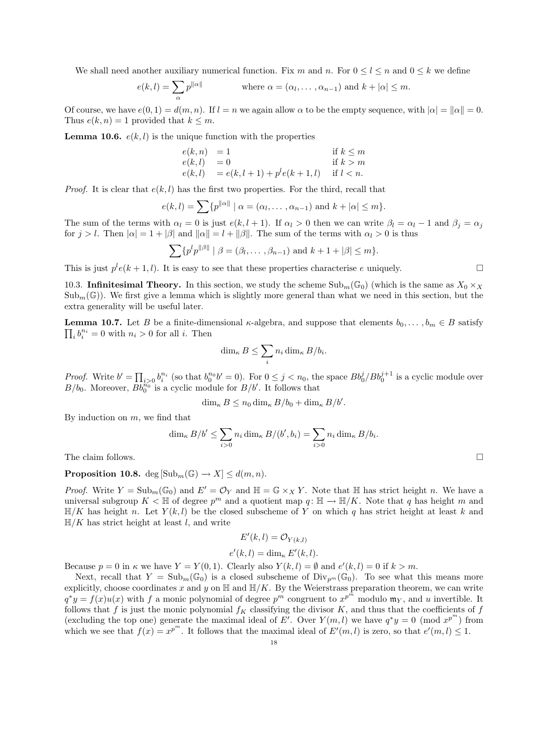We shall need another auxiliary numerical function. Fix m and n. For  $0 \leq l \leq n$  and  $0 \leq k$  we define

$$
e(k,l) = \sum_{\alpha} p^{\|\alpha\|} \qquad \text{where } \alpha = (\alpha_l, \dots, \alpha_{n-1}) \text{ and } k + |\alpha| \leq m.
$$

Of course, we have  $e(0, 1) = d(m, n)$ . If  $l = n$  we again allow  $\alpha$  to be the empty sequence, with  $|\alpha| = |\alpha|| = 0$ . Thus  $e(k, n) = 1$  provided that  $k \leq m$ .

**Lemma 10.6.**  $e(k, l)$  is the unique function with the properties

$$
e(k, n) = 1
$$
 if  $k \le m$   
\n
$$
e(k, l) = 0
$$
 if  $k > m$   
\n
$$
e(k, l) = e(k, l + 1) + p^{l}e(k + 1, l)
$$
 if  $l < n$ .

*Proof.* It is clear that  $e(k, l)$  has the first two properties. For the third, recall that

$$
e(k,l) = \sum \{ p^{\|\alpha\|} \mid \alpha = (\alpha_l, \dots, \alpha_{n-1}) \text{ and } k + |\alpha| \leq m \}.
$$

The sum of the terms with  $\alpha_l = 0$  is just  $e(k, l + 1)$ . If  $\alpha_l > 0$  then we can write  $\beta_l = \alpha_l - 1$  and  $\beta_j = \alpha_j$ for  $j > l$ . Then  $|\alpha| = 1 + |\beta|$  and  $||\alpha|| = l + ||\beta||$ . The sum of the terms with  $\alpha_l > 0$  is thus

$$
\sum \{p^l p^{\|\beta\|} \mid \beta = (\beta_l, \dots, \beta_{n-1}) \text{ and } k+1+|\beta| \leq m\}.
$$

This is just  $p^l e(k + 1, l)$ . It is easy to see that these properties characterise e uniquely.

10.3. Infinitesimal Theory. In this section, we study the scheme  $\text{Sub}_m(\mathbb{G}_0)$  (which is the same as  $X_0 \times_X$  $Sub_m(\mathbb{G})$ . We first give a lemma which is slightly more general than what we need in this section, but the extra generality will be useful later.

 $\prod_i b_i^{n_i} = 0$  with  $n_i > 0$  for all *i*. Then **Lemma 10.7.** Let B be a finite-dimensional  $\kappa$ -algebra, and suppose that elements  $b_0, \ldots, b_m \in B$  satisfy

$$
\dim_{\kappa} B \leq \sum_{i} n_i \dim_{\kappa} B/b_i.
$$

*Proof.* Write  $b' = \prod_{i>0} b_i^{n_i}$  (so that  $b_0^{n_0} b' = 0$ ). For  $0 \le j < n_0$ , the space  $Bb_0^j/Bb_0^{j+1}$  is a cyclic module over  $B/b_0$ . Moreover,  $\overline{Bb_0^{n_0}}$  is a cyclic module for  $B/b'$ . It follows that

$$
\dim_{\kappa} B \le n_0 \dim_{\kappa} B/b_0 + \dim_{\kappa} B/b'.
$$

By induction on  $m$ , we find that

$$
\dim_{\kappa} B/b' \leq \sum_{i>0} n_i \dim_{\kappa} B/(b', b_i) = \sum_{i>0} n_i \dim_{\kappa} B/b_i.
$$

The claim follows.  $\square$ 

## **Proposition 10.8.** deg  $[\text{Sub}_m(\mathbb{G}) \to X] \leq d(m, n)$ .

*Proof.* Write  $Y = \text{Sub}_m(\mathbb{G}_0)$  and  $E' = \mathcal{O}_Y$  and  $\mathbb{H} = \mathbb{G} \times_X Y$ . Note that  $\mathbb{H}$  has strict height n. We have a universal subgroup  $K < \mathbb{H}$  of degree  $p^m$  and a quotient map  $q : \mathbb{H} \to \mathbb{H}/K$ . Note that q has height m and  $\mathbb{H}/K$  has height n. Let  $Y(k, l)$  be the closed subscheme of Y on which q has strict height at least k and  $H/K$  has strict height at least l, and write

$$
E'(k,l) = \mathcal{O}_{Y(k,l)}
$$
  

$$
e'(k,l) = \dim_{\kappa} E'(k,l).
$$

Because  $p = 0$  in  $\kappa$  we have  $Y = Y(0, 1)$ . Clearly also  $Y(k, l) = \emptyset$  and  $e'(k, l) = 0$  if  $k > m$ .

Next, recall that  $Y = Sub_m(\mathbb{G}_0)$  is a closed subscheme of  $Div_{n^m}(\mathbb{G}_0)$ . To see what this means more explicitly, choose coordinates x and y on  $\mathbb{H}$  and  $\mathbb{H}/K$ . By the Weierstrass preparation theorem, we can write  $q^*y = f(x)u(x)$  with f a monic polynomial of degree  $p^m$  congruent to  $x^{p^m}$  modulo  $m_Y$ , and u invertible. It follows that f is just the monic polynomial  $f_K$  classifying the divisor K, and thus that the coefficients of f (excluding the top one) generate the maximal ideal of E'. Over  $Y(m, l)$  we have  $q^*y = 0 \pmod{x^{p^m}}$  from which we see that  $f(x) = x^{p^m}$ . It follows that the maximal ideal of  $E'(m, l)$  is zero, so that  $e'(m, l) \leq 1$ .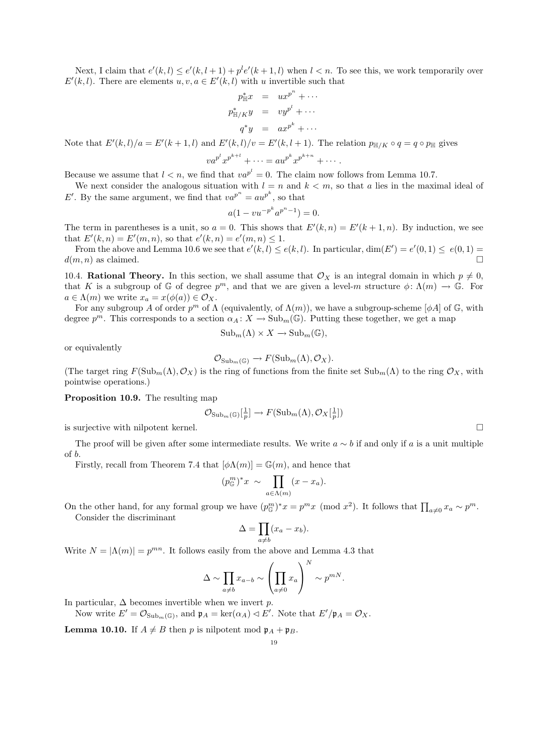Next, I claim that  $e'(k, l) \leq e'(k, l+1) + p^l e'(k+1, l)$  when  $l < n$ . To see this, we work temporarily over  $E'(k, l)$ . There are elements  $u, v, a \in E'(k, l)$  with u invertible such that

$$
p_{\mathbb{H}/K}^* y = ux^{p^n} + \cdots
$$
  
\n
$$
p_{\mathbb{H}/K}^* y = vy^{p^l} + \cdots
$$
  
\n
$$
q^* y = ax^{p^k} + \cdots
$$

Note that  $E'(k, l)/a = E'(k + 1, l)$  and  $E'(k, l)/v = E'(k, l + 1)$ . The relation  $p_{\mathbb{H}/K} \circ q = q \circ p_{\mathbb{H}}$  gives

$$
va^{p^l}x^{p^{k+l}} + \cdots = au^{p^k}x^{p^{k+n}} + \cdots.
$$

Because we assume that  $l < n$ , we find that  $va^{p^l} = 0$ . The claim now follows from Lemma 10.7.

We next consider the analogous situation with  $l = n$  and  $k < m$ , so that a lies in the maximal ideal of E'. By the same argument, we find that  $va^{p^n} = au^{p^k}$ , so that

$$
a(1 - vu^{-p^k}a^{p^n - 1}) = 0.
$$

The term in parentheses is a unit, so  $a = 0$ . This shows that  $E'(k, n) = E'(k+1, n)$ . By induction, we see that  $E'(k, n) = E'(m, n)$ , so that  $e'(k, n) = e'(m, n) \leq 1$ .

From the above and Lemma 10.6 we see that  $e'(k, l) \leq e(k, l)$ . In particular,  $\dim(E') = e'(0, 1) \leq e(0, 1) =$  $d(m, n)$  as claimed.

10.4. Rational Theory. In this section, we shall assume that  $\mathcal{O}_X$  is an integral domain in which  $p \neq 0$ , that K is a subgroup of G of degree  $p^m$ , and that we are given a level-m structure  $\phi: \Lambda(m) \to \mathbb{G}$ . For  $a \in \Lambda(m)$  we write  $x_a = x(\phi(a)) \in \mathcal{O}_X$ .

For any subgroup A of order  $p^m$  of  $\Lambda$  (equivalently, of  $\Lambda(m)$ ), we have a subgroup-scheme [ $\phi A$ ] of G, with degree  $p^m$ . This corresponds to a section  $\alpha_A \colon X \to \text{Sub}_m(\mathbb{G})$ . Putting these together, we get a map

$$
\mathrm{Sub}_m(\Lambda) \times X \to \mathrm{Sub}_m(\mathbb{G}),
$$

or equivalently

$$
\mathcal{O}_{\mathrm{Sub}_m(\mathbb{G})} \to F(\mathrm{Sub}_m(\Lambda), \mathcal{O}_X).
$$

(The target ring  $F(\text{Sub}_m(\Lambda), \mathcal{O}_X)$  is the ring of functions from the finite set  $\text{Sub}_m(\Lambda)$  to the ring  $\mathcal{O}_X$ , with pointwise operations.)

Proposition 10.9. The resulting map

$$
\mathcal{O}_{\mathrm{Sub}_{m}(\mathbb{G})}[\frac{1}{p}] \to F(\mathrm{Sub}_{m}(\Lambda), \mathcal{O}_{X}[\frac{1}{p}])
$$

is surjective with nilpotent kernel.

The proof will be given after some intermediate results. We write  $a \sim b$  if and only if a is a unit multiple of b.

Firstly, recall from Theorem 7.4 that  $[\phi \Lambda(m)] = \mathbb{G}(m)$ , and hence that

$$
(p_{\mathbb{G}}^m)^*x \sim \prod_{a \in \Lambda(m)} (x - x_a).
$$

On the other hand, for any formal group we have  $(p_{\mathbb{G}}^m)^*x = p^mx \pmod{x^2}$ . It follows that  $\prod_{a\neq 0} x_a \sim p^m$ . Consider the discriminant

$$
\Delta = \prod_{a \neq b} (x_a - x_b).
$$

Write  $N = |\Lambda(m)| = p^{mn}$ . It follows easily from the above and Lemma 4.3 that

$$
\Delta \sim \prod_{a \neq b} x_{a-b} \sim \left(\prod_{a \neq 0} x_a\right)^N \sim p^{mN}.
$$

In particular,  $\Delta$  becomes invertible when we invert p.

Now write  $E' = \mathcal{O}_{\text{Sub}_m(\mathbb{G})}$ , and  $\mathfrak{p}_A = \text{ker}(\alpha_A) \triangleleft E'$ . Note that  $E'/\mathfrak{p}_A = \mathcal{O}_X$ .

**Lemma 10.10.** If  $A \neq B$  then p is nilpotent mod  $\mathfrak{p}_A + \mathfrak{p}_B$ .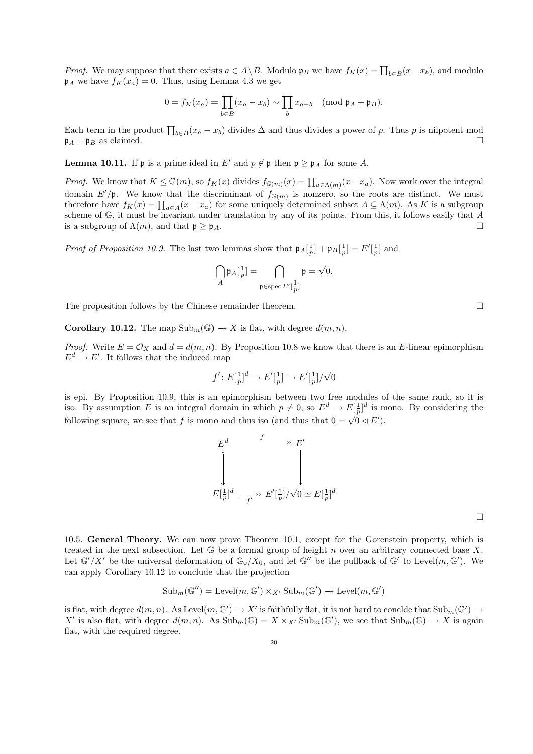*Proof.* We may suppose that there exists  $a \in A \setminus B$ . Modulo  $\mathfrak{p}_B$  we have  $f_K(x) = \prod_{b \in B} (x - x_b)$ , and modulo  $\mathfrak{p}_A$  we have  $f_K(x_a) = 0$ . Thus, using Lemma 4.3 we get

$$
0 = f_K(x_a) = \prod_{b \in B} (x_a - x_b) \sim \prod_b x_{a-b} \pmod{\mathfrak{p}_A + \mathfrak{p}_B}.
$$

Each term in the product  $\prod_{b\in B}(x_a-x_b)$  divides  $\Delta$  and thus divides a power of p. Thus p is nilpotent mod  $\mathfrak{p}_A + \mathfrak{p}_B$  as claimed.

**Lemma 10.11.** If p is a prime ideal in E' and  $p \notin \mathfrak{p}$  then  $\mathfrak{p} > \mathfrak{p}_A$  for some A.

*Proof.* We know that  $K \leq \mathbb{G}(m)$ , so  $f_K(x)$  divides  $f_{\mathbb{G}(m)}(x) = \prod_{a \in \Lambda(m)} (x - x_a)$ . Now work over the integral domain  $E'/\mathfrak{p}$ . We know that the discriminant of  $f_{\mathbb{G}(m)}$  is nonzero, so the roots are distinct. We must therefore have  $f_K(x) = \prod_{a \in A} (x - x_a)$  for some uniquely determined subset  $A \subseteq \Lambda(m)$ . As K is a subgroup scheme of G, it must be invariant under translation by any of its points. From this, it follows easily that A is a subgroup of  $\Lambda(m)$ , and that  $\mathfrak{p} \geq \mathfrak{p}_A$ .

*Proof of Proposition 10.9.* The last two lemmas show that  $\mathfrak{p}_A[\frac{1}{p}] + \mathfrak{p}_B[\frac{1}{p}] = E'[\frac{1}{p}]$  and

$$
\bigcap_{A} \mathfrak{p}_A[\frac{1}{p}] = \bigcap_{\mathfrak{p} \in \operatorname{spec} E'[\frac{1}{p}]} \mathfrak{p} = \sqrt{0}.
$$

The proposition follows by the Chinese remainder theorem.

**Corollary 10.12.** The map  $\text{Sub}_m(\mathbb{G}) \to X$  is flat, with degree  $d(m, n)$ .

*Proof.* Write  $E = \mathcal{O}_X$  and  $d = d(m, n)$ . By Proposition 10.8 we know that there is an E-linear epimorphism  $E^d \to E'$ . It follows that the induced map

$$
f' \colon E[\tfrac{1}{p}]^d \to E'[\tfrac{1}{p}] \to E'[\tfrac{1}{p}]/\sqrt{0}
$$

is epi. By Proposition 10.9, this is an epimorphism between two free modules of the same rank, so it is iso. By assumption E is an integral domain in which  $p \neq 0$ , so  $E^d \to E[\frac{1}{p}]^d$  is mono. By considering the following square, we see that f is mono and thus iso (and thus that  $0 = \sqrt{0} \triangleleft E'$ ).



 $\Box$ 

10.5. General Theory. We can now prove Theorem 10.1, except for the Gorenstein property, which is treated in the next subsection. Let  $\mathbb G$  be a formal group of height n over an arbitrary connected base X. Let  $\mathbb{G}'/X'$  be the universal deformation of  $\mathbb{G}_0/X_0$ , and let  $\mathbb{G}''$  be the pullback of  $\mathbb{G}'$  to Level $(m,\mathbb{G}')$ . We can apply Corollary 10.12 to conclude that the projection

$$
\mathrm{Sub}_m(\mathbb{G}^{\prime\prime})=\mathrm{Level}(m,\mathbb{G}')\times_{X'}\mathrm{Sub}_m(\mathbb{G}')\to \mathrm{Level}(m,\mathbb{G}')
$$

is flat, with degree  $d(m, n)$ . As Level $(m, \mathbb{G}') \to X'$  is faithfully flat, it is not hard to conclde that  $\text{Sub}_m(\mathbb{G}') \to$ X' is also flat, with degree  $d(m, n)$ . As  $\text{Sub}_{m}(\mathbb{G}) = X \times_{X'} \text{Sub}_{m}(\mathbb{G}')$ , we see that  $\text{Sub}_{m}(\mathbb{G}) \to X$  is again flat, with the required degree.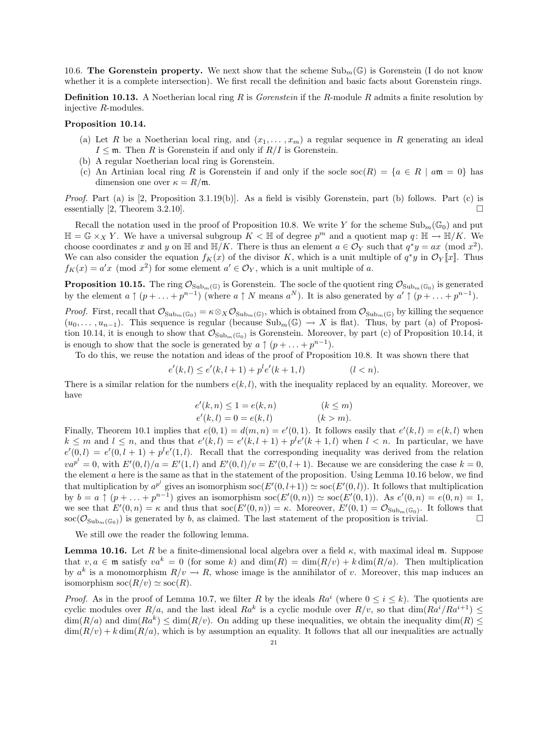10.6. The Gorenstein property. We next show that the scheme  $\text{Sub}_{m}(\mathbb{G})$  is Gorenstein (I do not know whether it is a complete intersection). We first recall the definition and basic facts about Gorenstein rings.

**Definition 10.13.** A Noetherian local ring R is *Gorenstein* if the R-module R admits a finite resolution by injective R-modules.

## Proposition 10.14.

- (a) Let R be a Noetherian local ring, and  $(x_1, \ldots, x_m)$  a regular sequence in R generating an ideal  $I \leq \mathfrak{m}$ . Then R is Gorenstein if and only if  $R/I$  is Gorenstein.
- (b) A regular Noetherian local ring is Gorenstein.
- (c) An Artinian local ring R is Gorenstein if and only if the socle  $\operatorname{soc}(R) = \{a \in R \mid a\mathfrak{m} = 0\}$  has dimension one over  $\kappa = R/\mathfrak{m}$ .

Proof. Part (a) is [2, Proposition 3.1.19(b)]. As a field is visibly Gorenstein, part (b) follows. Part (c) is essentially [2, Theorem 3.2.10].

Recall the notation used in the proof of Proposition 10.8. We write Y for the scheme  $\text{Sub}_{m}(\mathbb{G}_{0})$  and put  $\mathbb{H} = \mathbb{G} \times_X Y$ . We have a universal subgroup  $K < \mathbb{H}$  of degree  $p^m$  and a quotient map  $q: \mathbb{H} \to \mathbb{H}/K$ . We choose coordinates x and y on H and  $\mathbb{H}/K$ . There is thus an element  $a \in \mathcal{O}_Y$  such that  $q^*y = ax \pmod{x^2}$ . We can also consider the equation  $f_K(x)$  of the divisor K, which is a unit multiple of  $q^*y$  in  $\mathcal{O}_Y[\![x]\!]$ . Thus  $f_K(x) = a'x \pmod{x^2}$  for some element  $a' \in \mathcal{O}_Y$ , which is a unit multiple of a.

**Proposition 10.15.** The ring  $\mathcal{O}_{\text{Sub}_m(\mathbb{G})}$  is Gorenstein. The socle of the quotient ring  $\mathcal{O}_{\text{Sub}_m(\mathbb{G}_0)}$  is generated by the element  $a \uparrow (p + \ldots + p^{n-1})$  (where  $a \uparrow N$  means  $a^N$ ). It is also generated by  $a' \uparrow (p + \ldots + p^{n-1})$ .

*Proof.* First, recall that  $\mathcal{O}_{\mathrm{Sub}_{m}(\mathbb{G}_{0})} = \kappa \otimes_{X} \mathcal{O}_{\mathrm{Sub}_{m}(\mathbb{G})}$ , which is obtained from  $\mathcal{O}_{\mathrm{Sub}_{m}(\mathbb{G})}$  by killing the sequence  $(u_0, \ldots, u_{n-1})$ . This sequence is regular (because  $\text{Sub}_m(\mathbb{G}) \to X$  is flat). Thus, by part (a) of Proposition 10.14, it is enough to show that  $\mathcal{O}_{\text{Sub}_m(\mathbb{G}_0)}$  is Gorenstein. Moreover, by part (c) of Proposition 10.14, it is enough to show that the socle is generated by  $a \uparrow (p + \ldots + p^{n-1})$ .

To do this, we reuse the notation and ideas of the proof of Proposition 10.8. It was shown there that

$$
e'(k, l) \le e'(k, l+1) + p^l e'(k+1, l) \qquad (l < n).
$$

There is a similar relation for the numbers  $e(k, l)$ , with the inequality replaced by an equality. Moreover, we have

$$
e'(k, n) \le 1 = e(k, n)
$$
  
\n
$$
e'(k, l) = 0 = e(k, l)
$$
  
\n
$$
(k \le m).
$$
  
\n
$$
(k > m).
$$

Finally, Theorem 10.1 implies that  $e(0,1) = d(m,n) = e'(0,1)$ . It follows easily that  $e'(k,l) = e(k,l)$  when  $k \leq m$  and  $l \leq n$ , and thus that  $e'(k, l) = e'(k, l + 1) + p^l e'(k + 1, l)$  when  $l < n$ . In particular, we have  $e'(0, l) = e'(0, l + 1) + p^{l}e'(1, l)$ . Recall that the corresponding inequality was derived from the relation  $va^{p^l} = 0$ , with  $E'(0, l)/a = E'(1, l)$  and  $E'(0, l)/v = E'(0, l + 1)$ . Because we are considering the case  $k = 0$ , the element a here is the same as that in the statement of the proposition. Using Lemma 10.16 below, we find that multiplication by  $a^{p^l}$  gives an isomorphism  $\operatorname{soc}(E'(0,l+1)) \simeq \operatorname{soc}(E'(0,l))$ . It follows that multiplication by  $b = a \uparrow (p + \ldots + p^{n-1})$  gives an isomorphism  $\operatorname{soc}(E'(0, n)) \simeq \operatorname{soc}(E'(0, 1))$ . As  $e'(0, n) = e(0, n) = 1$ , we see that  $E'(0,n) = \kappa$  and thus that  $\operatorname{soc}(E'(0,n)) = \kappa$ . Moreover,  $E'(0,1) = \mathcal{O}_{\operatorname{Sub}_m(\mathbb{G}_0)}$ . It follows that  $\operatorname{soc}(\mathcal{O}_{\operatorname{Sub}_m(\mathbb{G}_0)})$  is generated by b, as claimed. The last statement of the proposition is trivial.

We still owe the reader the following lemma.

**Lemma 10.16.** Let R be a finite-dimensional local algebra over a field  $\kappa$ , with maximal ideal m. Suppose that  $v, a \in \mathfrak{m}$  satisfy  $va^k = 0$  (for some k) and  $\dim(R) = \dim(R/v) + k \dim(R/a)$ . Then multiplication by  $a^k$  is a monomorphism  $R/v \to R$ , whose image is the annihilator of v. Moreover, this map induces an isomorphism  $\operatorname{soc}(R/v) \simeq \operatorname{soc}(R)$ .

*Proof.* As in the proof of Lemma 10.7, we filter R by the ideals  $Ra^i$  (where  $0 \le i \le k$ ). The quotients are cyclic modules over  $R/a$ , and the last ideal  $Ra^k$  is a cyclic module over  $R/v$ , so that  $\dim(Ra^i/Ra^{i+1}) \leq$  $\dim(R/a)$  and  $\dim(Ra^k) \leq \dim(R/v)$ . On adding up these inequalities, we obtain the inequality  $\dim(R) \leq$  $\dim(R/v) + k \dim(R/a)$ , which is by assumption an equality. It follows that all our inequalities are actually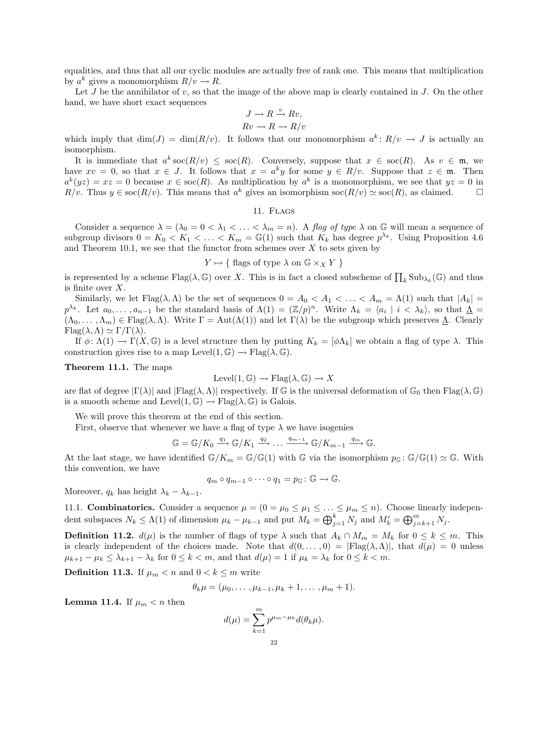equalities, and thus that all our cyclic modules are actually free of rank one. This means that multiplication by  $a^k$  gives a monomorphism  $R/v \to R$ .

Let  $J$  be the annihilator of  $v$ , so that the image of the above map is clearly contained in  $J$ . On the other hand, we have short exact sequences

$$
J \to R \xrightarrow{v} Rv,
$$
  

$$
Rv \to R \to R/v
$$

which imply that  $\dim(J) = \dim(R/v)$ . It follows that our monomorphism  $a^k: R/v \to J$  is actually an isomorphism.

It is immediate that  $a^k \operatorname{soc}(R/v) \leq \operatorname{soc}(R)$ . Conversely, suppose that  $x \in \operatorname{soc}(R)$ . As  $v \in \mathfrak{m}$ , we have  $xv = 0$ , so that  $x \in J$ . It follows that  $x = a^k y$  for some  $y \in R/v$ . Suppose that  $z \in \mathfrak{m}$ . Then  $a^k(yz) = xz = 0$  because  $x \in \text{soc}(R)$ . As multiplication by  $a^k$  is a monomorphism, we see that  $yz = 0$  in  $R/v$ . Thus  $y \in \text{soc}(R/v)$ . This means that  $a^k$  gives an isomorphism  $\text{soc}(R/v) \simeq \text{soc}(R)$ , as claimed.

11. Flags

Consider a sequence  $\lambda = (\lambda_0 = 0 \le \lambda_1 \le \ldots \le \lambda_m = n)$ . A flag of type  $\lambda$  on G will mean a sequence of subgroup divisors  $0 = K_0 < K_1 < \ldots < K_m = \mathbb{G}(1)$  such that  $K_k$  has degree  $p^{\lambda_k}$ . Using Proposition 4.6 and Theorem 10.1, we see that the functor from schemes over  $X$  to sets given by

## $Y \mapsto \{ \text{ flags of type } \lambda \text{ on } \mathbb{G} \times_X Y \}$

is represented by a scheme  $Flag(\lambda, \mathbb{G})$  over X. This is in fact a closed subscheme of  $\prod_k Sub_{\lambda_k}(\mathbb{G})$  and thus is finite over X.

Similarly, we let  $Flag(\lambda, \Lambda)$  be the set of sequences  $0 = A_0 < A_1 < \ldots < A_m = \Lambda(1)$  such that  $|A_k|$  $p^{\lambda_k}$ . Let  $a_0, \ldots, a_{n-1}$  be the standard basis of  $\Lambda(1) = (\mathbb{Z}/p)^n$ . Write  $\Lambda_k = \langle a_i | i \rangle \langle \lambda_k \rangle$ , so that  $\Lambda =$  $(\Lambda_0, \ldots, \Lambda_m) \in \text{Flag}(\lambda, \Lambda)$ . Write  $\Gamma = \text{Aut}(\Lambda(1))$  and let  $\Gamma(\lambda)$  be the subgroup which preserves  $\underline{\Lambda}$ . Clearly  $Flag(\lambda, \Lambda) \simeq \Gamma/\Gamma(\lambda).$ 

If  $\phi: \Lambda(1) \to \Gamma(X, \mathbb{G})$  is a level structure then by putting  $K_k = [\phi \Lambda_k]$  we obtain a flag of type  $\lambda$ . This construction gives rise to a map Level $(1, \mathbb{G}) \to \text{Flag}(\lambda, \mathbb{G})$ .

Theorem 11.1. The maps

$$
Level(1, \mathbb{G}) \to Flag(\lambda, \mathbb{G}) \to X
$$

are flat of degree  $|\Gamma(\lambda)|$  and  $|\text{Flag}(\lambda,\Lambda)|$  respectively. If G is the universal deformation of  $\mathbb{G}_0$  then  $\text{Flag}(\lambda,\mathbb{G})$ is a smooth scheme and Level $(1, \mathbb{G}) \to \text{Flag}(\lambda, \mathbb{G})$  is Galois.

We will prove this theorem at the end of this section.

First, observe that whenever we have a flag of type  $\lambda$  we have isogenies

$$
\mathbb{G} = \mathbb{G}/K_0 \xrightarrow{q_1} \mathbb{G}/K_1 \xrightarrow{q_2} \dots \xrightarrow{q_{m-1}} \mathbb{G}/K_{m-1} \xrightarrow{q_m} \mathbb{G}.
$$

At the last stage, we have identified  $\mathbb{G}/K_m = \mathbb{G}/\mathbb{G}(1)$  with G via the isomorphism  $p_{\mathbb{G}}: \mathbb{G}/\mathbb{G}(1) \simeq \mathbb{G}$ . With this convention, we have

$$
q_m \circ q_{m-1} \circ \cdots \circ q_1 = p_{\mathbb{G}} : \mathbb{G} \to \mathbb{G}.
$$

Moreover,  $q_k$  has height  $\lambda_k - \lambda_{k-1}$ .

11.1. **Combinatorics.** Consider a sequence  $\mu = (0 = \mu_0 \le \mu_1 \le \ldots \le \mu_m \le n)$ . Choose linearly independent subspaces  $N_k \leq \Lambda(1)$  of dimension  $\mu_k - \mu_{k-1}$  and put  $M_k = \bigoplus_{j=1}^k N_j$  and  $M'_k = \bigoplus_{j=k+1}^m N_j$ .

**Definition 11.2.**  $d(\mu)$  is the number of flags of type  $\lambda$  such that  $A_k \cap M_m = M_k$  for  $0 \le k \le m$ . This is clearly independent of the choices made. Note that  $d(0,\ldots,0) = |F \text{lag}(\lambda,\Lambda)|$ , that  $d(\mu) = 0$  unless  $\mu_{k+1} - \mu_k \leq \lambda_{k+1} - \lambda_k$  for  $0 \leq k < m$ , and that  $d(\mu) = 1$  if  $\mu_k = \lambda_k$  for  $0 \leq k < m$ .

**Definition 11.3.** If  $\mu_m < n$  and  $0 < k \leq m$  write

$$
\theta_k \mu = (\mu_0, \dots, \mu_{k-1}, \mu_k + 1, \dots, \mu_m + 1).
$$

**Lemma 11.4.** If  $\mu_m < n$  then

$$
d(\mu) = \sum_{k=1}^{m} p^{\mu_m - \mu_k} d(\theta_k \mu).
$$
  
22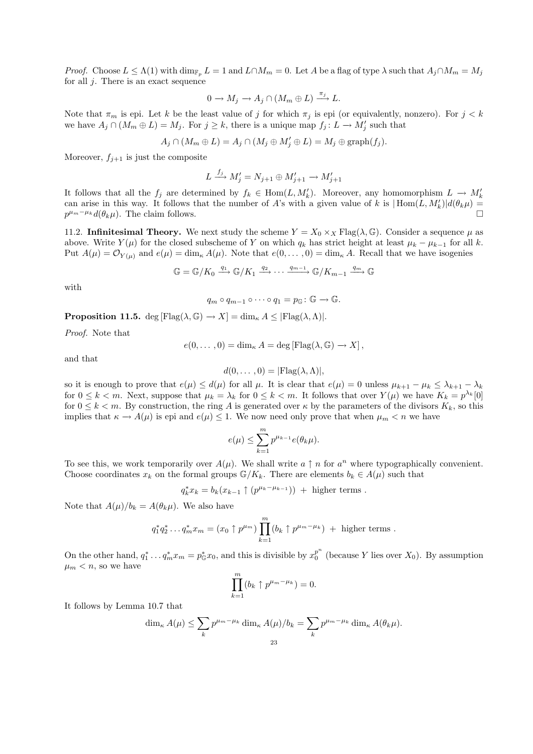*Proof.* Choose  $L \leq \Lambda(1)$  with  $\dim_{\mathbb{F}_p} L = 1$  and  $L \cap M_m = 0$ . Let A be a flag of type  $\lambda$  such that  $A_j \cap M_m = M_j$ for all  $j$ . There is an exact sequence

$$
0 \to M_j \to A_j \cap (M_m \oplus L) \xrightarrow{\pi_j} L.
$$

Note that  $\pi_m$  is epi. Let k be the least value of j for which  $\pi_j$  is epi (or equivalently, nonzero). For  $j < k$ we have  $A_j \cap (M_m \oplus L) = M_j$ . For  $j \geq k$ , there is a unique map  $f_j: L \to M'_j$  such that

$$
A_j \cap (M_m \oplus L) = A_j \cap (M_j \oplus M'_j \oplus L) = M_j \oplus \text{graph}(f_j).
$$

Moreover,  $f_{i+1}$  is just the composite

$$
L \xrightarrow{f_j} M'_j = N_{j+1} \oplus M'_{j+1} \to M'_{j+1}
$$

It follows that all the  $f_j$  are determined by  $f_k \in \text{Hom}(L, M'_k)$ . Moreover, any homomorphism  $L \to M'_k$ can arise in this way. It follows that the number of A's with a given value of k is  $|\text{Hom}(L, M'_k)|d(\theta_k\mu)$  $p^{\mu_m-\mu_k}d(\theta_k\mu)$ . The claim follows.

11.2. Infinitesimal Theory. We next study the scheme  $Y = X_0 \times_X \text{Flag}(\lambda, \mathbb{G})$ . Consider a sequence  $\mu$  as above. Write  $Y(\mu)$  for the closed subscheme of Y on which  $q_k$  has strict height at least  $\mu_k - \mu_{k-1}$  for all k. Put  $A(\mu) = \mathcal{O}_{Y(\mu)}$  and  $e(\mu) = \dim_{\kappa} A(\mu)$ . Note that  $e(0,\ldots,0) = \dim_{\kappa} A$ . Recall that we have isogenies

$$
\mathbb{G} = \mathbb{G}/K_0 \xrightarrow{q_1} \mathbb{G}/K_1 \xrightarrow{q_2} \cdots \xrightarrow{q_{m-1}} \mathbb{G}/K_{m-1} \xrightarrow{q_m} \mathbb{G}
$$

with

$$
q_m \circ q_{m-1} \circ \cdots \circ q_1 = p_{\mathbb{G}} : \mathbb{G} \to \mathbb{G}.
$$

**Proposition 11.5.** deg [Flag( $\lambda$ , G)  $\rightarrow$  X] = dim<sub>k</sub>  $A \leq$  [Flag( $\lambda$ ,  $\Lambda$ )].

Proof. Note that

$$
e(0,\ldots,0)=\dim_{\kappa} A=\deg [\mathrm{Flag}(\lambda,\mathbb{G})\to X],
$$

and that

$$
d(0,\ldots,0)=|\mathrm{Flag}(\lambda,\Lambda)|,
$$

so it is enough to prove that  $e(\mu) \leq d(\mu)$  for all  $\mu$ . It is clear that  $e(\mu) = 0$  unless  $\mu_{k+1} - \mu_k \leq \lambda_{k+1} - \lambda_k$ for  $0 \leq k < m$ . Next, suppose that  $\mu_k = \lambda_k$  for  $0 \leq k < m$ . It follows that over  $Y(\mu)$  we have  $K_k = p^{\lambda_k}[0]$ for  $0 \leq k < m$ . By construction, the ring A is generated over  $\kappa$  by the parameters of the divisors  $K_k$ , so this implies that  $\kappa \to A(\mu)$  is epi and  $e(\mu) \leq 1$ . We now need only prove that when  $\mu_m < n$  we have

$$
e(\mu) \le \sum_{k=1}^m p^{\mu_{k-1}} e(\theta_k \mu).
$$

To see this, we work temporarily over  $A(\mu)$ . We shall write  $a \uparrow n$  for  $a^n$  where typographically convenient. Choose coordinates  $x_k$  on the formal groups  $\mathbb{G}/K_k$ . There are elements  $b_k \in A(\mu)$  such that

 $q_k^* x_k = b_k (x_{k-1} \uparrow (p^{\mu_k - \mu_{k-1}})) + \text{higher terms}.$ 

Note that  $A(\mu)/b_k = A(\theta_k \mu)$ . We also have

$$
q_1^* q_2^* \dots q_m^* x_m = (x_0 \uparrow p^{\mu_m}) \prod_{k=1}^m (b_k \uparrow p^{\mu_m - \mu_k}) + \text{higher terms}.
$$

On the other hand,  $q_1^* \dots q_m^* x_m = p_{\mathbb{G}}^* x_0$ , and this is divisible by  $x_0^{p^n}$  $\frac{p}{0}$  (because Y lies over  $X_0$ ). By assumption  $\mu_m < n$ , so we have

$$
\prod_{k=1}^{m} (b_k \uparrow p^{\mu_m - \mu_k}) = 0.
$$

It follows by Lemma 10.7 that

$$
\dim_{\kappa} A(\mu) \leq \sum_{k} p^{\mu_m - \mu_k} \dim_{\kappa} A(\mu)/b_k = \sum_{k} p^{\mu_m - \mu_k} \dim_{\kappa} A(\theta_k \mu).
$$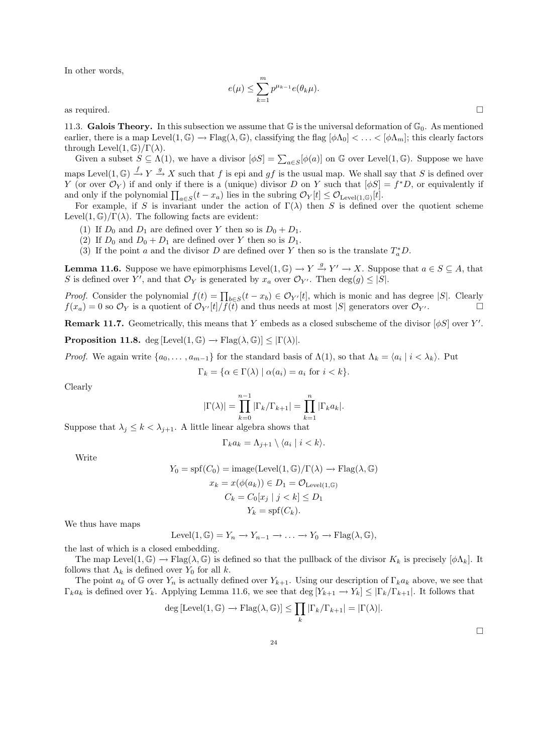In other words,

$$
(\mu) \leq \sum_{k=1}^m p^{\mu_{k-1}} e(\theta_k \mu).
$$

as required.  $\Box$ 

11.3. Galois Theory. In this subsection we assume that  $\mathbb G$  is the universal deformation of  $\mathbb G_0$ . As mentioned earlier, there is a map Level $(1, \mathbb{G}) \to \text{Flag}(\lambda, \mathbb{G})$ , classifying the flag  $[\phi \Lambda_0] < \ldots < [\phi \Lambda_m]$ ; this clearly factors through Level $(1, \mathbb{G})/\Gamma(\lambda)$ .

Given a subset  $S \subseteq \Lambda(1)$ , we have a divisor  $[\phi S] = \sum_{a \in S} [\phi(a)]$  on G over Level $(1, \mathbb{G})$ . Suppose we have maps Level $(1, \mathbb{G}) \stackrel{f}{\rightarrow} Y \stackrel{g}{\rightarrow} X$  such that f is epi and gf is the usual map. We shall say that S is defined over Y (or over  $\mathcal{O}_Y$ ) if and only if there is a (unique) divisor D on Y such that  $[\phi S] = f^*D$ , or equivalently if and only if the polynomial  $\prod_{a \in S} (t - x_a)$  lies in the subring  $\mathcal{O}_Y[t] \leq \mathcal{O}_{\text{Level}(1,\mathbb{G})}[t]$ .

For example, if S is invariant under the action of  $\Gamma(\lambda)$  then S is defined over the quotient scheme Level $(1, \mathbb{G})/\Gamma(\lambda)$ . The following facts are evident:

- (1) If  $D_0$  and  $D_1$  are defined over Y then so is  $D_0 + D_1$ .
- (2) If  $D_0$  and  $D_0 + D_1$  are defined over Y then so is  $D_1$ .
- (3) If the point a and the divisor D are defined over Y then so is the translate  $T_a^*D$ .

 $\epsilon$ 

**Lemma 11.6.** Suppose we have epimorphisms Level $(1, \mathbb{G}) \to Y \xrightarrow{g} Y' \to X$ . Suppose that  $a \in S \subseteq A$ , that S is defined over Y', and that  $\mathcal{O}_Y$  is generated by  $x_a$  over  $\mathcal{O}_{Y'}$ . Then  $\deg(g) \leq |S|$ .

*Proof.* Consider the polynomial  $f(t) = \prod_{b \in S} (t - x_b) \in \mathcal{O}_{Y'}[t]$ , which is monic and has degree |S|. Clearly  $f(x_a) = 0$  so  $\mathcal{O}_Y$  is a quotient of  $\mathcal{O}_{Y'}[t]/f(t)$  and thus needs at most |S| generators over  $\mathcal{O}_{Y'}$ .

**Remark 11.7.** Geometrically, this means that Y embeds as a closed subscheme of the divisor  $[\phi S]$  over Y'.

**Proposition 11.8.** deg [Level(1,  $\mathbb{G}$ )  $\rightarrow$  Flag( $\lambda$ ,  $\mathbb{G}$ )]  $\leq |\Gamma(\lambda)|$ .

*Proof.* We again write  $\{a_0, \ldots, a_{m-1}\}$  for the standard basis of  $\Lambda(1)$ , so that  $\Lambda_k = \langle a_i | i \rangle \lambda_k$ . Put

$$
\Gamma_k = \{ \alpha \in \Gamma(\lambda) \mid \alpha(a_i) = a_i \text{ for } i < k \}.
$$

Clearly

$$
|\Gamma(\lambda)| = \prod_{k=0}^{n-1} |\Gamma_k/\Gamma_{k+1}| = \prod_{k=1}^{n} |\Gamma_k a_k|.
$$

Suppose that  $\lambda_j \leq k < \lambda_{j+1}$ . A little linear algebra shows that

$$
\Gamma_k a_k = \Lambda_{j+1} \setminus \langle a_i \mid i < k \rangle.
$$

Write

$$
Y_0 = \text{spf}(C_0) = \text{image}(\text{Level}(1, \mathbb{G})/\Gamma(\lambda) \to \text{Flag}(\lambda, \mathbb{G})
$$

$$
x_k = x(\phi(a_k)) \in D_1 = \mathcal{O}_{\text{Level}(1, \mathbb{G})}
$$

$$
C_k = C_0[x_j \mid j < k] \le D_1
$$

$$
Y_k = \text{spf}(C_k).
$$

We thus have maps

$$
Level(1, \mathbb{G}) = Y_n \to Y_{n-1} \to \dots \to Y_0 \to Flag(\lambda, \mathbb{G}),
$$

the last of which is a closed embedding.

The map Level(1,  $\mathbb{G}$ )  $\rightarrow$  Flag( $\lambda$ ,  $\mathbb{G}$ ) is defined so that the pullback of the divisor  $K_k$  is precisely  $[\phi \Lambda_k]$ . It follows that  $\Lambda_k$  is defined over  $Y_0$  for all k.

The point  $a_k$  of G over  $Y_n$  is actually defined over  $Y_{k+1}$ . Using our description of  $\Gamma_k a_k$  above, we see that  $\Gamma_k a_k$  is defined over  $Y_k$ . Applying Lemma 11.6, we see that  $\deg [Y_{k+1} \to Y_k] \leq |\Gamma_k/\Gamma_{k+1}|$ . It follows that

$$
\deg \left[ \operatorname{Level}(1, \mathbb{G}) \to \operatorname{Flag}(\lambda, \mathbb{G}) \right] \le \prod_{k} \left| \Gamma_{k} / \Gamma_{k+1} \right| = \left| \Gamma(\lambda) \right|.
$$

 $\Box$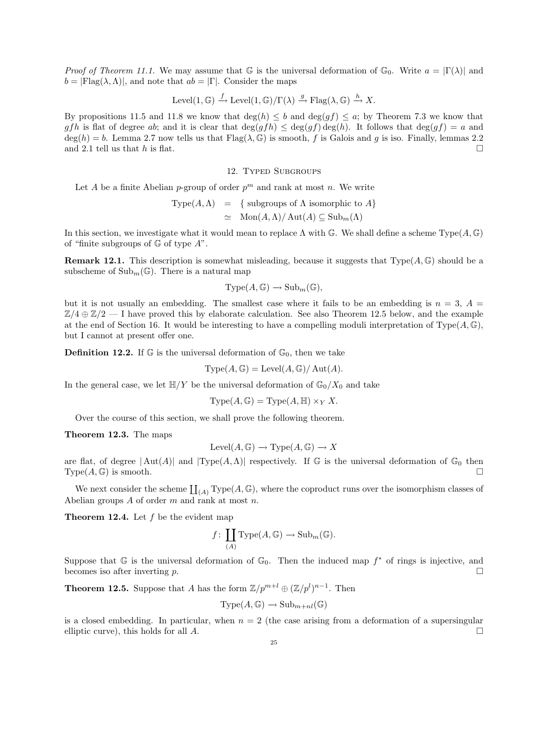*Proof of Theorem 11.1.* We may assume that  $\mathbb{G}$  is the universal deformation of  $\mathbb{G}_0$ . Write  $a = |\Gamma(\lambda)|$  and  $b = |F| \text{Tag}(\lambda, \Lambda)|$ , and note that  $ab = |\Gamma|$ . Consider the maps

Level(1, 
$$
\mathbb{G}
$$
)  $\xrightarrow{f}$  Level(1,  $\mathbb{G}$ )/ $\Gamma(\lambda)$   $\xrightarrow{g}$  Flag( $\lambda$ ,  $\mathbb{G}$ )  $\xrightarrow{h}$  X.

By propositions 11.5 and 11.8 we know that  $\deg(h) \leq b$  and  $\deg(gf) \leq a$ ; by Theorem 7.3 we know that gfh is flat of degree ab; and it is clear that  $\deg(gh) \leq \deg(gf) \deg(h)$ . It follows that  $\deg(gf) = a$  and  $deg(h) = b$ . Lemma 2.7 now tells us that  $Flag(\lambda, \mathbb{G})$  is smooth, f is Galois and g is iso. Finally, lemmas 2.2 and 2.1 tell us that h is flat.

# 12. Typed Subgroups

Let A be a finite Abelian p-group of order  $p^m$  and rank at most n. We write

Type
$$
(A, \Lambda)
$$
 = { subgroups of  $\Lambda$  isomorphic to  $A$ }  
\n $\simeq$  Mon $(A, \Lambda)/$  Aut $(A) \subseteq$  Sub<sub>m</sub> $(\Lambda)$ 

In this section, we investigate what it would mean to replace  $\Lambda$  with  $\mathbb{G}$ . We shall define a scheme Type $(A, \mathbb{G})$ of "finite subgroups of  $\mathbb G$  of type  $A$ ".

**Remark 12.1.** This description is somewhat misleading, because it suggests that  $Type(A, \mathbb{G})$  should be a subscheme of  $\text{Sub}_m(\mathbb{G})$ . There is a natural map

$$
Type(A, \mathbb{G}) \to Sub_m(\mathbb{G}),
$$

but it is not usually an embedding. The smallest case where it fails to be an embedding is  $n = 3$ ,  $A =$  $\mathbb{Z}/4 \oplus \mathbb{Z}/2$  — I have proved this by elaborate calculation. See also Theorem 12.5 below, and the example at the end of Section 16. It would be interesting to have a compelling moduli interpretation of Type $(A, \mathbb{G})$ , but I cannot at present offer one.

**Definition 12.2.** If  $\mathbb{G}$  is the universal deformation of  $\mathbb{G}_0$ , then we take

$$
Type(A, \mathbb{G}) = Level(A, \mathbb{G})/Aut(A).
$$

In the general case, we let  $\mathbb{H}/Y$  be the universal deformation of  $\mathbb{G}_0/X_0$  and take

Type
$$
(A, \mathbb{G})
$$
 = Type $(A, \mathbb{H}) \times_Y X$ .

Over the course of this section, we shall prove the following theorem.

Theorem 12.3. The maps

$$
Level(A, \mathbb{G}) \to Type(A, \mathbb{G}) \to X
$$

are flat, of degree  $|\text{Aut}(A)|$  and  $|\text{Type}(A,\Lambda)|$  respectively. If G is the universal deformation of  $\mathbb{G}_0$  then  $Type(A, \mathbb{G})$  is smooth.

We next consider the scheme  $\coprod_{(A)} \text{Type}(A, \mathbb{G})$ , where the coproduct runs over the isomorphism classes of Abelian groups  $A$  of order  $m$  and rank at most  $n$ .

**Theorem 12.4.** Let  $f$  be the evident map

$$
f\colon \coprod_{(A)}\mathrm{Type}(A,\mathbb{G})\to \mathrm{Sub}_m(\mathbb{G}).
$$

Suppose that  $\mathbb G$  is the universal deformation of  $\mathbb G_0$ . Then the induced map  $f^*$  of rings is injective, and becomes iso after inverting p.  $\Box$ 

**Theorem 12.5.** Suppose that A has the form  $\mathbb{Z}/p^{m+l} \oplus (\mathbb{Z}/p^{l})^{n-1}$ . Then

$$
Type(A, \mathbb{G}) \to Sub_{m+nl}(\mathbb{G})
$$

is a closed embedding. In particular, when  $n = 2$  (the case arising from a deformation of a supersingular elliptic curve), this holds for all  $A$ .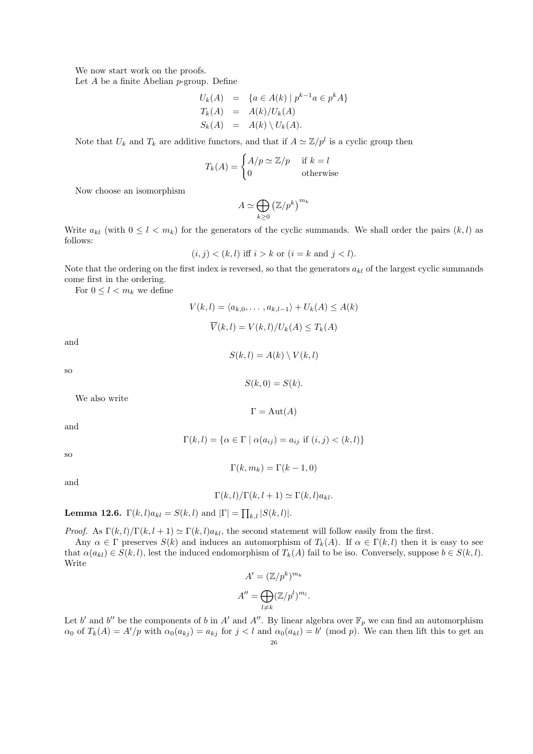We now start work on the proofs.

Let  $A$  be a finite Abelian  $p$ -group. Define

$$
U_k(A) = \{a \in A(k) \mid p^{k-1}a \in p^k A\}
$$
  
\n
$$
T_k(A) = A(k)/U_k(A)
$$
  
\n
$$
S_k(A) = A(k) \setminus U_k(A).
$$

Note that  $U_k$  and  $T_k$  are additive functors, and that if  $A \simeq \mathbb{Z}/p^l$  is a cyclic group then

$$
T_k(A) = \begin{cases} A/p \simeq \mathbb{Z}/p & \text{if } k = l \\ 0 & \text{otherwise} \end{cases}
$$

Now choose an isomorphism

$$
A \simeq \bigoplus_{k \geq 0} (\mathbb{Z}/p^k)^{m_k}
$$

Write  $a_{kl}$  (with  $0 \leq l \leq m_k$ ) for the generators of the cyclic summands. We shall order the pairs  $(k, l)$  as follows:

$$
(i, j) < (k, l) \text{ iff } i > k \text{ or } (i = k \text{ and } j < l).
$$

Note that the ordering on the first index is reversed, so that the generators  $a_{kl}$  of the largest cyclic summands come first in the ordering.

For  $0 \leq l < m_k$  we define

$$
V(k, l) = \langle a_{k,0}, \dots, a_{k,l-1} \rangle + U_k(A) \le A(k)
$$

$$
\overline{V}(k, l) = V(k, l) / U_k(A) \le T_k(A)
$$

and

$$
S(k,l) = A(k) \setminus V(k,l)
$$

 $S(k, 0) = S(k)$ .

 $\Gamma = \text{Aut}(A)$ 

so

We also write

 $\Gamma(k,l) = \{ \alpha \in \Gamma \mid \alpha(a_{ij}) = a_{ij} \text{ if } (i,j) < (k,l) \}$ 

so

and

 $\Gamma(k, m_k) = \Gamma(k - 1, 0)$ 

and

$$
\Gamma(k,l)/\Gamma(k,l+1) \simeq \Gamma(k,l)a_{kl}.
$$

**Lemma 12.6.**  $\Gamma(k, l)a_{kl} = S(k, l)$  and  $|\Gamma| = \prod_{k,l} |S(k, l)|$ .

*Proof.* As  $\Gamma(k, l)/\Gamma(k, l + 1) \simeq \Gamma(k, l)a_{kl}$ , the second statement will follow easily from the first.

Any  $\alpha \in \Gamma$  preserves  $S(k)$  and induces an automorphism of  $T_k(A)$ . If  $\alpha \in \Gamma(k, l)$  then it is easy to see that  $\alpha(a_{kl}) \in S(k, l)$ , lest the induced endomorphism of  $T_k(A)$  fail to be iso. Conversely, suppose  $b \in S(k, l)$ . Write

$$
A' = (\mathbb{Z}/p^k)^{m_k}
$$

$$
A'' = \bigoplus_{l \neq k} (\mathbb{Z}/p^l)^{m_l}.
$$

Let b' and b'' be the components of b in A' and A''. By linear algebra over  $\mathbb{F}_p$  we can find an automorphism  $\alpha_0$  of  $T_k(A) = A'/p$  with  $\alpha_0(a_{kj}) = a_{kj}$  for  $j < l$  and  $\alpha_0(a_{kl}) = b'$  (mod p). We can then lift this to get an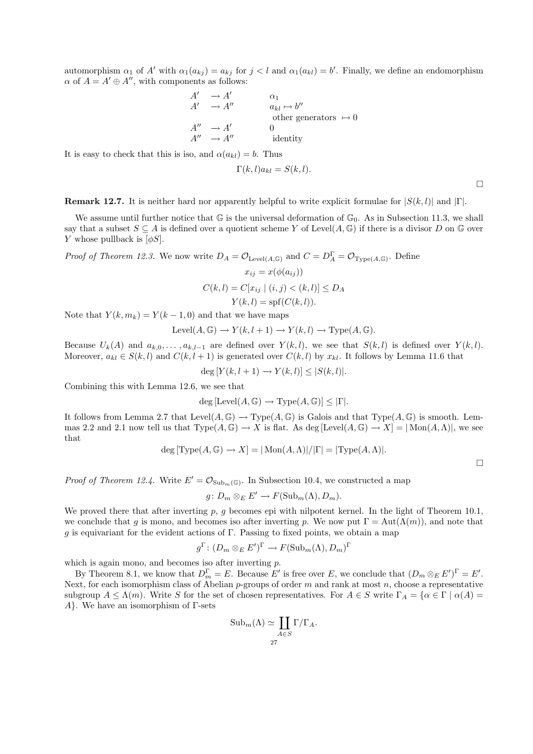automorphism  $\alpha_1$  of A' with  $\alpha_1(a_{kj}) = a_{kj}$  for  $j < l$  and  $\alpha_1(a_{kl}) = b'$ . Finally, we define an endomorphism  $\alpha$  of  $A = A' \oplus A''$ , with components as follows:

$$
A' \rightarrow A' \qquad \alpha_1
$$
  
\n
$$
A' \rightarrow A'' \qquad \begin{array}{c} \alpha_1 \\ a_{kl} \mapsto b'' \end{array}
$$
  
\nother generators  $\mapsto 0$   
\n
$$
A'' \rightarrow A' \qquad 0
$$
  
\n
$$
A'' \rightarrow A'' \qquad \text{identity}
$$

It is easy to check that this is iso, and  $\alpha(a_{kl}) = b$ . Thus

$$
\Gamma(k,l)a_{kl} = S(k,l).
$$

 $\Box$ 

**Remark 12.7.** It is neither hard nor apparently helpful to write explicit formulae for  $|S(k, l)|$  and  $|\Gamma|$ .

We assume until further notice that  $\mathbb G$  is the universal deformation of  $\mathbb G_0$ . As in Subsection 11.3, we shall say that a subset  $S \subseteq A$  is defined over a quotient scheme Y of Level $(A, \mathbb{G})$  if there is a divisor D on G over Y whose pullback is  $[\phi S]$ .

*Proof of Theorem 12.3.* We now write  $D_A = \mathcal{O}_{\text{Level}(A,\mathbb{G})}$  and  $C = D_A^{\Gamma} = \mathcal{O}_{\text{Type}(A,\mathbb{G})}$ . Define

$$
x_{ij} = x(\phi(a_{ij}))
$$
  
\n
$$
C(k, l) = C[x_{ij} | (i, j) < (k, l)] \leq D_A
$$
  
\n
$$
Y(k, l) = \text{spf}(C(k, l)).
$$

Note that  $Y(k, m_k) = Y(k-1, 0)$  and that we have maps

$$
Level(A, \mathbb{G}) \to Y(k, l+1) \to Y(k, l) \to Type(A, \mathbb{G}).
$$

Because  $U_k(A)$  and  $a_{k,0}, \ldots, a_{k,l-1}$  are defined over  $Y(k, l)$ , we see that  $S(k, l)$  is defined over  $Y(k, l)$ . Moreover,  $a_{kl} \in S(k, l)$  and  $C(k, l + 1)$  is generated over  $C(k, l)$  by  $x_{kl}$ . It follows by Lemma 11.6 that

$$
\deg [Y(k, l+1) \to Y(k, l)] \leq |S(k, l)|.
$$

Combining this with Lemma 12.6, we see that

$$
\deg \left[ \operatorname{Level}(A, \mathbb{G}) \to \operatorname{Type}(A, \mathbb{G}) \right] \leq |\Gamma|.
$$

It follows from Lemma 2.7 that Level( $A, \mathbb{G}$ )  $\rightarrow$  Type( $A, \mathbb{G}$ ) is Galois and that Type( $A, \mathbb{G}$ ) is smooth. Lemmas 2.2 and 2.1 now tell us that  $Type(A, \mathbb{G}) \to X$  is flat. As deg  $[Level(A, \mathbb{G}) \to X] = | Mon(A, \Lambda)|$ , we see that

$$
deg[Type(A, \mathbb{G}) \to X] = |Mon(A, \Lambda)|/|\Gamma| = |Type(A, \Lambda)|.
$$

 $\Box$ 

*Proof of Theorem 12.4.* Write  $E' = \mathcal{O}_{\text{Sub}_m(\mathbb{G})}$ . In Subsection 10.4, we constructed a map

$$
g\colon D_m\otimes_E E'\to F(\mathrm{Sub}_m(\Lambda), D_m).
$$

We proved there that after inverting  $p$ ,  $g$  becomes epi with nilpotent kernel. In the light of Theorem 10.1, we conclude that g is mono, and becomes iso after inverting p. We now put  $\Gamma = \text{Aut}(\Lambda(m))$ , and note that g is equivariant for the evident actions of  $\Gamma$ . Passing to fixed points, we obtain a map

$$
g^{\Gamma} \colon (D_m \otimes_E E')^{\Gamma} \to F(\mathrm{Sub}_m(\Lambda), D_m)^{\Gamma}
$$

which is again mono, and becomes iso after inverting  $p$ .

By Theorem 8.1, we know that  $D_m^{\Gamma} = E$ . Because E' is free over E, we conclude that  $(D_m \otimes_E E')^{\Gamma} = E'$ . Next, for each isomorphism class of Abelian  $p$ -groups of order m and rank at most n, choose a representative subgroup  $A \leq \Lambda(m)$ . Write S for the set of chosen representatives. For  $A \in S$  write  $\Gamma_A = \{ \alpha \in \Gamma \mid \alpha(A) =$ A}. We have an isomorphism of Γ-sets

$$
\mathrm{Sub}_m(\Lambda) \simeq \coprod_{A \in S} \Gamma/\Gamma_A.
$$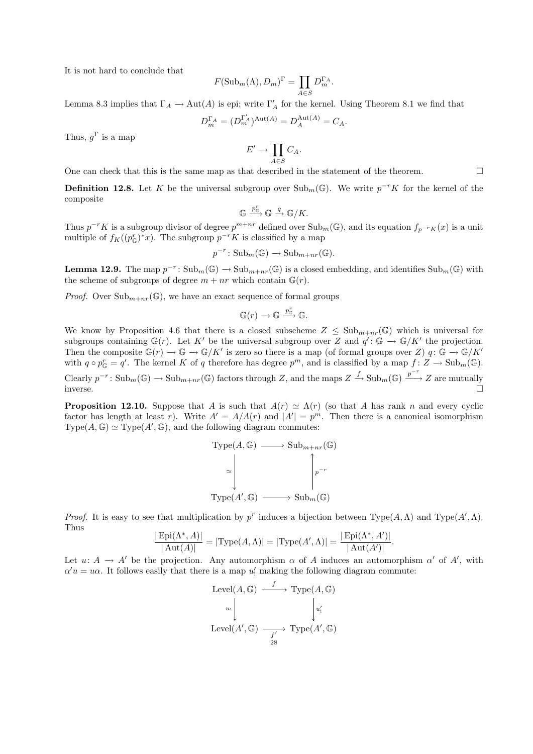It is not hard to conclude that

$$
F(\mathrm{Sub}_m(\Lambda), D_m)^{\Gamma} = \prod_{A \in S} D_m^{\Gamma_A}.
$$

Lemma 8.3 implies that  $\Gamma_A \to \text{Aut}(A)$  is epi; write  $\Gamma'_A$  for the kernel. Using Theorem 8.1 we find that

$$
D_m^{\Gamma_A}=(D_m^{\Gamma_A'})^{\operatorname{Aut}(A)}=D_A^{\operatorname{Aut}(A)}=C_A.
$$

Thus,  $g^{\Gamma}$  is a map

$$
E' \to \prod_{A \in S} C_A.
$$

One can check that this is the same map as that described in the statement of the theorem.  $\Box$ 

**Definition 12.8.** Let K be the universal subgroup over  $\text{Sub}_{m}(\mathbb{G})$ . We write  $p^{-r}K$  for the kernel of the composite

$$
\mathbb{G} \xrightarrow{p_{\mathbb{G}}^r} \mathbb{G} \xrightarrow{q} \mathbb{G}/K.
$$

Thus  $p^{-r}K$  is a subgroup divisor of degree  $p^{m+nr}$  defined over  $\text{Sub}_m(\mathbb{G})$ , and its equation  $f_{p^{-r}K}(x)$  is a unit multiple of  $f_K((p_{\mathbb{G}}^r)^*x)$ . The subgroup  $p^{-r}K$  is classified by a map

$$
p^{-r} \colon \mathrm{Sub}_m(\mathbb{G}) \to \mathrm{Sub}_{m+nr}(\mathbb{G}).
$$

**Lemma 12.9.** The map  $p^{-r}$ :  $\text{Sub}_{m}(\mathbb{G}) \to \text{Sub}_{m+nr}(\mathbb{G})$  is a closed embedding, and identifies  $\text{Sub}_{m}(\mathbb{G})$  with the scheme of subgroups of degree  $m + nr$  which contain  $\mathbb{G}(r)$ .

*Proof.* Over  $\text{Sub}_{m+n}(G)$ , we have an exact sequence of formal groups

$$
\mathbb{G}(r) \longrightarrow \mathbb{G} \stackrel{p_{\mathbb{G}}^r}{\longrightarrow} \mathbb{G}.
$$

We know by Proposition 4.6 that there is a closed subscheme  $Z \leq Sub_{m+n,r}(\mathbb{G})$  which is universal for subgroups containing  $\mathbb{G}(r)$ . Let K' be the universal subgroup over Z and  $q' : \mathbb{G} \to \mathbb{G}/K'$  the projection. Then the composite  $\mathbb{G}(r) \to \mathbb{G} \to \mathbb{G}/K'$  is zero so there is a map (of formal groups over Z)  $q: \mathbb{G} \to \mathbb{G}/K'$ with  $q \circ p_{\mathbb{G}}^r = q'$ . The kernel K of q therefore has degree  $p^m$ , and is classified by a map  $f: Z \to \text{Sub}_m(\mathbb{G})$ . Clearly  $p^{-r} \colon \text{Sub}_{m}(\mathbb{G}) \to \text{Sub}_{m+nr}(\mathbb{G})$  factors through Z, and the maps  $Z \xrightarrow{f} \text{Sub}_{m}(\mathbb{G}) \xrightarrow{p^{-r}} Z$  are mutually inverse.

**Proposition 12.10.** Suppose that A is such that  $A(r) \simeq \Lambda(r)$  (so that A has rank n and every cyclic factor has length at least r). Write  $A' = A/A(r)$  and  $|A'| = p<sup>m</sup>$ . Then there is a canonical isomorphism  $Type(A, \mathbb{G}) \simeq Type(A', \mathbb{G})$ , and the following diagram commutes:

Type
$$
(A, \mathbb{G}) \longrightarrow \text{Sub}_{m+nr}(\mathbb{G})
$$
  
\n
$$
\simeq \begin{bmatrix} \cdot & \cdot & \cdot \\ \cdot & \cdot & \cdot \\ \cdot & \cdot & \cdot \\ \cdot & \cdot & \cdot \\ \cdot & \cdot & \cdot \\ \cdot & \cdot & \cdot \\ \cdot & \cdot & \cdot \\ \cdot & \cdot & \cdot \\ \cdot & \cdot & \cdot \end{bmatrix}_{p^{-r}}
$$
\nType $(A', \mathbb{G}) \longrightarrow \text{Sub}_{m}(\mathbb{G})$ 

Proof. It is easy to see that multiplication by p<sup>r</sup> induces a bijection between Type(A,  $\Lambda$ ) and Type(A',  $\Lambda$ ). Thus

$$
\frac{|\text{Epi}(\Lambda^*, A)|}{|\text{Aut}(A)|} = |\text{Type}(A, \Lambda)| = |\text{Type}(A', \Lambda)| = \frac{|\text{Epi}(\Lambda^*, A')|}{|\text{Aut}(A')|}.
$$

Let  $u: A \to A'$  be the projection. Any automorphism  $\alpha$  of A induces an automorphism  $\alpha'$  of A', with  $\alpha' u = u \alpha$ . It follows easily that there is a map  $u'_!$  making the following diagram commute:

Level
$$
(A, \mathbb{G}) \xrightarrow{f} \text{Type}(A, \mathbb{G})
$$
  
\n $u_1 \downarrow \qquad \qquad u'_1$   
\nLevel $(A', \mathbb{G}) \xrightarrow{f'} \text{Type}(A', \mathbb{G})$   
\n $28$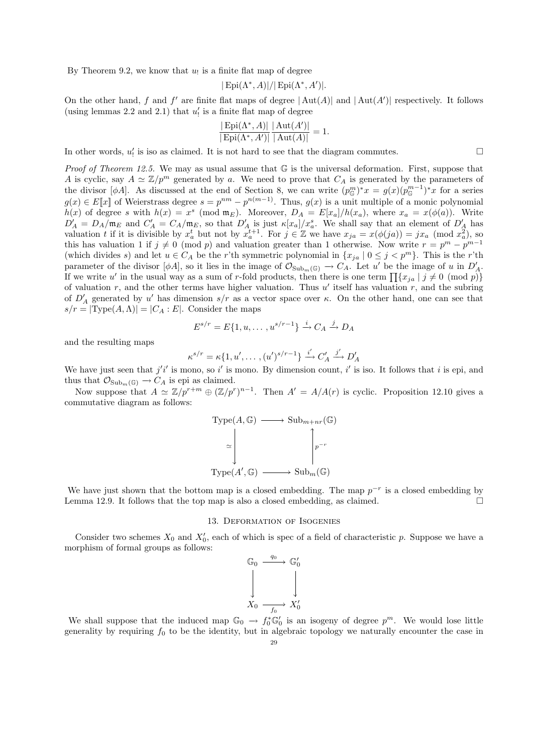By Theorem 9.2, we know that  $u_!$  is a finite flat map of degree

$$
|\operatorname{Epi}(\Lambda^*,A)|/|\operatorname{Epi}(\Lambda^*,A')|.
$$

On the other hand, f and f' are finite flat maps of degree  $|\text{Aut}(A)|$  and  $|\text{Aut}(A')|$  respectively. It follows (using lemmas 2.2 and 2.1) that  $u^{\prime}_!$  is a finite flat map of degree

$$
\frac{|\operatorname{Epi}(\Lambda^*,A)|}{|\operatorname{Epi}(\Lambda^*,A')|}\frac{|\operatorname{Aut}(A')|}{|\operatorname{Aut}(A)|}=1.
$$

In other words,  $u'_!$  is iso as claimed. It is not hard to see that the diagram commutes.

Proof of Theorem 12.5. We may as usual assume that G is the universal deformation. First, suppose that A is cyclic, say  $A \simeq \mathbb{Z}/p^m$  generated by a. We need to prove that  $C_A$  is generated by the parameters of the divisor  $[\phi A]$ . As discussed at the end of Section 8, we can write  $(p_{\mathbb{G}}^m)^*x = g(x)(p_{\mathbb{G}}^{m-1})^*x$  for a series  $g(x) \in E\llbracket x \rrbracket$  of Weierstrass degree  $s = p^{nm} - p^{n(m-1)}$ . Thus,  $g(x)$  is a unit multiple of a monic polynomial  $h(x)$  of degree s with  $h(x) = x^s \pmod{\mathfrak{m}_E}$ . Moreover,  $D_A = E[x_a]/h(x_a)$ , where  $x_a = x(\phi(a))$ . Write  $D'_A = D_A/\mathfrak{m}_E$  and  $C'_A = C_A/\mathfrak{m}_E$ , so that  $D'_A$  is just  $\kappa[x_a]/x_a^s$ . We shall say that an element of  $D'_A$  has valuation t if it is divisible by  $x_a^t$  but not by  $x_a^{t+1}$ . For  $j \in \mathbb{Z}$  we have  $x_{ja} = x(\phi(ja)) = jx_a \pmod{\overline{x_a^2}}$ , so this has valuation 1 if  $j \neq 0 \pmod{p}$  and valuation greater than 1 otherwise. Now write  $r = p^m - p^{m-1}$ (which divides s) and let  $u \in C_A$  be the r'th symmetric polynomial in  $\{x_{ja} \mid 0 \leq j < p^m\}$ . This is the r'th parameter of the divisor  $[\phi A]$ , so it lies in the image of  $\mathcal{O}_{\text{Sub}_m(\mathbb{G})} \to C_A$ . Let u' be the image of u in  $D'_A$ . If we write u' in the usual way as a sum of r-fold products, then there is one term  $\prod \{x_{ja} | j \neq 0 \pmod{p}\}$ of valuation  $r$ , and the other terms have higher valuation. Thus  $u'$  itself has valuation  $r$ , and the subring of  $D'_A$  generated by u' has dimension  $s/r$  as a vector space over  $\kappa$ . On the other hand, one can see that  $s/r = |Type(A, \Lambda)| = |C_A : E|$ . Consider the maps

$$
E^{s/r} = E\{1, u, \dots, u^{s/r-1}\} \xrightarrow{i} C_A \xrightarrow{j} D_A
$$

and the resulting maps

$$
\kappa^{s/r} = \kappa \{1, u', \dots, (u')^{s/r-1}\} \xrightarrow{i'} C'_A \xrightarrow{j'} D'_A
$$

We have just seen that  $j'i'$  is mono, so i' is mono. By dimension count, i' is iso. It follows that i is epi, and thus that  $\mathcal{O}_{\mathrm{Sub}_m(\mathbb{G})} \to C_A$  is epi as claimed.

Now suppose that  $A \simeq \mathbb{Z}/p^{r+m} \oplus (\mathbb{Z}/p^r)^{n-1}$ . Then  $A' = A/A(r)$  is cyclic. Proposition 12.10 gives a commutative diagram as follows:

Type
$$
(A, \mathbb{G}) \longrightarrow \text{Sub}_{m+nr}(\mathbb{G})
$$
  
\n
$$
\simeq \left( \bigvee_{\text{Type}(A', \mathbb{G}) \longrightarrow \text{Sub}_{m}(\mathbb{G})} \left[ \bigvee_{p=r}^{p-r} \right] \right)
$$

We have just shown that the bottom map is a closed embedding. The map  $p^{-r}$  is a closed embedding by Lemma 12.9. It follows that the top map is also a closed embedding, as claimed.  $\square$ 

### 13. Deformation of Isogenies

Consider two schemes  $X_0$  and  $X'_0$ , each of which is spec of a field of characteristic p. Suppose we have a morphism of formal groups as follows:

$$
\begin{array}{ccc}\n\mathbb{G}_0 & \xrightarrow{q_0} & \mathbb{G}'_0 \\
\downarrow & & \downarrow \\
X_0 & \xrightarrow{f_0} & X'_0\n\end{array}
$$

We shall suppose that the induced map  $\mathbb{G}_0 \to f_0^* \mathbb{G}'_0$  is an isogeny of degree  $p^m$ . We would lose little generality by requiring  $f_0$  to be the identity, but in algebraic topology we naturally encounter the case in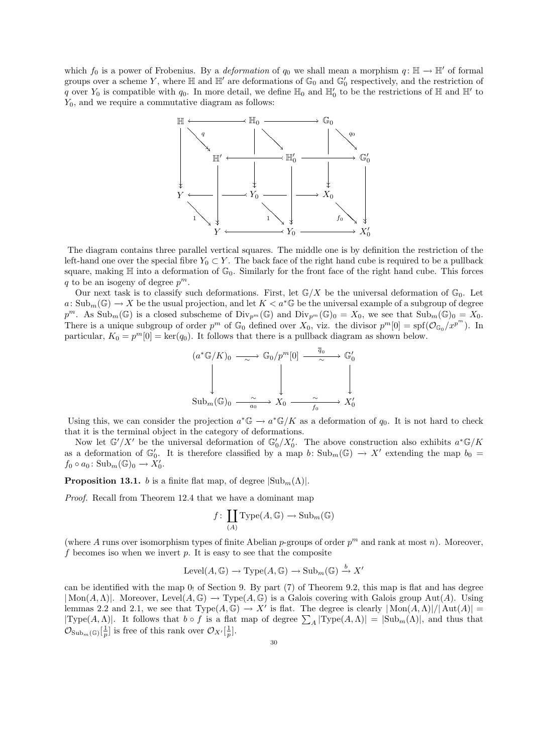which  $f_0$  is a power of Frobenius. By a *deformation* of  $q_0$  we shall mean a morphism  $q: \mathbb{H} \to \mathbb{H}'$  of formal groups over a scheme Y, where  $\mathbb H$  and  $\mathbb H'$  are deformations of  $\mathbb G_0$  and  $\mathbb G'_0$  respectively, and the restriction of q over  $Y_0$  is compatible with  $q_0$ . In more detail, we define  $\mathbb{H}_0$  and  $\mathbb{H}'_0$  to be the restrictions of  $\mathbb H$  and  $\mathbb{H}'$  to  $Y_0$ , and we require a commutative diagram as follows:



The diagram contains three parallel vertical squares. The middle one is by definition the restriction of the left-hand one over the special fibre  $Y_0 \subset Y$ . The back face of the right hand cube is required to be a pullback square, making  $\mathbb H$  into a deformation of  $\mathbb G_0$ . Similarly for the front face of the right hand cube. This forces q to be an isogeny of degree  $p^m$ .

Our next task is to classify such deformations. First, let  $\mathbb{G}/X$  be the universal deformation of  $\mathbb{G}_0$ . Let  $a: \text{Sub}_m(\mathbb{G}) \to X$  be the usual projection, and let  $K < a^* \mathbb{G}$  be the universal example of a subgroup of degree  $p^m$ . As  $\text{Sub}_m(\mathbb{G})$  is a closed subscheme of  $\text{Div}_{p^m}(\mathbb{G})$  and  $\text{Div}_{p^m}(\mathbb{G})_0 = X_0$ , we see that  $\text{Sub}_m(\mathbb{G})_0 = X_0$ . There is a unique subgroup of order  $p^m$  of  $\mathbb{G}_0$  defined over  $X_0$ , viz. the divisor  $p^m[0] = \text{spf}(\mathcal{O}_{\mathbb{G}_0}/x^{p^m})$ . In particular,  $K_0 = p^m[0] = \text{ker}(q_0)$ . It follows that there is a pullback diagram as shown below.

$$
(a^*\mathbb{G}/K)_0 \longrightarrow \mathbb{G}_0/p^m[0] \xrightarrow{\overline{q}_0} \mathbb{G}'_0
$$
  
\n
$$
\downarrow \qquad \qquad \downarrow \qquad \qquad \downarrow
$$
  
\n
$$
\text{Sub}_m(\mathbb{G})_0 \xrightarrow{\sim} \mathbb{Z}_0 \xrightarrow{\sim} \mathbb{X}_0 \xrightarrow{f_0} \mathbb{X}'_0
$$

Using this, we can consider the projection  $a^* \mathbb{G} \to a^* \mathbb{G}/K$  as a deformation of  $q_0$ . It is not hard to check that it is the terminal object in the category of deformations.

Now let  $\mathbb{G}'/X'$  be the universal deformation of  $\mathbb{G}'_0/X'_0$ . The above construction also exhibits  $a^*\mathbb{G}/K$ as a deformation of  $\mathbb{G}_0'$ . It is therefore classified by a map b:  $\text{Sub}_m(\mathbb{G}) \to X'$  extending the map  $b_0 =$  $f_0 \circ a_0 \colon \mathrm{Sub}_m(\mathbb{G})_0 \to \check{X}'_0.$ 

**Proposition 13.1.** b is a finite flat map, of degree  $|\text{Sub}_{m}(\Lambda)|$ .

Proof. Recall from Theorem 12.4 that we have a dominant map

$$
f\colon \coprod_{(A)}\mathrm{Type}(A,\mathbb{G})\to \mathrm{Sub}_m(\mathbb{G})
$$

(where A runs over isomorphism types of finite Abelian p-groups of order  $p^m$  and rank at most n). Moreover, f becomes iso when we invert  $p$ . It is easy to see that the composite

$$
Level(A, \mathbb{G}) \to Type(A, \mathbb{G}) \to Sub_m(\mathbb{G}) \stackrel{b}{\to} X'
$$

can be identified with the map  $0<sub>1</sub>$  of Section 9. By part (7) of Theorem 9.2, this map is flat and has degree  $|\text{Mon}(A,\Lambda)|$ . Moreover, Level $(A,\mathbb{G}) \to \text{Type}(A,\mathbb{G})$  is a Galois covering with Galois group Aut $(A)$ . Using lemmas 2.2 and 2.1, we see that  $Type(A, \mathbb{G}) \to X'$  is flat. The degree is clearly  $| Mon(A, \Lambda)|/|\Aut(A)| =$  $|\text{Type}(A,\Lambda)|$ . It follows that  $b \circ f$  is a flat map of degree  $\sum_{A} |\text{Type}(A,\Lambda)| = |\text{Sub}_{m}(\Lambda)|$ , and thus that  $\mathcal{O}_{\mathrm{Sub}_{m}(\mathbb{G})}[\frac{1}{p}]$  is free of this rank over  $\mathcal{O}_{X'}[\frac{1}{p}]$ .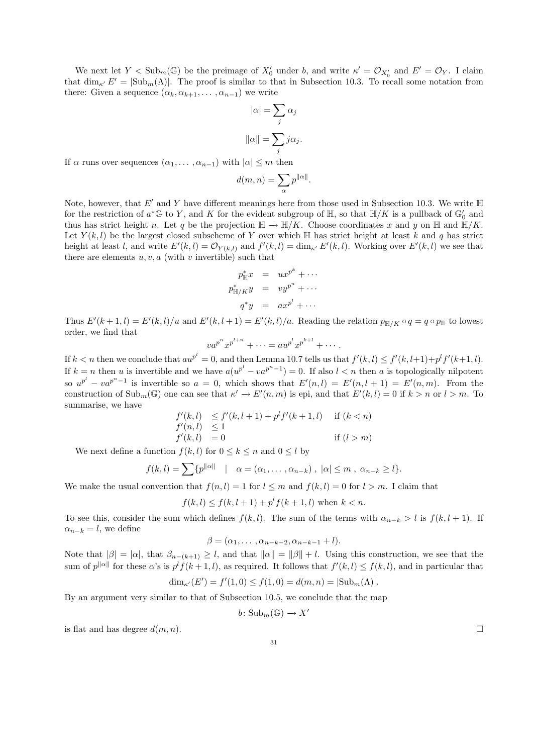We next let  $Y < \text{Sub}_{m}(\mathbb{G})$  be the preimage of  $X'_{0}$  under b, and write  $\kappa' = \mathcal{O}_{X'_{0}}$  and  $E' = \mathcal{O}_{Y}$ . I claim that  $\dim_{\kappa'} E' = |\text{Sub}_{m}(\Lambda)|$ . The proof is similar to that in Subsection 10.3. To recall some notation from there: Given a sequence  $(\alpha_k, \alpha_{k+1}, \ldots, \alpha_{n-1})$  we write

$$
|\alpha| = \sum_{j} \alpha_{j}
$$

$$
\|\alpha\| = \sum_{j} j\alpha_{j}.
$$

If  $\alpha$  runs over sequences  $(\alpha_1, \ldots, \alpha_{n-1})$  with  $|\alpha| \leq m$  then

$$
d(m, n) = \sum_{\alpha} p^{\|\alpha\|}.
$$

Note, however, that  $E'$  and Y have different meanings here from those used in Subsection 10.3. We write  $\mathbb H$ for the restriction of  $a^* \mathbb{G}$  to Y, and K for the evident subgroup of  $\mathbb{H}$ , so that  $\mathbb{H}/K$  is a pullback of  $\mathbb{G}'_0$  and thus has strict height n. Let q be the projection  $\mathbb{H} \to \mathbb{H}/K$ . Choose coordinates x and y on  $\mathbb{H}$  and  $\mathbb{H}/K$ . Let  $Y(k, l)$  be the largest closed subscheme of Y over which H has strict height at least k and q has strict height at least l, and write  $E'(k,l) = \mathcal{O}_{Y(k,l)}$  and  $f'(k,l) = \dim_{\kappa'} E'(k,l)$ . Working over  $E'(k,l)$  we see that there are elements  $u, v, a$  (with v invertible) such that

$$
p_{\mathbb{H}}^* x = u x^{p^k} + \cdots
$$
  
\n
$$
p_{\mathbb{H}/K}^* y = v y^{p^n} + \cdots
$$
  
\n
$$
q^* y = a x^{p^l} + \cdots
$$

Thus  $E'(k+1, l) = E'(k, l)/u$  and  $E'(k, l+1) = E'(k, l)/a$ . Reading the relation  $p_{\mathbb{H}/K} \circ q = q \circ p_{\mathbb{H}}$  to lowest order, we find that

$$
va^{p^n}x^{p^{l+n}} + \cdots = au^{p^l}x^{p^{k+l}} + \cdots
$$

If  $k < n$  then we conclude that  $a u^{p^l} = 0$ , and then Lemma 10.7 tells us that  $f'(k, l) \le f'(k, l+1) + p^l f'(k+1, l)$ . If  $k = n$  then u is invertible and we have  $a(u^{p^{l}} - va^{p^{n}-1}) = 0$ . If also  $l < n$  then a is topologically nilpotent so  $u^{p^l} - va^{p^n-1}$  is invertible so  $a = 0$ , which shows that  $E'(n, l) = E'(n, l+1) = E'(n, m)$ . From the construction of  $\text{Sub}_m(\mathbb{G})$  one can see that  $\kappa' \to E'(n,m)$  is epi, and that  $E'(k,l) = 0$  if  $k > n$  or  $l > m$ . To summarise, we have

$$
f'(k, l) \le f'(k, l+1) + p^{l} f'(k+1, l) \quad \text{if } (k < n) f'(n, l) \le 1 f'(k, l) = 0 \quad \text{if } (l > m)
$$

We next define a function  $f(k, l)$  for  $0 \le k \le n$  and  $0 \le l$  by

$$
f(k,l) = \sum \{ p^{\|\alpha\|} \mid \alpha = (\alpha_1, \dots, \alpha_{n-k}), \ |\alpha| \leq m , \ \alpha_{n-k} \geq l \}.
$$

We make the usual convention that  $f(n, l) = 1$  for  $l \leq m$  and  $f(k, l) = 0$  for  $l > m$ . I claim that

$$
f(k, l) \le f(k, l + 1) + p^{l} f(k + 1, l)
$$
 when  $k < n$ .

To see this, consider the sum which defines  $f(k, l)$ . The sum of the terms with  $\alpha_{n-k} > l$  is  $f(k, l + 1)$ . If  $\alpha_{n-k} = l$ , we define

$$
\beta = (\alpha_1, \ldots, \alpha_{n-k-2}, \alpha_{n-k-1} + l).
$$

Note that  $|\beta| = |\alpha|$ , that  $\beta_{n-(k+1)} \geq l$ , and that  $||\alpha|| = ||\beta|| + l$ . Using this construction, we see that the sum of  $p^{\|\alpha\|}$  for these  $\alpha$ 's is  $p^l f(k+1,l)$ , as required. It follows that  $f'(k,l) \leq f(k,l)$ , and in particular that

$$
\dim_{\kappa'}(E') = f'(1,0) \le f(1,0) = d(m,n) = |\text{Sub}_{m}(\Lambda)|.
$$

By an argument very similar to that of Subsection 10.5, we conclude that the map

$$
b\colon \mathrm{Sub}_m(\mathbb{G}) \to X'
$$

is flat and has degree  $d(m, n)$ .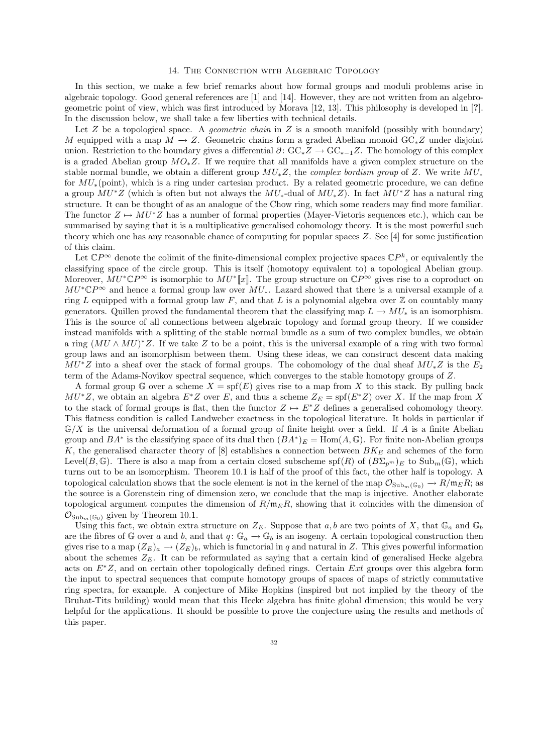#### 14. The Connection with Algebraic Topology

In this section, we make a few brief remarks about how formal groups and moduli problems arise in algebraic topology. Good general references are [1] and [14]. However, they are not written from an algebrogeometric point of view, which was first introduced by Morava [12, 13]. This philosophy is developed in [?]. In the discussion below, we shall take a few liberties with technical details.

Let  $Z$  be a topological space. A *geometric chain* in  $Z$  is a smooth manifold (possibly with boundary) M equipped with a map  $M \to Z$ . Geometric chains form a graded Abelian monoid GC<sub>∗</sub>Z under disjoint union. Restriction to the boundary gives a differential  $\partial: GC_*Z \to GC_{*-1}Z$ . The homology of this complex is a graded Abelian group  $MO_*Z$ . If we require that all manifolds have a given complex structure on the stable normal bundle, we obtain a different group  $MU_*Z$ , the *complex bordism group* of Z. We write  $MU_*$ for  $MU_*(\text{point})$ , which is a ring under cartesian product. By a related geometric procedure, we can define a group  $MU^*Z$  (which is often but not always the  $MU_*$ -dual of  $MU_*Z$ ). In fact  $MU^*Z$  has a natural ring structure. It can be thought of as an analogue of the Chow ring, which some readers may find more familiar. The functor  $Z \mapsto MU^*Z$  has a number of formal properties (Mayer-Vietoris sequences etc.), which can be summarised by saying that it is a multiplicative generalised cohomology theory. It is the most powerful such theory which one has any reasonable chance of computing for popular spaces Z. See [4] for some justification of this claim.

Let  $\mathbb{C}P^{\infty}$  denote the colimit of the finite-dimensional complex projective spaces  $\mathbb{C}P^{k}$ , or equivalently the classifying space of the circle group. This is itself (homotopy equivalent to) a topological Abelian group. Moreover,  $MU^* \mathbb{C}P^\infty$  is isomorphic to  $MU^* \llbracket x \rrbracket$ . The group structure on  $\mathbb{C}P^\infty$  gives rise to a coproduct on  $MU^*{\mathbb C}P^\infty$  and hence a formal group law over  $MU_*$ . Lazard showed that there is a universal example of a ring L equipped with a formal group law F, and that L is a polynomial algebra over  $\mathbb Z$  on countably many generators. Quillen proved the fundamental theorem that the classifying map  $L \to MU_*$  is an isomorphism. This is the source of all connections between algebraic topology and formal group theory. If we consider instead manifolds with a splitting of the stable normal bundle as a sum of two complex bundles, we obtain a ring  $(MU \wedge MU)^*Z$ . If we take Z to be a point, this is the universal example of a ring with two formal group laws and an isomorphism between them. Using these ideas, we can construct descent data making  $MU^*Z$  into a sheaf over the stack of formal groups. The cohomology of the dual sheaf  $MU_*Z$  is the  $E_2$ term of the Adams-Novikov spectral sequence, which converges to the stable homotopy groups of Z.

A formal group G over a scheme  $X = spf(E)$  gives rise to a map from X to this stack. By pulling back  $MU^*Z$ , we obtain an algebra  $E^*Z$  over E, and thus a scheme  $Z_E = spf(E^*Z)$  over X. If the map from X to the stack of formal groups is flat, then the functor  $Z \mapsto E^*Z$  defines a generalised cohomology theory. This flatness condition is called Landweber exactness in the topological literature. It holds in particular if  $\mathbb{G}/X$  is the universal deformation of a formal group of finite height over a field. If A is a finite Abelian group and  $BA^*$  is the classifying space of its dual then  $(BA^*)_E = \text{Hom}(A, \mathbb{G})$ . For finite non-Abelian groups K, the generalised character theory of  $[8]$  establishes a connection between  $BK_E$  and schemes of the form Level(B, G). There is also a map from a certain closed subscheme spf(R) of  $(B\Sigma_{p^m})_E$  to  $\text{Sub}_m(\mathbb{G})$ , which turns out to be an isomorphism. Theorem 10.1 is half of the proof of this fact, the other half is topology. A topological calculation shows that the socle element is not in the kernel of the map  $\mathcal{O}_{\text{Sub}_{m}(\mathbb{G}_{0})} \to R/\mathfrak{m}_{E}R$ ; as the source is a Gorenstein ring of dimension zero, we conclude that the map is injective. Another elaborate topological argument computes the dimension of  $R/\mathfrak{m}_E R$ , showing that it coincides with the dimension of  $\mathcal{O}_{\text{Sub}_m(\mathbb{G}_0)}$  given by Theorem 10.1.

Using this fact, we obtain extra structure on  $Z_E$ . Suppose that a, b are two points of X, that  $\mathbb{G}_a$  and  $\mathbb{G}_b$ are the fibres of G over a and b, and that  $q: \mathbb{G}_a \to \mathbb{G}_b$  is an isogeny. A certain topological construction then gives rise to a map  $(Z_E)_a \to (Z_E)_b$ , which is functorial in q and natural in Z. This gives powerful information about the schemes  $Z_E$ . It can be reformulated as saying that a certain kind of generalised Hecke algebra acts on  $E<sup>*</sup>Z$ , and on certain other topologically defined rings. Certain Ext groups over this algebra form the input to spectral sequences that compute homotopy groups of spaces of maps of strictly commutative ring spectra, for example. A conjecture of Mike Hopkins (inspired but not implied by the theory of the Bruhat-Tits building) would mean that this Hecke algebra has finite global dimension; this would be very helpful for the applications. It should be possible to prove the conjecture using the results and methods of this paper.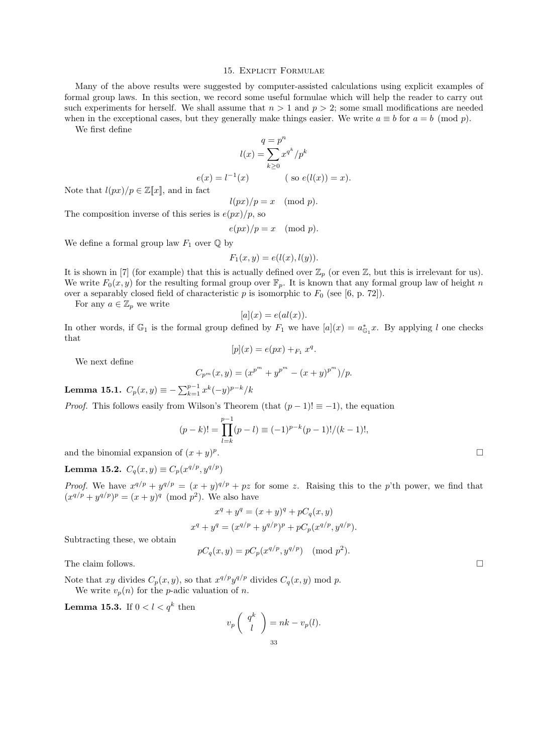#### 15. EXPLICIT FORMULAE

Many of the above results were suggested by computer-assisted calculations using explicit examples of formal group laws. In this section, we record some useful formulae which will help the reader to carry out such experiments for herself. We shall assume that  $n > 1$  and  $p > 2$ ; some small modifications are needed when in the exceptional cases, but they generally make things easier. We write  $a \equiv b$  for  $a = b \pmod{p}$ .

We first define

$$
q = pn
$$

$$
l(x) = \sum_{k\geq 0} x^{qk}/pk
$$

$$
e(x) = l-1(x) \qquad (\text{ so } e(l(x)) = x).
$$

Note that  $l(px)/p \in \mathbb{Z}[\![x]\!]$ , and in fact

$$
l(px)/p = x \pmod{p}.
$$

The composition inverse of this series is  $e(px)/p$ , so

$$
e(px)/p = x \pmod{p}.
$$

We define a formal group law  $F_1$  over  $\mathbb Q$  by

$$
F_1(x, y) = e(l(x), l(y)).
$$

It is shown in [7] (for example) that this is actually defined over  $\mathbb{Z}_p$  (or even  $\mathbb{Z}$ , but this is irrelevant for us). We write  $F_0(x, y)$  for the resulting formal group over  $\mathbb{F}_p$ . It is known that any formal group law of height n over a separably closed field of characteristic p is isomorphic to  $F_0$  (see [6, p. 72]).

For any  $a \in \mathbb{Z}_p$  we write

$$
[a](x) = e(al(x)).
$$

In other words, if  $\mathbb{G}_1$  is the formal group defined by  $F_1$  we have  $[a](x) = a_{\mathbb{G}_1}^* x$ . By applying l one checks that

 $[p](x) = e(px) + F_1 x^q.$ 

We next define

$$
C_{p^m}(x,y) = (x^{p^m} + y^{p^m} - (x+y)^{p^m})/p.
$$

Lemma 15.1.  $C_p(x, y) \equiv -\sum_{k=1}^{p-1} x^k (-y)^{p-k}/k$ 

*Proof.* This follows easily from Wilson's Theorem (that  $(p-1)! \equiv -1$ ), the equation

$$
(p-k)! = \prod_{l=k}^{p-1} (p-l) \equiv (-1)^{p-k} (p-1)!/(k-1)!,
$$
  
of  $(x+y)^p$ .

and the binomial expansion of  $(x+y)^p$ 

Lemma 15.2.  $C_q(x, y) \equiv C_p(x^{q/p}, y^{q/p})$ 

*Proof.* We have  $x^{q/p} + y^{q/p} = (x + y)^{q/p} + pz$  for some z. Raising this to the p'th power, we find that  $(x^{q/p} + y^{q/p})^p = (x + y)^q \pmod{p^2}$ . We also have

$$
x^{q} + y^{q} = (x + y)^{q} + pC_{q}(x, y)
$$
  

$$
x^{q} + y^{q} = (x^{q/p} + y^{q/p})^{p} + pC_{p}(x^{q/p}, y^{q/p}).
$$

Subtracting these, we obtain

$$
pC_q(x, y) = pC_p(x^{q/p}, y^{q/p}) \pmod{p^2}.
$$

The claim follows.  $\square$ 

Note that xy divides  $C_p(x, y)$ , so that  $x^{q/p}y^{q/p}$  divides  $C_q(x, y)$  mod p. We write  $v_p(n)$  for the *p*-adic valuation of *n*.

**Lemma 15.3.** If  $0 < l < q^k$  then

$$
v_p \left( \begin{array}{c} q^k \\ l \end{array} \right) = nk - v_p(l).
$$
33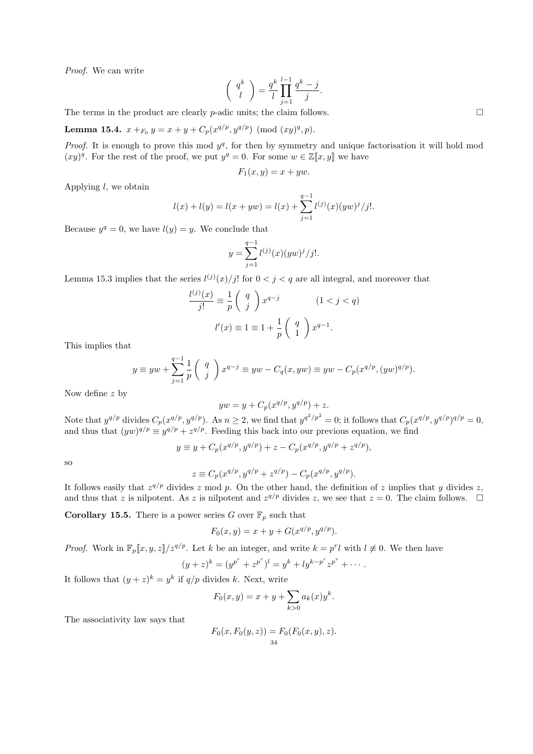Proof. We can write

$$
\left(\begin{array}{c}q^k\\l\end{array}\right)=\frac{q^k}{l}\prod_{j=1}^{l-1}\frac{q^k-j}{j}.
$$

The terms in the product are clearly  $p$ -adic units; the claim follows.

**Lemma 15.4.**  $x +_{F_0} y = x + y + C_p(x^{q/p}, y^{q/p}) \pmod{(xy)^q, p}$ .

*Proof.* It is enough to prove this mod  $y^q$ , for then by symmetry and unique factorisation it will hold mod  $(xy)^q$ . For the rest of the proof, we put  $y^q = 0$ . For some  $w \in \mathbb{Z}[[x, y]]$  we have

$$
F_1(x, y) = x + yw.
$$

Applying  $l$ , we obtain

$$
l(x) + l(y) = l(x + yw) = l(x) + \sum_{j=1}^{q-1} l^{(j)}(x)(yw)^j / j!.
$$

Because  $y^q = 0$ , we have  $l(y) = y$ . We conclude that

$$
y = \sum_{j=1}^{q-1} l^{(j)}(x) (yw)^j / j!.
$$

Lemma 15.3 implies that the series  $l^{(j)}(x)/j!$  for  $0 < j < q$  are all integral, and moreover that

$$
\frac{l^{(j)}(x)}{j!} \equiv \frac{1}{p} \begin{pmatrix} q \\ j \end{pmatrix} x^{q-j} \qquad (1 < j < q)
$$

$$
l'(x) \equiv 1 \equiv 1 + \frac{1}{p} \begin{pmatrix} q \\ 1 \end{pmatrix} x^{q-1}.
$$

This implies that

$$
y \equiv yw + \sum_{j=1}^{q-1} \frac{1}{p} \begin{pmatrix} q \\ j \end{pmatrix} x^{q-j} \equiv yw - C_q(x, yw) \equiv yw - C_p(x^{q/p}, (yw)^{q/p}).
$$

Now define z by

$$
yw = y + C_p(x^{q/p}, y^{q/p}) + z.
$$

Note that  $y^{q/p}$  divides  $C_p(x^{q/p}, y^{q/p})$ . As  $n \ge 2$ , we find that  $y^{q^2/p^2} = 0$ ; it follows that  $C_p(x^{q/p}, y^{q/p})^{q/p} = 0$ , and thus that  $(yw)^{q/p} \equiv y^{q/p} + z^{q/p}$ . Feeding this back into our previous equation, we find

$$
y \equiv y + C_p(x^{q/p}, y^{q/p}) + z - C_p(x^{q/p}, y^{q/p} + z^{q/p}),
$$

so

$$
z \equiv C_p(x^{q/p}, y^{q/p} + z^{q/p}) - C_p(x^{q/p}, y^{q/p}).
$$

It follows easily that  $z^{q/p}$  divides z mod p. On the other hand, the definition of z implies that y divides z, and thus that z is nilpotent. As z is nilpotent and  $z^{q/p}$  divides z, we see that  $z = 0$ . The claim follows.  $\Box$ 

**Corollary 15.5.** There is a power series G over  $\mathbb{F}_p$  such that

$$
F_0(x, y) = x + y + G(x^{q/p}, y^{q/p}).
$$

*Proof.* Work in  $\mathbb{F}_p[x, y, z]/z^{q/p}$ . Let k be an integer, and write  $k = p^r l$  with  $l \neq 0$ . We then have

$$
(y+z)^k = (y^{p^r} + z^{p^r})^l = y^k + ly^{k-p^r}z^{p^r} + \cdots
$$

It follows that  $(y+z)^k = y^k$  if  $q/p$  divides k. Next, write

$$
F_0(x, y) = x + y + \sum_{k>0} a_k(x) y^k.
$$

The associativity law says that

$$
F_0(x, F_0(y, z)) = F_0(F_0(x, y), z).
$$
  
<sub>34</sub>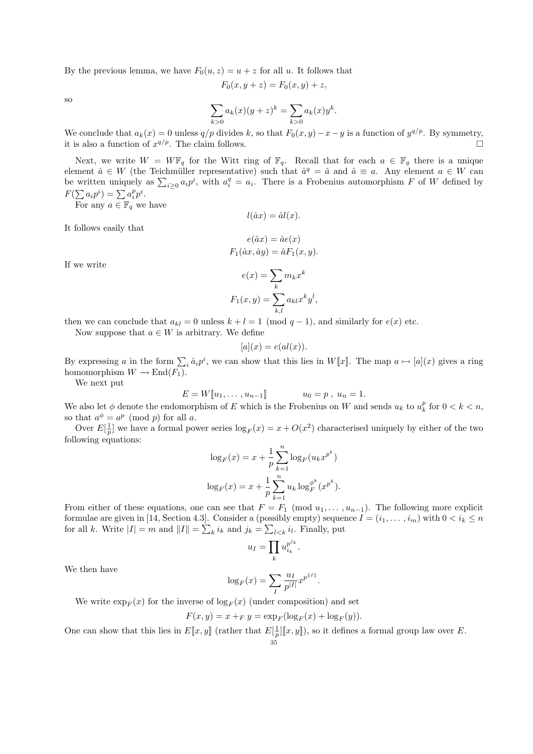By the previous lemma, we have  $F_0(u, z) = u + z$  for all u. It follows that

$$
F_0(x, y + z) = F_0(x, y) + z,
$$

so

$$
\sum_{k>0} a_k(x)(y+z)^k = \sum_{k>0} a_k(x)y^k.
$$

We conclude that  $a_k(x) = 0$  unless  $q/p$  divides k, so that  $F_0(x, y) - x - y$  is a function of  $y^{q/p}$ . By symmetry, it is also a function of  $x^{q/p}$ . The claim follows.

Next, we write  $W = W\mathbb{F}_q$  for the Witt ring of  $\mathbb{F}_q$ . Recall that for each  $a \in \mathbb{F}_q$  there is a unique element  $\hat{a} \in W$  (the Teichmüller representative) such that  $\hat{a}^q = \hat{a}$  and  $\hat{a} \equiv a$ . Any element  $a \in W$  can be written uniquely as  $\sum_{i\geq 0} a_i p^i$ , with  $a_i^q = a_i$ . There is a Frobenius automorphism F of W defined by  $F(\sum a_i p^i) = \sum a_i^p p^i.$ 

For any  $a \in \mathbb{F}_q$  we have

It follows easily that

$$
e(\hat{a}x) = \hat{a}e(x)
$$

$$
F_1(\hat{a}x, \hat{a}y) = \hat{a}F_1(x, y).
$$

 $l(\hat{a}x) = \hat{a}l(x).$ 

If we write

$$
e(x) = \sum_{k} m_k x^k
$$

$$
F_1(x, y) = \sum_{k,l} a_{kl} x^k y^l,
$$

then we can conclude that  $a_{kl} = 0$  unless  $k + l = 1 \pmod{q-1}$ , and similarly for  $e(x)$  etc.

Now suppose that  $a \in W$  is arbitrary. We define

$$
[a](x) = e(al(x)).
$$

By expressing a in the form  $\sum_i \hat{a}_i p^i$ , we can show that this lies in  $W[\![x]\!]$ . The map  $a \mapsto [a](x)$  gives a ring homomorphism  $W \to \text{End}(F_1)$ .

We next put

$$
E = W[\![u_1, \ldots, u_{n-1}]\!]
$$
  $u_0 = p, u_n = 1.$ 

We also let  $\phi$  denote the endomorphism of E which is the Frobenius on W and sends  $u_k$  to  $u_k^p$  for  $0 < k < n$ , so that  $a^{\phi} = a^p \pmod{p}$  for all a.

Over  $E[\frac{1}{p}]$  we have a formal power series  $\log_F(x) = x + O(x^2)$  characterised uniquely by either of the two following equations:

$$
\log_F(x) = x + \frac{1}{p} \sum_{k=1}^n \log_F(u_k x^{p^k})
$$

$$
\log_F(x) = x + \frac{1}{p} \sum_{k=1}^n u_k \log_F^{\phi^k}(x^{p^k}).
$$

From either of these equations, one can see that  $F = F_1 \pmod{u_1, \ldots, u_{n-1}}$ . The following more explicit formulae are given in [14, Section 4.3]. Consider a (possibly empty) sequence  $I = (i_1, \ldots, i_m)$  with  $0 < i_k \leq n$ for all k. Write  $|I| = m$  and  $||I|| = \sum_{k} i_k$  and  $j_k = \sum_{l \leq k} i_l$ . Finally, put

$$
u_I = \prod_k u_{i_k}^{p^{j_k}}
$$

.

.

We then have

$$
\log_F(x)=\sum_I \frac{u_I}{p^{|I|}}x^{p^{\parallel I\parallel}}
$$

We write  $\exp_F(x)$  for the inverse of  $\log_F(x)$  (under composition) and set

$$
F(x, y) = x + F y = \exp_F(\log_F(x) + \log_F(y)).
$$

One can show that this lies in  $E[\![x,y]\!]$  (rather that  $E[\frac{1}{p}][\![x,y]\!]$ ), so it defines a formal group law over E.

$$
-35\,
$$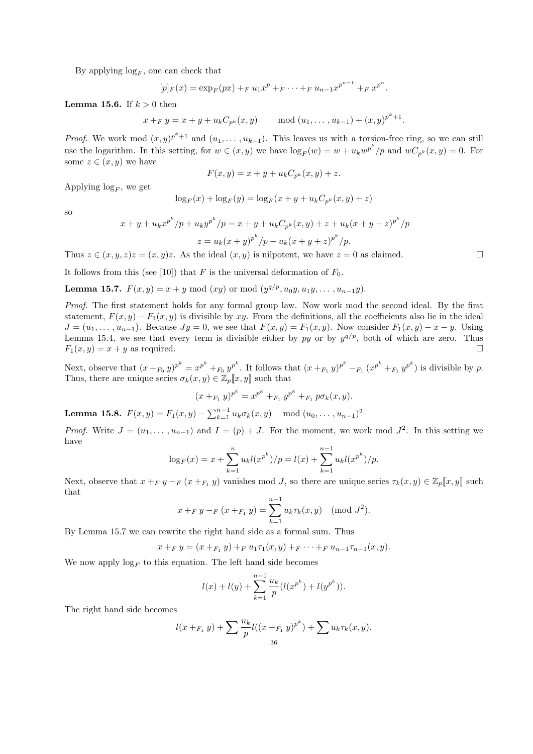By applying  $\log_F$ , one can check that

$$
[p]_F(x) = \exp_F(px) +_F u_1 x^p +_F \cdots +_F u_{n-1} x^{p^{n-1}} +_F x^{p^n}.
$$

**Lemma 15.6.** If  $k > 0$  then

$$
x +_{F} y = x + y + u_{k} C_{p^{k}}(x, y)
$$
 mod  $(u_{1}, \ldots, u_{k-1}) + (x, y)^{p^{k}+1}$ .

*Proof.* We work mod  $(x, y)^{p^k+1}$  and  $(u_1, \ldots, u_{k-1})$ . This leaves us with a torsion-free ring, so we can still use the logarithm. In this setting, for  $w \in (x, y)$  we have  $\log_F(w) = w + u_k w^{p^k}/p$  and  $wC_{p^k}(x, y) = 0$ . For some  $z \in (x, y)$  we have

$$
F(x,y) = x + y + ukCpk(x,y) + z.
$$

Applying  $\log_F$ , we get

$$
\log_F(x) + \log_F(y) = \log_F(x + y + u_k C_{p^k}(x, y) + z)
$$

so

$$
x + y + u_k x^{p^k} / p + u_k y^{p^k} / p = x + y + u_k C_{p^k}(x, y) + z + u_k (x + y + z)^{p^k} / p
$$
  

$$
z = u_k (x + y)^{p^k} / p - u_k (x + y + z)^{p^k} / p.
$$

Thus  $z \in (x, y, z)z = (x, y)z$ . As the ideal  $(x, y)$  is nilpotent, we have  $z = 0$  as claimed.

It follows from this (see [10]) that F is the universal deformation of  $F_0$ .

**Lemma 15.7.**  $F(x,y) = x + y \mod (xy)$  or mod  $(y^{q/p}, u_0y, u_1y, \ldots, u_{n-1}y)$ .

Proof. The first statement holds for any formal group law. Now work mod the second ideal. By the first statement,  $F(x, y) - F_1(x, y)$  is divisible by xy. From the definitions, all the coefficients also lie in the ideal  $J = (u_1, \ldots, u_{n-1})$ . Because  $Jy = 0$ , we see that  $F(x, y) = F_1(x, y)$ . Now consider  $F_1(x, y) - x - y$ . Using Lemma 15.4, we see that every term is divisible either by py or by  $y^{q/p}$ , both of which are zero. Thus  $F_1(x, y) = x + y$  as required.

Next, observe that  $(x +_{F_0} y)^{p^k} = x^{p^k} +_{F_0} y^{p^k}$ . It follows that  $(x +_{F_1} y)^{p^k} -_{F_1} (x^{p^k} +_{F_1} y^{p^k})$  is divisible by p. Thus, there are unique series  $\sigma_k(x, y) \in \mathbb{Z}_p[[x, y]]$  such that

$$
(x+_{F_1}y)^{p^k}=x^{p^k}+_{F_1}y^{p^k}+_{F_1}p\sigma_k(x,y).
$$

**Lemma 15.8.**  $F(x,y) = F_1(x,y) - \sum_{k=1}^{n-1} u_k \sigma_k(x,y) \mod (u_0, \ldots, u_{n-1})^2$ 

*Proof.* Write  $J = (u_1, \ldots, u_{n-1})$  and  $I = (p) + J$ . For the moment, we work mod  $J^2$ . In this setting we have

$$
\log_F(x) = x + \sum_{k=1}^n u_k l(x^{p^k})/p = l(x) + \sum_{k=1}^{n-1} u_k l(x^{p^k})/p.
$$

Next, observe that  $x +_F y -_F (x +_{F_1} y)$  vanishes mod J, so there are unique series  $\tau_k(x, y) \in \mathbb{Z}_p[\![x, y]\!]$  such that

$$
x +_{F} y -_{F} (x +_{F_1} y) = \sum_{k=1}^{n-1} u_k \tau_k(x, y) \pmod{J^2}.
$$

By Lemma 15.7 we can rewrite the right hand side as a formal sum. Thus

$$
x +_{F} y = (x +_{F_1} y) +_{F} u_1 \tau_1(x, y) +_{F} \cdots +_{F} u_{n-1} \tau_{n-1}(x, y).
$$

We now apply  $\log_F$  to this equation. The left hand side becomes

$$
l(x) + l(y) + \sum_{k=1}^{n-1} \frac{u_k}{p} (l(x^{p^k}) + l(y^{p^k})).
$$

The right hand side becomes

$$
l(x+_{F_1}y) + \sum \frac{u_k}{p} l((x+_{F_1}y)^{p^k}) + \sum u_k \tau_k(x,y).
$$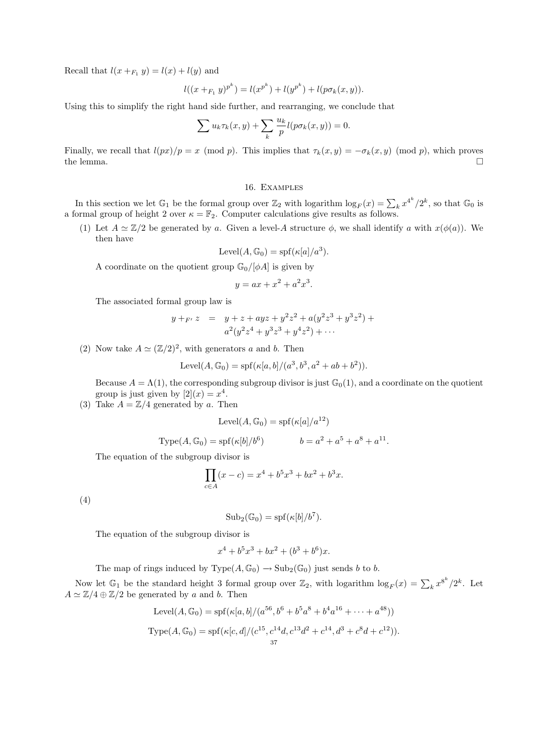Recall that  $l(x +_{F_1} y) = l(x) + l(y)$  and

$$
l((x +_{F_1} y)^{p^k}) = l(x^{p^k}) + l(y^{p^k}) + l(p\sigma_k(x, y)).
$$

Using this to simplify the right hand side further, and rearranging, we conclude that

$$
\sum u_k \tau_k(x, y) + \sum_k \frac{u_k}{p} l(p \sigma_k(x, y)) = 0.
$$

Finally, we recall that  $l(px)/p = x \pmod{p}$ . This implies that  $\tau_k(x, y) = -\sigma_k(x, y) \pmod{p}$ , which proves the lemma. the lemma.  $\square$ 

16. Examples

In this section we let  $\mathbb{G}_1$  be the formal group over  $\mathbb{Z}_2$  with logarithm  $\log_F(x) = \sum_k x^{4^k}/2^k$ , so that  $\mathbb{G}_0$  is a formal group of height 2 over  $\kappa = \mathbb{F}_2$ . Computer calculations give results as follows.

(1) Let  $A \simeq \mathbb{Z}/2$  be generated by a. Given a level-A structure  $\phi$ , we shall identify a with  $x(\phi(a))$ . We then have

$$
Level(A, \mathbb{G}_0) = spf(\kappa[a]/a^3).
$$

A coordinate on the quotient group  $\mathbb{G}_0/[\phi A]$  is given by

$$
y = ax + x^2 + a^2x^3.
$$

The associated formal group law is

$$
y +_{F'} z = y + z + ayz + y^2z^2 + a(y^2z^3 + y^3z^2) + a^2(y^2z^4 + y^3z^3 + y^4z^2) + \cdots
$$

(2) Now take  $A \simeq (\mathbb{Z}/2)^2$ , with generators a and b. Then

Level
$$
(A, \mathbb{G}_0) = \text{spf}(\kappa[a, b]/(a^3, b^3, a^2 + ab + b^2)).
$$

Because  $A = \Lambda(1)$ , the corresponding subgroup divisor is just  $\mathbb{G}_0(1)$ , and a coordinate on the quotient group is just given by  $[2](x) = x^4$ .

(3) Take  $A = \mathbb{Z}/4$  generated by a. Then

$$
Level(A, \mathbb{G}_0) = spf(\kappa[a]/a^{12})
$$

Type
$$
(A, \mathbb{G}_0) = \text{spf}(\kappa[b]/b^6)
$$
  $b = a^2 + a^5 + a^8 + a^{11}$ .

The equation of the subgroup divisor is

$$
\prod_{c \in A} (x - c) = x^4 + b^5 x^3 + bx^2 + b^3 x.
$$

(4)

$$
Sub_2(\mathbb{G}_0) = spf(\kappa[b]/b^7).
$$

The equation of the subgroup divisor is

$$
x^4 + b^5 x^3 + b x^2 + (b^3 + b^6)x.
$$

The map of rings induced by  $Type(A, \mathbb{G}_0) \rightarrow Sub_2(\mathbb{G}_0)$  just sends b to b.

Now let  $\mathbb{G}_1$  be the standard height 3 formal group over  $\mathbb{Z}_2$ , with logarithm  $\log_F(x) = \sum_k x^{8^k}/2^k$ . Let  $A \simeq \mathbb{Z}/4 \oplus \mathbb{Z}/2$  be generated by a and b. Then

Level
$$
(A, \mathbb{G}_0)
$$
 = spf $(\kappa[a, b]/(a^{56}, b^6 + b^5a^8 + b^4a^{16} + \dots + a^{48}))$   
Type $(A, \mathbb{G}_0)$  = spf $(\kappa[c, d]/(c^{15}, c^{14}d, c^{13}d^2 + c^{14}, d^3 + c^8d + c^{12})).$